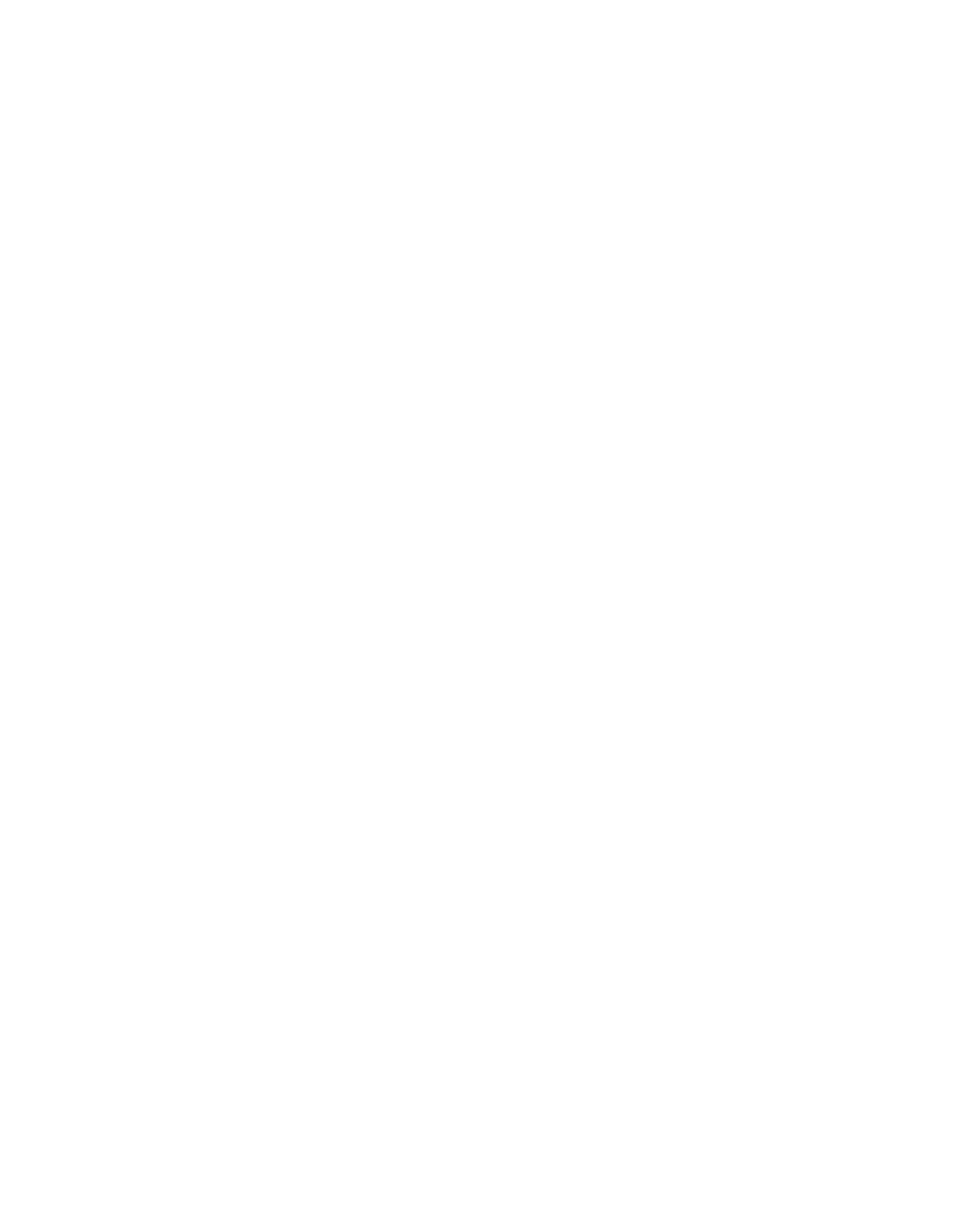

# **NATIONAL MODEL UNITED NATIONS**

THE WORLD'S LARGEST UNIVERSITY-LEVEL SIMULATION • SINCE 1927 13570 Grove Dr., Suite 294 • Minneapolis, MN 55311 www.nmun.org • info@nmun.org • 612.353.5649



Dear Delegates,

Welcome to the 2018 National Model United Nations Galápagos Conference (NMUN•Galápagos)! We are pleased to introduce you to our committee, the United Nations Environment Assembly (UNEA). This year's staff are: Director Cristian Toledo and Assistant Director Grace Naomi Ayala. Cristian obtained a BA in international relations from the Universidad San Francisco de Quito in 2016 and an MA in political and corporate communications from the University of Navarre in 2017. He previously interned with the Ecuadorean Embassy in Washington, DC. Naomi is currently studying international relations and anthropology at the Universidad San Francisco de Quito, and she has attended NMUN•New York for the past two years. She is a former member of the Corporation of Academic Simulations at her university, and she is currently interning within the Department of International Trade at the British Embassy in Ecuador.

The topics under discussion for UNEA are:

- 1. Management and Reduction of Waste in Urban Areas
- 2. Development of Eco-friendly Technology for the Protection of Oceans and Seas

UNEA is an example of evolution in the structure and priorities of the United Nations system. UNEA was created at the United Nations Conference on Sustainable Development (Rio+20) in 2012 to act as the "parliament of the environment." In this capacity, UNEA exemplifies a structural transition to accommodate universal membership and a heightened importance for environmental issues in international affairs. UNEA offers an inclusive forum for all stakeholders to discuss environmental policy. It is critical for delegates to understand the mandate of UNEA as a normative body that creates and promotes international environmental policy.

This Background Guide serves as an introduction to the topics for this committee. However, it is not intended to replace individual research. We encourage you to explore your Member State's policies in depth and to use the Annotated Bibliography and Bibliography to further your knowledge on these topics. In preparation for the Conference, each delegation will submit a [Position](http://www.nmun.org/galapagos18_position_papers.html)  [Paper](http://www.nmun.org/galapagos18_position_papers.html) by 11:59 p.m. (Eastern) on 1 December 2017 in accordance with the guidelines in the *[NMUN Position Paper Guide](http://nmun.org/downloads/NMUNPPGuide.pdf)*.

On the [NMUN website,](http://www.nmun.org/galapagos18_preparations.html) you will find two resources that are essential to your preparation for the Conference and as a reference during committee sessions.

- 1. *[NMUN Delegate Preparation Guide](http://nmun.org/downloads/NMUNDelegatePrepGuide.pdf)*: This document explains each step in the delegate process, from pre-Conference research to the committee debate and resolution drafting processes. Please take note of the information on plagiarism and the prohibition on prewritten working papers and resolutions. Delegates should not start discussion on the topics with other members of their committee until the first committee session.
- 2. *[NMUN Rules of Procedure](http://nmun.org/downloads/NMUNRules.pdf)*: This document includes the long and short form of the rules, as well as an explanatory narrative and example script of the flow of procedure in committee.

In addition, please review the mandatory [NMUN Conduct Expectations](http://nmun.org/policies_codes.html) on the NMUN website. They include the Conference dress code and other expectations of all attendees. We want to emphasize that any instances of sexual harassment or discrimination based on race, gender, sexual orientation, national origin, religion, age, or disability will not be tolerated.

If you have any questions concerning your preparation for the committee or the Conference itself, please contact [info@nmun.org.](mailto:info@nmun.org)

We wish you all the best in your preparations and look forward to seeing you at the Conference!

Cristian Toledo, Director Grace Naomi Ayala, Assistant Director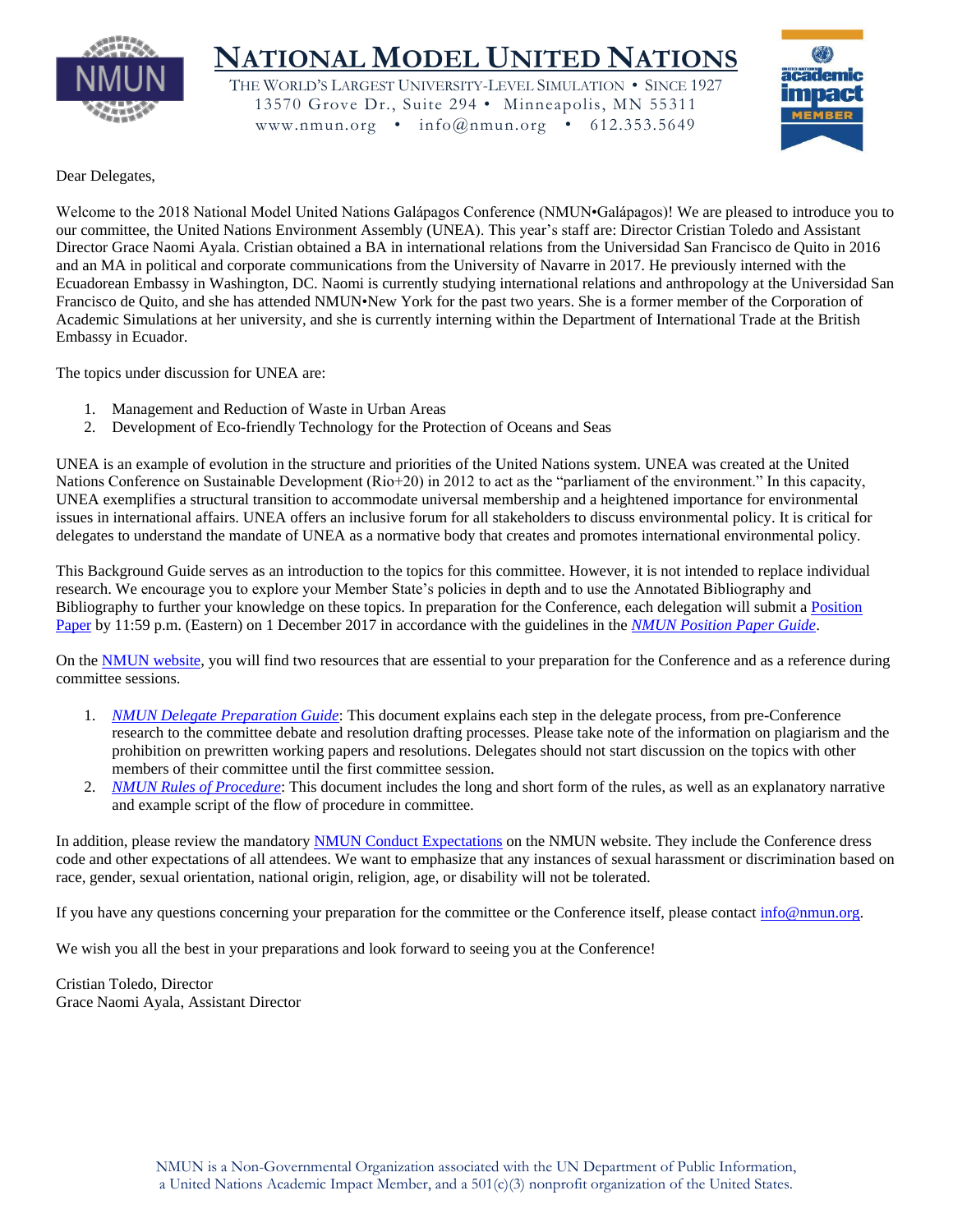

# **Table of Contents**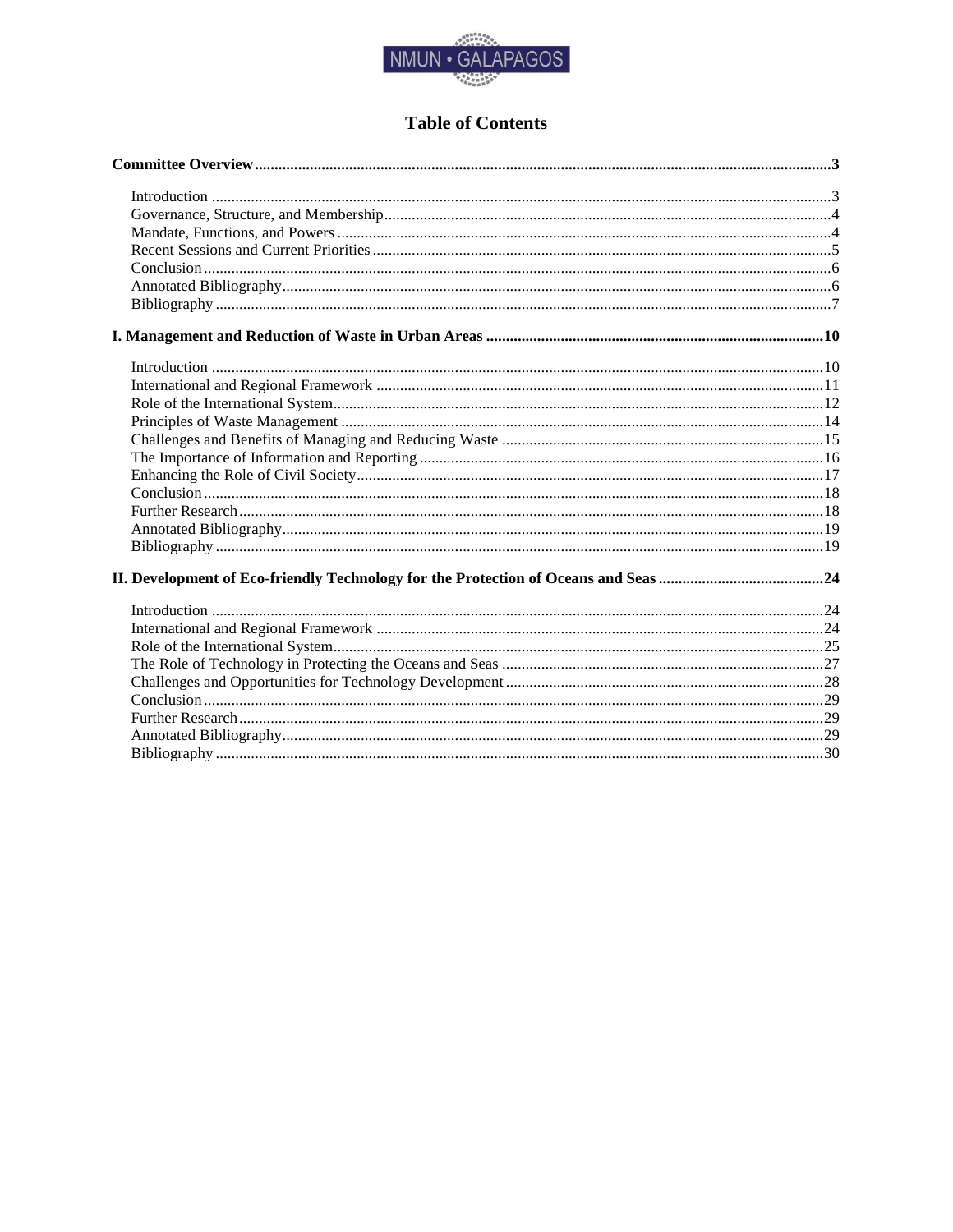

# **Committee Overview**

## <span id="page-2-1"></span><span id="page-2-0"></span>*Introduction*

The United Nations (UN) Environment Programme (UNEP) is the "leading global environment authority" in promoting environmentally friendly practices and policies in the UN system.<sup>1</sup> It is a program and fund of the UN that ensures international, regional, and local coordination for environmental issues, and it also ensures that various other UN entities take environmental impacts into account when executing their missions.<sup>2</sup> UNEP reports to the General Assembly and the Economic and Social Council (ECOSOC).<sup>3</sup>

The **United Nations Environment Assembly** (UNEA) is the governing body of the **United Nations Environment Programme** (UNEP), which is a program and fund of the United Nations that reports to the Economic and Social Council and the General Assembly.

UNEP was created at the recommendation of the 1972 UN Conference on Human Environment in Stockholm, Sweden.<sup>4</sup> Six months later, the General Assembly adopted resolution 2997 (XXVII) of 1972 on "Institutional and financial arrangements for international environmental cooperation," which established UNEP as the official body concerned with environmental issues within the UN.<sup>5</sup> In 1992, the mandate of UNEP was broadened at the UN Conference on Environment and Development (UNCED) by the adoption of the conference's two outcome documents, *Agenda 21* and the *Rio Declaration on Environment and Development*. <sup>6</sup> Chapter 38 of *Agenda 21* calls for the creation of an inter-agency task force to research the best ways to identify and address environmental issues.<sup>7</sup> This led to the creation of the Inter-Agency Committee on Sustainable Development (IACSD), of which UNEP is a key member.<sup>8</sup>

Originally, UNEP was led by a Governing Council of only 58 members. 9 In 2012, at the UN Conference on Sustainable Development (Rio+20), Member States decided to strengthen UNEP, including by establishing universal membership in the Governing Council, to better execute the mandate of UNEP and place environmental issues in the same standing as health, security, and poverty.<sup>10</sup> Subsequently, the General Assembly adopted resolutions 67/213 (2012) and 67/251 (2013), which formally opened the Governing Council to all UN Member States and changed its designation to the United Nations Environment Assembly (UNEA).<sup>11</sup>

UNEA has held two universal sessions since its creation.<sup>12</sup> The first session of UNEA was held in June 2014 and a total of 17 resolutions and two decisions were adopted.<sup>13</sup> The resolutions covered a wide range of topics, from marine plastic debris to environmental sustainability in the context of sustainable development and poverty eradication.<sup>14</sup> The second session of UNEA (UNEA-2) was held in May 2016 and focused on the environmental dimensions of the Sustainable Development Goals (SDGs).<sup>15</sup> The third session of UNEA (UNEA-3) will be held in

 $\overline{a}$ 

<sup>7</sup> UNCED, *Agenda 21*, 1992.

<sup>1</sup> UNEP, *About UN Environment*.

<sup>2</sup> Ibid.

<sup>3</sup> UN DPI, *The United Nations System*, 2017.

<sup>4</sup> UNEP, *Declaration of the United Nations Conference on the Human Environment*, 1972.

<sup>5</sup> UN General Assembly, *Institutional and financial arrangements for international environmental co-operation (A/RES/2997(XXVII))*, 1972.

<sup>6</sup> UN DESA, *United Nations Conference on Environment and Development (UNCED), Earth Summit*.

<sup>8</sup> UN System Chief Executives Board for Coordination*, IACSD.*

<sup>9</sup> UNEP, *United Nations Environment Programme Upgraded to Universal Membership Following Rio+20 Summit*, 2012.

<sup>10</sup> UN General Assembly, *The Future We Want (A/RES/66/288)*, 2012, p. 18.

<sup>11</sup> UN General Assembly, *Report of the Governing Council of the United Nations Environment Programme on its twelfth special session and the implementation of section IV.C, entitled "Environmental pillar in the context of sustainable development", of the outcome document of the United Nations Conference on Sustainable Development (A/RES/67/213)*, 2012; UN General Assembly, *Change of the designation of the Governing Council of the United Nations Environment Programme (A/RES/67/251)*, 2013.

<sup>12</sup> UNEP, *UN Environment Assembly*, 2017.

<sup>13</sup> UNEP, *Resolutions and decisions adopted by the United Nations Environment Assembly of the United Nations Environment Programme at its first session on 27 June 2014*, 2014.

<sup>14</sup> Ibid.

<sup>15</sup> UNEP, *The path towards UNEA 2*.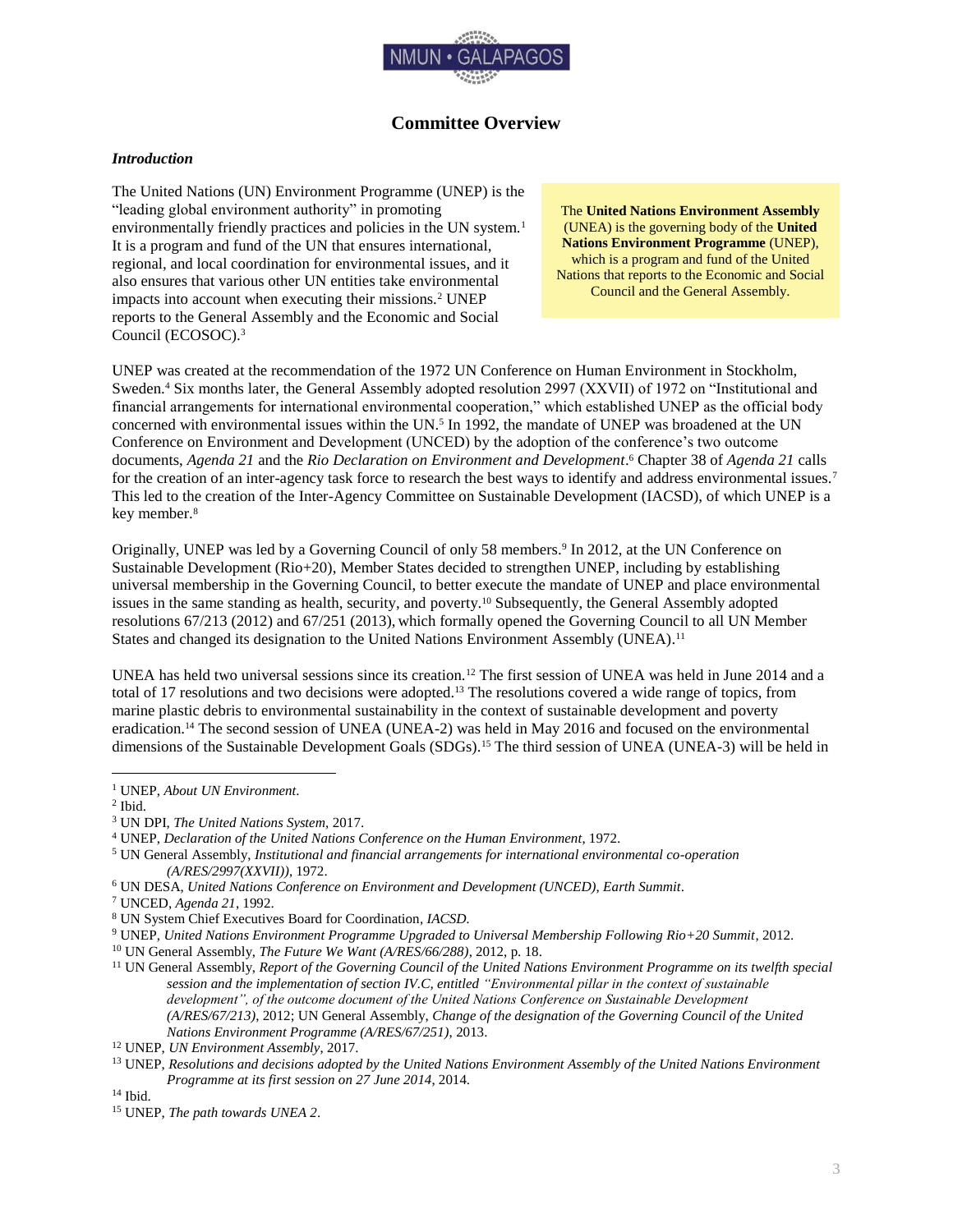

December 2017; the theme of UNEA-3 will be "Toward a Pollution-free Planet" and the overarching aim of this session is to deliver a political declaration on ending pollution in the air, sea, and land.<sup>16</sup>

#### <span id="page-3-0"></span>*Governance, Structure, and Membership*

UNEP's structure includes UNEA, the Secretariat, the Environment Fund, and the Committee of Permanent Representatives. As the main governing body of UNEP, UNEA, comprised of all Member States, meets biennially to set the global environmental agenda and to discuss emerging challenges.<sup>17</sup> UNEA makes major strategic decisions for UNEP, provides political guidance for state and regional programs, and promotes science-based environmental policies.<sup>18</sup> The UNEP Secretariat is responsible for supporting UNEA and consists of a rotating President, three Vice-Presidents, and a Rapporteur.<sup>19</sup> The Environment Fund is UNEP's main source of funding.<sup>20</sup> Member States' financial contributions to the fund are based upon the Voluntary Indicative Scale of Contributions, which means Member States are not required to provide funding to UNEP, though they are highly encouraged to donate.<sup>21</sup> UNEP's Committee of Permanent Representatives, which comprises all Permanent Representatives to UNEP, "prepares the meetings of [UNEA] and regularly reviews the implementation of its decisions."<sup>22</sup>

UNEP has six regional offices throughout the world that undertake UNEP's projects on regional, sub-regional, and local levels.<sup>23</sup> Each office holds yearly Regional Consultation Meetings where representatives from various civil society organizations (CSOs) are invited to engage in an environmental policy dialogue.<sup>24</sup> The regional offices bring any concerns or ideas from these meetings to the next UNEA meeting for wider UNEP discussion and possible implementation.<sup>25</sup> The role of the regional offices was increased and enhanced to include the Regional Consultation Meetings and other projects in 2003, when the Governing Council approved decision 22/14 on the role of UNEP in strengthening regional activities.<sup>26</sup> This decision called for UNEP's regional offices to strengthen their partnerships with other UN agencies in their region, create financial institutions to fund environmental causes, and establish or enhance partnerships with relevant local groups to strengthen UNEP's mission in each region.<sup>27</sup>

#### <span id="page-3-1"></span>*Mandate, Functions, and Powers*

As set out in General Assembly resolution 2997 (XXVII) of 1972 on "Institutional and financial arrangements for international environmental cooperation," UNEP is mandated to promote international and regional environmental cooperation; help in establishing environmental policy; highlight global and regional problems; facilitate the transfer of scientific knowledge; assist developing Member States in environmental matters; review reports of the Executive Director; and approve the annual program on the allocation of UNEP's main source of funding, the Environment Fund.<sup>28</sup>

Upon the adoption of the *Nairobi Declaration* at the 19<sup>th</sup> session of the UNEP Governing Council in 1997, UNEP realigned its core mandate to ensure a more modern and technological approach to environmental issues.<sup>29</sup> The new core mandate made UNEP responsible for using the best available scientific methods and evidence to analyze global environmental trends; utilizing early warning systems; furthering the development of international environmental law and policy; monitoring and fostering Member State compliance with existing international environmental

<sup>16</sup> UNEP, *A Political Declaration on Pollution*, 2017.

<sup>17</sup> UNEP, *About the UN Environment Assembly*, 2017.

 $18$  Ibid.

<sup>19</sup> UN General Assembly, *Change of the designation of the Governing Council of the United Nations Environment Programme (A/67/784)*, 2013.

<sup>20</sup> UNEP, *Funding for UN Environment*.

 $21$  Ibid.

<sup>22</sup> UNEP, *Committee of Permanent Representatives.*

<sup>23</sup> UNEP, *Major Groups and Stakeholders In The Regions*.

<sup>24</sup> Ibid.

<sup>25</sup> Ibid.

<sup>26</sup> UNEP, *Report of the twenty-second session of the Governing Council/Global Ministerial Environment Forum*, 2003, pp. 61- 62.

<sup>27</sup> Ibid, p. 9.

<sup>28</sup> UN General Assembly, *Institutional and financial arrangements for international environmental co-operation (A/RES/2997(XXVII))*, 1972.

<sup>29</sup> UNEP, *1997 - Nairobi Declaration redefines and strengthens UNEP's role and mandate.*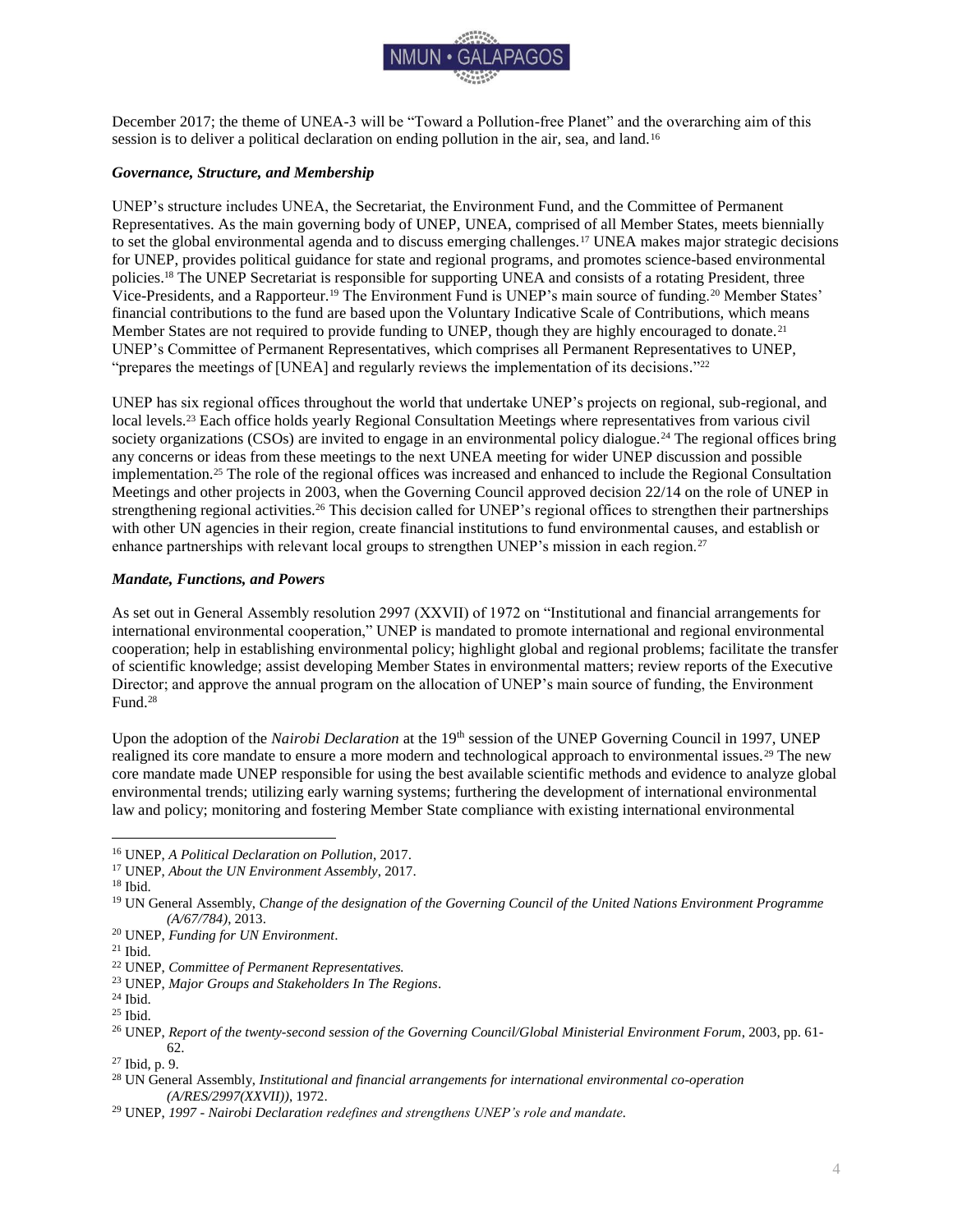

norms; strengthening its role in coordinating UN environmental activities; serving as a link between the scientific community and the UN; and providing key policy advice for UN bodies, governments, and other institutions.<sup>30</sup> In 2002, the *Johannesburg Declaration on Sustainable Development* called upon UNEP and its partners to cooperate more closely across sustainable development initiatives for the implementation of *Agenda 21*. 31

With the creation of UNEA and its universal membership in 2012, the mandate of UNEP has become more centered on the creation and promotion of environmental policy worldwide.<sup>32</sup> UNEP promotes international cooperation on existing environmental policies, guides the creation of new environmental policies, and uses environmental awareness to help Member States and CSOs respond to environmental threats.<sup>33</sup> To help achieve its mandate, UNEP has the ability to create task forces and subsidiaries to implement environmental policies.<sup>34</sup> However, the General Assembly or ECOSOC must approve any resolutions adopted by UNEP on environmental policy or creating new bodies.<sup>35</sup>

# <span id="page-4-0"></span>*Recent Sessions and Current Priorities*

UNEP currently operates under seven thematic priorities: climate change, disasters and conflicts, ecosystem management, environmental governance, chemicals and waste, resource efficiency, and environment under review.<sup>36</sup> A focus of these priorities is to decrease carbon emissions globally and promote the use of sustainable technologies in order to improve and maintain the state of the world's environment.<sup>37</sup> These seven thematic priorities expire at the conclusion of the *Medium Term Strategy 2014-2017* and have been renewed with minor alterations for the *Medium Term Strategy 2018-2021*. <sup>38</sup> Under the *Medium Term Strategy 2018-2021*, "disasters and conflicts" will become "resilience to disasters and conflicts," "ecosystem management" will become "healthy and productive ecosystems," and "chemicals and waste" will become "chemicals, waste and air quality."<sup>39</sup> These seven areas were chosen because they represent the most pressing and emerging issues, allowing UNEP to operate flexibly at international, regional, and state levels.<sup>40</sup>

The adoption of the SDGs has permanently altered how the international community will approach sustainable development; the *Medium Term Strategy 2018-2021* is a primary example of this.<sup>41</sup> Rather than focus on decreasing global carbon emissions as a component of climate change response, UNEA has directed UNEP to focus on climate change in relation to all three pillars of sustainable development.<sup>42</sup> By 2050, global demands for food are expected to increase by over 60% and global demands for water are expected to increase by over 55%.<sup>43</sup> In response to increasing resource demands and changing demographics, the *Medium Term Strategy 2018-2021* focuses on improving utilization of natural resources that influence the social and economic dimensions of sustainable development.<sup>44</sup> UNEP also recognizes the crucial importance of implementing the *Paris Agreement* to address climate change.<sup>45</sup> As the *Medium Term Strategy 2018-2021* has not yet come into action, performance measurements and indicators for how UNEA will hold Member States accountable under the *Paris Agreement* have not been fully developed.<sup>46</sup> However, during UNEA-2, the Assembly discussed various administrative and substantive issues that encompass the goal of the *Medium Term Strategy 2018-2021* and how various targets will be measured.<sup>47</sup>

<sup>30</sup> New Zealand, *United Nations Handbook 2016-17*, 2016.

<sup>31</sup> World Summit on Sustainable Development, *Report of the World Summit on Sustainable Development (A/CONF.199/20)*, 2002.

<sup>32</sup> UN General Assembly, *The Future We Want (A/RES/66/288)*, 2012, p. 18.

<sup>33</sup> UNEP, *About the UN Environment Assembly*, 2017.

<sup>34</sup> UN System Chief Executive Board of Coordination, *United Nations Environment Programme*.

<sup>35</sup> Ibid.; UNEP, *About the UN Environment Assembly*, 2017.

<sup>36</sup> UNEP, *Medium Term Strategy 2014-2017*, 2015, p. 1.

<sup>37</sup> Ibid.

<sup>38</sup> Ibid., p. 18.

 $^{\rm 39}$  Ibid.

<sup>40</sup> UNEP, *Policy Statement by Achim Steiner*, *UN Under-Secretary-General and UNEP Executive Director*, 2014.

<sup>41</sup> UN General Assembly, *Transforming our world: the 2030 Agenda for Sustainable Development (A/RES/70/1)*, 2015.

<sup>42</sup> UNEP, *Medium Term Strategy 2018-2021*, 2016, pp. 3-4.

<sup>43</sup> Ibid., p. 3.

<sup>44</sup> Ibid., pp. 2-4.

<sup>45</sup> Ibid., p. 4.

<sup>46</sup> Ibid., p. 54.

<sup>47</sup> UNEP, *Resolutions and Documents for the Second Session of the UN Environment Assembly*.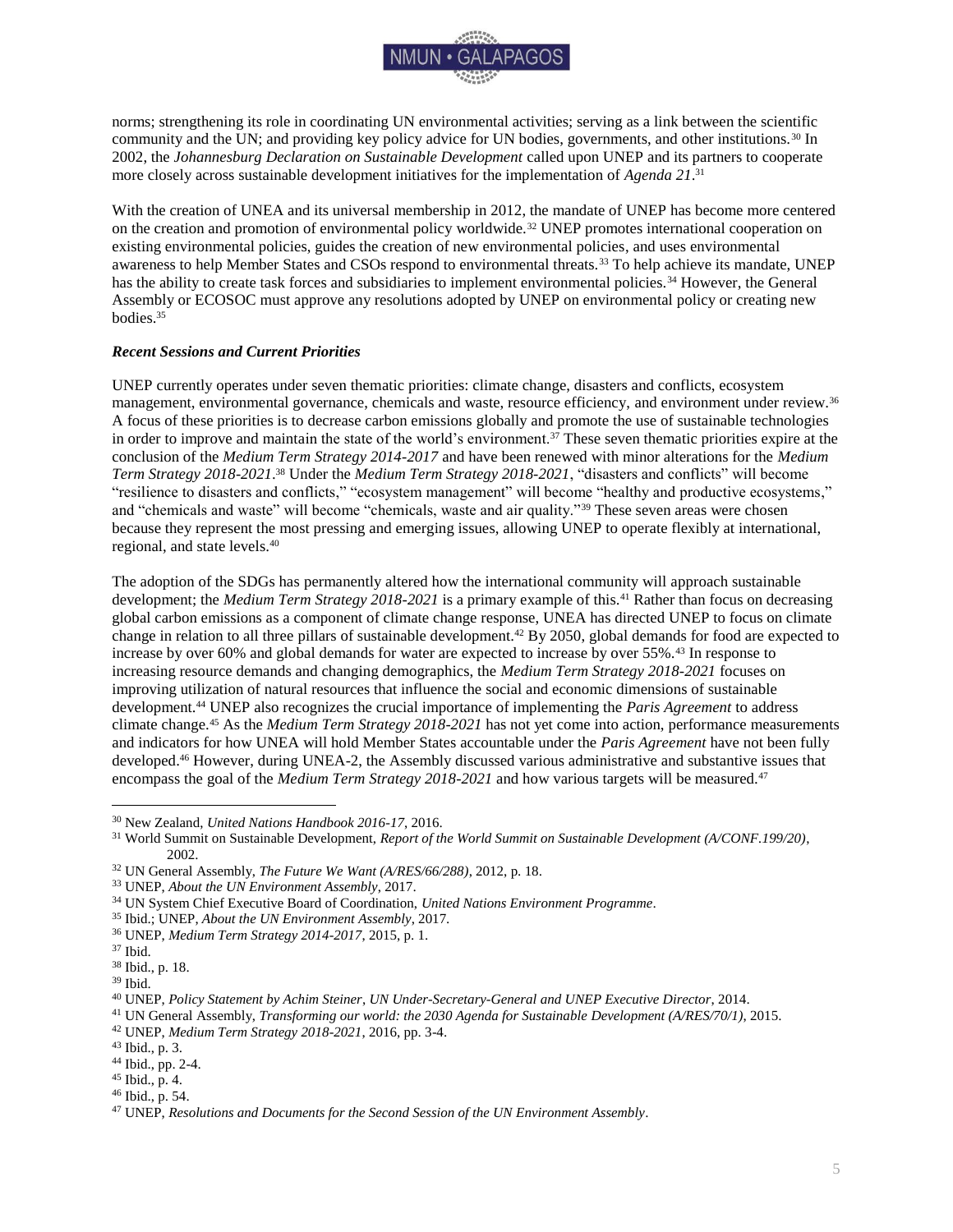

UNEA-2 was held from 23 to 27 May 2016 in Nairobi, Kenya, with the theme "Delivering on the Environmental Dimension of the *2030 Agenda for Sustainable Development*."<sup>48</sup> The Assembly adopted 25 resolutions on topics ranging from administrative amendments and rules of procedure to substantive decisions on biodiversity and engaging with the 2030 Agenda.<sup>49</sup> In order to enhance the participation of private sector and civil society stakeholders in UNEA-2, an online policy forum was used for disseminating information and holding discussions on various topics of interest.<sup>50</sup> All adopted resolutions relate to one or more of the seven thematic priorities of UNEP and prepare for the implementation of the *Medium Term Strategy 2018-2021*. 51

UNEA-3 is scheduled to take place from 4 to 6 December 2017 "under the overarching theme of pollution."<sup>52</sup> In addition to resolutions and decisions, the outcomes of UNEA-3 will include the adoption of a political declaration on pollution that will set out "realistic steps to address pollution" for the benefit of human health, sustainable development, and the environment.<sup>53</sup> The President of the Assembly, Dr. Edgar Gutiérrez-Espeleta of Costa Rica, is leading ongoing consultations on a draft declaration that is currently in circulation amongst Member States and other stakeholders. <sup>54</sup> An advance copy of the report *Towards a Pollution-Free Planet*, prepared by the Executive Director of UNEP to support UNEA-3, has also been provided to Member States and other stakeholders for their review and input; the final report will be available in September.<sup>55</sup>

#### <span id="page-5-0"></span>*Conclusion*

UNEP is the UN's official program concerned with the environment. Its expertise and knowledge is crucial for the implementation of a variety of established programs within the UN and Member States' governments. The creation of UNEA further accelerates UNEP's mission to ensure that the work of all UN entities, Member States, and CSOs is environmentally sustainable and in line with international laws and norms concerning the environment. The creation of an environmental entity with universal membership that oversees the world's environmental policy agenda reflects the growing importance of environmental issues and allows for a broader environmental agenda to be discussed and implemented. 56

# **Annotated Bibliography**

<span id="page-5-1"></span>United Nations Conference on Environment and Development. (1992). *Agenda 21* [Outcome Document]. Retrieved 14 July 2016 from: <http://sustainabledevelopment.un.org/content/documents/Agenda21.pdf>

Agenda 21 *is one of the outcome documents of UNCED in 1992 and is a comprehensive plan that involved the UN system, governments, and other levels of government to in partnership to meet the challenges of environment and development. This outcome document reinforced UNEP as the global environmental platform and created the Commission on Sustainable Development to monitor its implementation. To fully understand the mandate of the UNEP and the scope of it work, delegates shall become familiar with* Agenda 21 *due to its being the first reaffirmation and expansion of the global environment agenda*.

 $\overline{a}$ 

<sup>55</sup> UNEP, *Towards a Pollution-Free Planet: Report of the Executive Director, United Nations Environment Programme*, 2017.

<sup>48</sup> UNEP, *The path towards UNEA 2*.

<sup>49</sup> UNEP, *Resolutions and Documents for the Second Session of the UN Environment Assembly*.

<sup>50</sup> UNEP, *The path towards UNEA 2*.

<sup>51</sup> UNEP, *Resolutions and Documents for the Second Session of the UN Environment Assembly*.

<sup>52</sup> UNEP, *UN Environment Assembly*, 2017.

<sup>53</sup> UNEP, *A Political Declaration on Pollution*, 2017.

<sup>54</sup> Ibid.; UNEP, *Draft Outline Document for the Ministerial Outcome Document of the 2017 UN Environment Assembly "Towards a Pollution-Free Planet"*, 2017; UNEP, *Member States and Stakeholders inputs to the Ministerial Declaration*, 2017.

<sup>56</sup> UN General Assembly, *Report of the Governing Council of the United Nations Environment Programme on its twelfth special session and the implementation of section IV.C*, *entitled "Environmental pillar in the context of sustainable development"*, *of the outcome document of the United Nations Conference on Sustainable Development (A/RES/67/213)*, 2012, p. 3.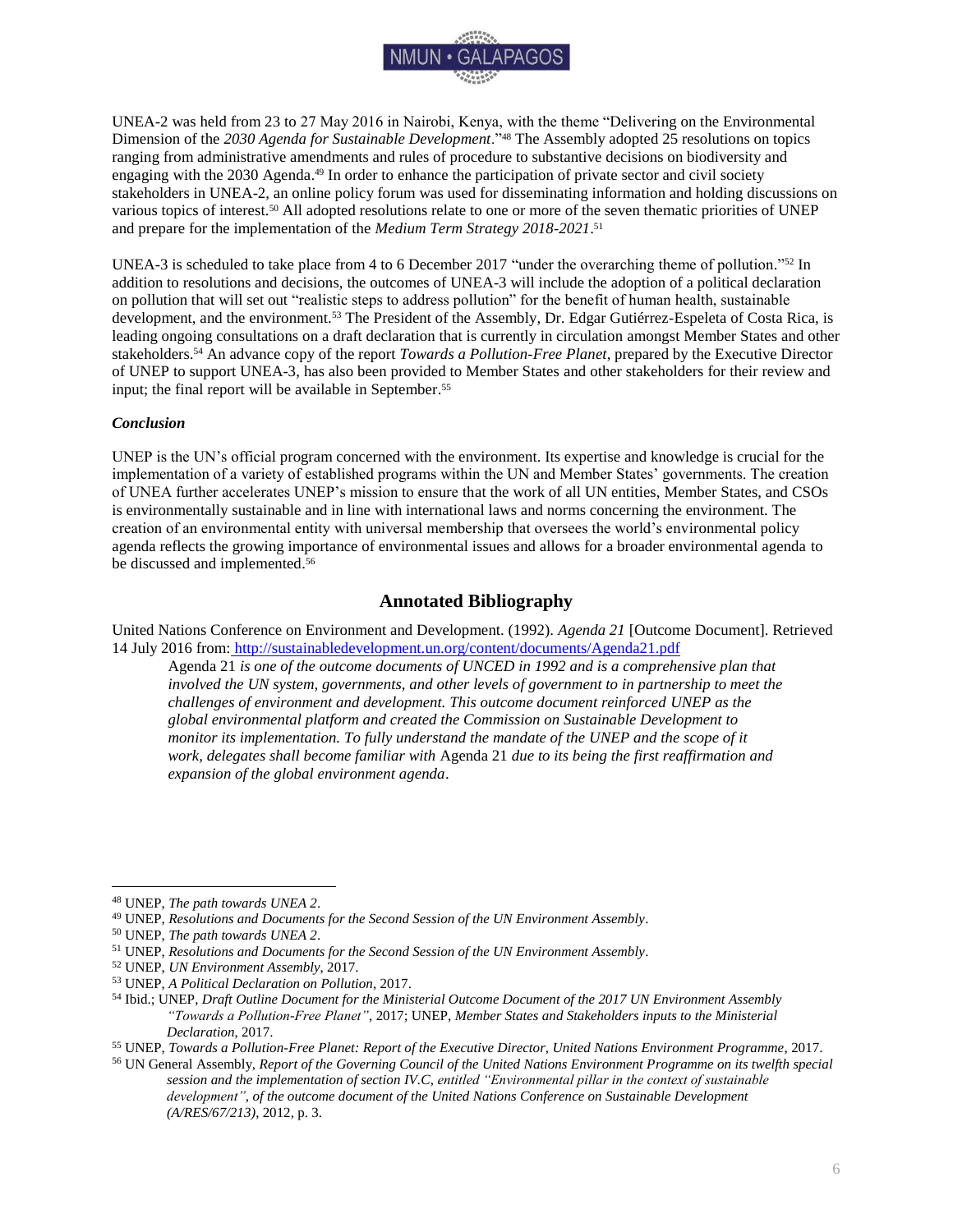

United Nations Environment Programme. (n.d.). *Resolutions and Documents for the Second Session of the UN Environment Assembly* [Website]. Retrieved 31 July 2017 from:

<http://www.unep.org/about/cpr/documents/resolutions-and-documents-second-session-un-environment-assembly>

*This website is critical for delegates to understand what took place at the second session of the UNEA. It includes links to all of the resolutions adopted and official working documents that include the provisional agenda and reports from various entities on thematic issues. These documents provide delegates with an understanding of the scope of issues UNEP addresses, as well as changes to the rules of procedure unique to UNEA as the governing body of UNEP.* 

United Nations Environment Programme. (2016). *Medium Term Strategy 2018-2021*. Retrieved 30 July 2017 from: <https://wedocs.unep.org/rest/bitstreams/11369/retrieve>

*This is the next medium-term strategy for UNEP, which will take effect in 2018 when the current medium term strategy expires. This document is of particular importance for the delegates as it takes into consideration the* 2030 Agenda for Sustainable Development *while continuing to emphasize the seven priority areas. The document briefly outlines what has been achieved pursuant to the current medium-term strategy and uses a variety of statistics to illustrate the upcoming work and ongoing priorities of UNEP for the next several years.* 

United Nations Environment Programme. (2017). *About the UN Environment Assembly* [Website]. Retrieved 29 August 2017 from: <http://www.unep.org/environmentassembly/about-un-environment-assembly>

*This website provides a basic understanding of UNEA and its role within UNEP, including its structure, mandate, and why it is important to the UN system. It is a critical location for delegates to begin their research as it provides brief summaries on the functions, recent and past sessions, and thematic issues of UNEA, while also providing links to detailed resolutions and reports on various topics. This website should help delegates to easily distinguish between UNEP and UNEA and understand how they are connected to each other.*

United Nations Environment Programme. (2017). *Towards a Pollution-Free Planet: Report of the Executive Director, United Nations Environment Programme*. Retrieved 9 July 2017 from: [http://wedocs.unep.org/bitstream/handle/20.500.11822/21213/Towards\\_a\\_pollution\\_free\\_planet\\_advance%20versio](http://wedocs.unep.org/bitstream/handle/20.500.11822/21213/Towards_a_pollution_free_planet_advance%20version.pdf?sequence=2&isAllowed=y) [n.pdf?sequence=2&isAllowed=y](http://wedocs.unep.org/bitstream/handle/20.500.11822/21213/Towards_a_pollution_free_planet_advance%20version.pdf?sequence=2&isAllowed=y)

*This report is published by UNEP in support of UNEA-3, which will convene in December 2017. As its theme implies, the meetings of UNEA-3 will discuss the environmental impacts of pollution on the planet, and the public and private sectors have a role to play in pollution management and reduction. The economic and health toll of pollution can also create adverse secondary effects, such as mass migration or malnutrition due to an inhospitable climate. It will be important to think ahead to UNEA-3 and seek solutions that are holistic and productive towards meeting the SDGs.*

United Nations, General Assembly, Sixty-sixth session. (2012). *The Future We Want (A/RES/66/288)* [Outcome Document]. Retrieved 31 July 2017 from:<http://undocs.org/A/RES/66/288>

*This is the outcome document of Rio+20 that called for the strengthening of UNEP, including through the establishment of universal membership for the Governing Council. Through this document, the international community signaled that it was ready to prioritize the environment alongside issues such as peace, security, and health. Delegates should familiarize themselves with the commitments made by Member States at Rio+20 and consider how the expanded membership has contributed to a truly universal environment agenda.* 

# **Bibliography**

<span id="page-6-0"></span>New Zealand, Ministry of Foreign Affairs and Trade. (2016). *United Nations Handbook 2016-17.* Retrieved 29 July 2017 from: [https://mfat.govt.nz/assets/\\_securedfiles/Handbooks/United\\_Nations\\_Handbook-2016-2017.pdf](https://mfat.govt.nz/assets/_securedfiles/Handbooks/United_Nations_Handbook-2016-2017.pdf)

United Nations Conference on Environment and Development. (1992). *Agenda 21* [Outcome Document]. Retrieved 14 July 2016 from: <http://sustainabledevelopment.un.org/content/documents/Agenda21.pdf>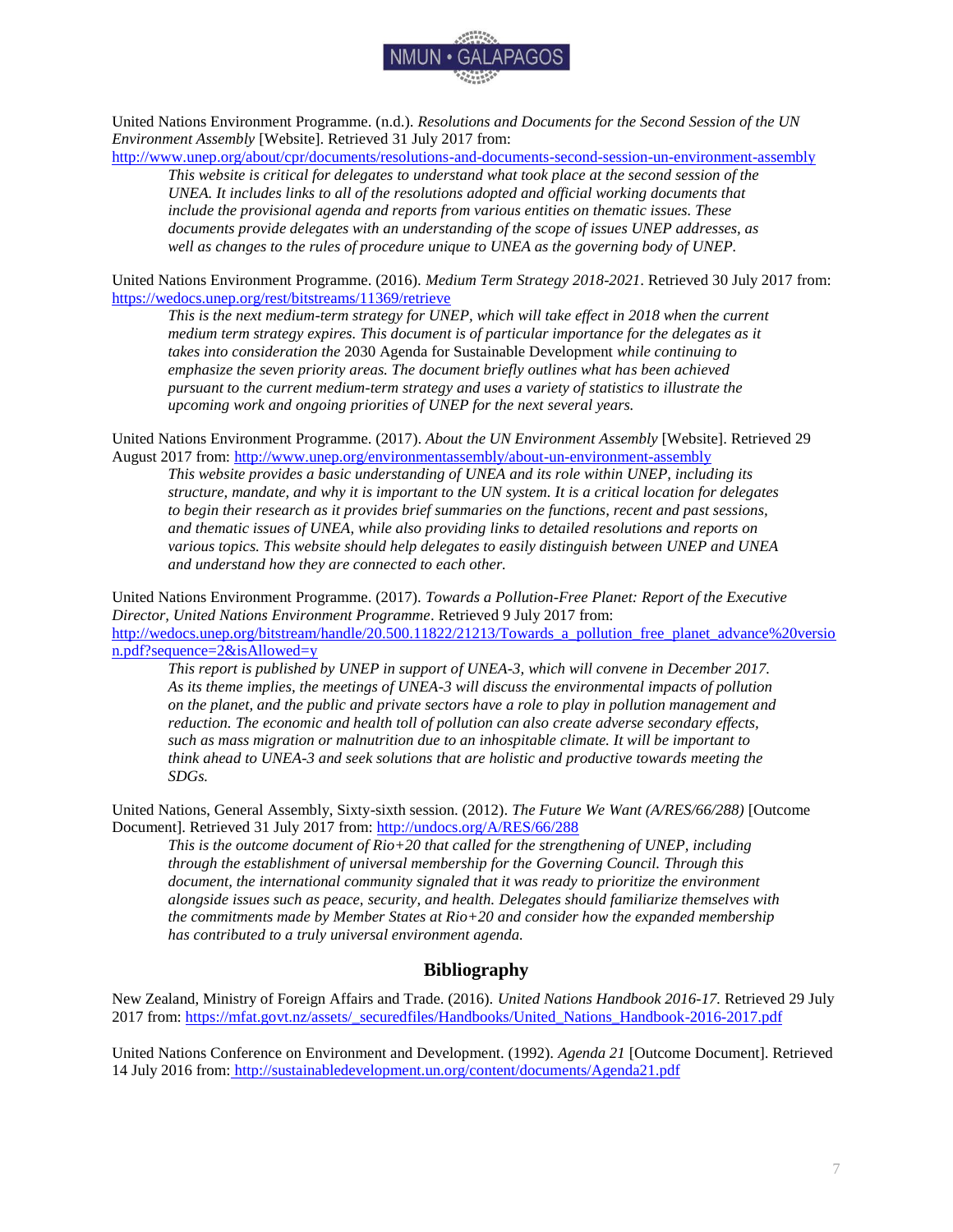

United Nations, Department of Economic and Social Affairs. (n.d.). *United Nations Conference on Environment and Development (UNCED), Earth Summit* [Website]. Retrieved 29 August 2017 from: <https://sustainabledevelopment.un.org/milestones/unced>

United Nations, Department of Public Information. (2017). *The United Nations System* [Chart]. Retrieved 29 July 2017 from: [http://www.un.org/en/aboutun/structure/pdfs/UN%20System%20Chart\\_ENG\\_FINAL\\_MARCH13\\_2017.pdf](http://www.un.org/en/aboutun/structure/pdfs/UN%20System%20Chart_ENG_FINAL_MARCH13_2017.pdf)

United Nations Environment Programme. (n.d.). *1997 - Nairobi Declaration redefines and strengthens UNEP's role and mandate* [Website]. Retrieved 31 July 2017 from: <http://staging.unep.org/Documents.multilingual/Default.asp?DocumentID=287&ArticleID=1728&l=en>

United Nations Environment Programme. (n.d.). *Committee of Permanent Representatives* [Website]. Retrieved 31 July 2017 from:<http://www.unep.org/about/cpr/>

United Nations Environment Programme. (n.d.). *Funding for UN Environment* [Website]. Retrieved 31 July 2017 from[: http://www.unep.org/about/funding/](http://www.unep.org/about/funding/)

United Nations Environment Programme. (n.d.). *Major Groups and Stakeholders In The Regions* [Website]. Retrieved 31 July 2017 from: [http://staging.unep.org/civil](http://staging.unep.org/civil-society/IntheRegions/RegionalConsultations/tabid/52196/Default.aspx)[society/IntheRegions/RegionalConsultations/tabid/52196/Default.aspx](http://staging.unep.org/civil-society/IntheRegions/RegionalConsultations/tabid/52196/Default.aspx)

United Nations Environment Programme. (n.d.). *The path towards UNEA 2* [Website]. Retrieved 31 July 2017 from: <http://www.unep.org/about/majorgroups/path-towards-unea-2>

United Nations Environment Programme. (n.d.). *Resolutions and Documents for the Second Session of the UN Environment Assembly* [Website]. Retrieved 31 July 2017 from: <http://www.unep.org/about/cpr/documents/resolutions-and-documents-second-session-un-environment-assembly>

United Nations Environment Programme. (1972). *Declaration of the United Nations Conference on the Human Environment*. Retrieved 31 July 2017 from: http:// <http://undocs.org/A/CONF.48/14/Rev.1>

United Nations Environment Programme. (2003). *Report of the Twenty-Second Session of the Governing Council/Global Environment Forum*. Retrieved 31 July 2017 from: [https://digitallibrary.un.org/record/514672/files/UNEP\\_GC\\_22\\_INF\\_1\\_Rev.1-EN.pdf](https://digitallibrary.un.org/record/514672/files/UNEP_GC_22_INF_1_Rev.1-EN.pdf)

United Nations Environment Programme. (2012, December 21). *United Nations Environment Programme Upgraded to Universal Membership Following Rio+20 Summit* [Press Release]. Retrieved 29 August 2017 from: [http://www.unep.org/newscentre/united-nations-environment-programme-upgraded-universal-membership](http://www.unep.org/newscentre/united-nations-environment-programme-upgraded-universal-membership-following-rio20-summit)[following-rio20-summit](http://www.unep.org/newscentre/united-nations-environment-programme-upgraded-universal-membership-following-rio20-summit)

United Nations Environment Programme. (2014, June 27). *Policy Statement by Achim Steiner, UN Under-Secretary-General and UNEP Executive Director* [News Article]. Retrieved 31 July 2017 from: [http://www.unep.org/newscentre/policy-statement-achim-steiner-un-under-secretary-general-and-unep-executive](http://www.unep.org/newscentre/policy-statement-achim-steiner-un-under-secretary-general-and-unep-executive-director)[director](http://www.unep.org/newscentre/policy-statement-achim-steiner-un-under-secretary-general-and-unep-executive-director)

United Nations Environment Programme. (2014). *Resolutions and decisions adopted by the United Nations Environment Assembly of the United Nations Environment Programme at its first session on 27 June 2014*. Retrieved 31 July 2017 from:

[http://drustage.unep.org/chemicalsandwaste/sites/unep.org.chemicalsandwaste/files/publications/UNEA%20Special](http://drustage.unep.org/chemicalsandwaste/sites/unep.org.chemicalsandwaste/files/publications/UNEA%20Special%20Programme%20resolution%201-5%20and%20annex%20II.pdf) [%20Programme%20resolution%201-5%20and%20annex%20II.pdf](http://drustage.unep.org/chemicalsandwaste/sites/unep.org.chemicalsandwaste/files/publications/UNEA%20Special%20Programme%20resolution%201-5%20and%20annex%20II.pdf)

United Nations Environment Programme. (2015). *Medium Term Strategy for 2014-2017*. Retrieved 31 July 2017 from[: https://wedocs.unep.org/bitstream/handle/20.500.11822/7670/-UNEP\\_Medium\\_Term\\_Strategy\\_2014-2017-](https://wedocs.unep.org/bitstream/handle/20.500.11822/7670/-UNEP_Medium_Term_Strategy_2014-2017-2015MTS_2014-2017.pdf.pdf) [2015MTS\\_2014-2017.pdf.pdf](https://wedocs.unep.org/bitstream/handle/20.500.11822/7670/-UNEP_Medium_Term_Strategy_2014-2017-2015MTS_2014-2017.pdf.pdf)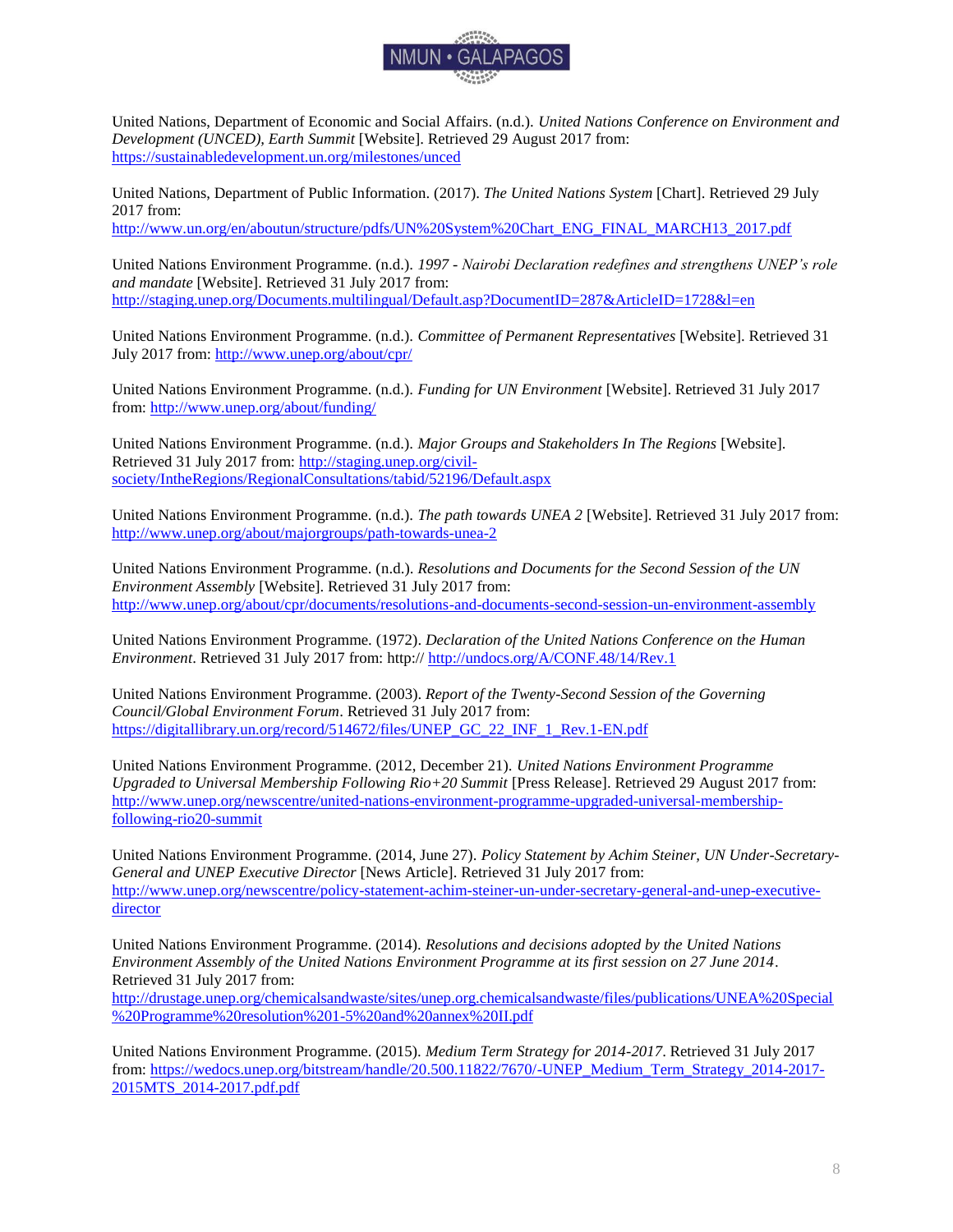

United Nations Environment Programme. (2016). *Medium Term Strategy 2018-2021*. Retrieved 30 July 2017 from: <https://wedocs.unep.org/rest/bitstreams/11369/retrieve>

United Nations Environment Programme. (2017). *About the UN Environment Assembly* [Website]. Retrieved 29 August 2017 from: <http://www.unep.org/environmentassembly/about-un-environment-assembly>

United Nations Environment Programme. (2017). *Draft Outline Document for the Ministerial Outcome Document of the 2017 UN Environment Assembly "Towards a Pollution-Free Planet"*. Retrieved 9 July 2017 from: [http://wedocs.unep.org/bitstream/handle/20.500.11822/20896/Draft%20Outline%20REV%20June%201\\_ak%20edit](http://wedocs.unep.org/bitstream/handle/20.500.11822/20896/Draft%20Outline%20REV%20June%201_ak%20edits_CLEAN.pdf?sequence=1&isAllowed=y) [s\\_CLEAN.pdf?sequence=1&isAllowed=y](http://wedocs.unep.org/bitstream/handle/20.500.11822/20896/Draft%20Outline%20REV%20June%201_ak%20edits_CLEAN.pdf?sequence=1&isAllowed=y)

United Nations Environment Programme. (2017). *Member States and Stakeholders inputs to the Ministerial Declaration* [Website]. Retrieved 9 July 2017 from:<http://www.unep.org/environmentassembly/node/1263/>

United Nations Environment Programme. (2017). *A Political Declaration on Pollution* [Website]. Retrieved 17 June 2017 from:<http://www.unep.org/environmentassembly/documents/political-declaration-pollution>

United Nations Environment Programme. (2017). *Towards a Pollution-Free Planet: Report of the Executive Director, United Nations Environment Programme*. Retrieved 9 July 2017 from: [http://wedocs.unep.org/bitstream/handle/20.500.11822/21213/Towards\\_a\\_pollution\\_free\\_planet\\_advance%20versio](http://wedocs.unep.org/bitstream/handle/20.500.11822/21213/Towards_a_pollution_free_planet_advance%20version.pdf?sequence=2&isAllowed=y) [n.pdf?sequence=2&isAllowed=y](http://wedocs.unep.org/bitstream/handle/20.500.11822/21213/Towards_a_pollution_free_planet_advance%20version.pdf?sequence=2&isAllowed=y)

United Nations Environment Programme. (2017). *UN Environment Assembly* [Website]. Retrieved 29 August 2017 from[: http://www.unep.org/environmentassembly/](http://www.unep.org/environmentassembly/)

United Nations, General Assembly, Twenty-seventh session. (1972). *Institutional and financial arrangements for international environmental cooperation (A/RES/2997(XXVII))* [Resolution]. Adopted on the report of the Second Committee (A/8901). Retrieved 31 July 2017 from: [http://undocs.org/A/RES/2997\(XXVII\)](http://undocs.org/A/RES/2997(XXVII))

United Nations, General Assembly, Sixty-sixth session. (2012). *The Future We Want (A/RES/66/288)* [Outcome Document]. Retrieved 31 July 2017 from:<http://undocs.org/A/RES/66/288>

United Nations, General Assembly, Sixty-seventh session. (2012). *Report of the Governing Council of the United Nations Environment Programme on its twelfth special session and the implementation of section IV.C, entitled "Environmental pillar in the context of sustainable development", of the outcome document of the United Nations Conference on Sustainable Development (A/RES/67/213)* [Resolution]. Adopted on the report of the Second Committee (A/67/437/Add.7). Retrieved 31 July 2017 from:<http://undocs.org/A/RES/67/213>

United Nations, General Assembly, Sixty-seventh session. (2013). *Change of the designation of the Governing Council of the United Nations Environment Programme (A/RES/67/251)* [Resolution]. Adopted without reference to a Main Committee (A/67/784). Retrieved 31 July 2017 from:<http://undocs.org/A/RES/67/251>

United Nations, General Assembly, Seventieth session. (2015). *Transforming our world: the 2030 Agenda for Sustainable Development (A/RES/70/1)*. Retrieved 31 July 2017 from:<http://undocs.org/A/RES/70/1>

United Nations System Chief Executive Board of Coordination. (n.d.). *United Nations Environment Programme* [Website]. Retrieved 14 July 2017 from[: http://www.unsceb.org/content/unep](http://www.unsceb.org/content/unep)

World Summit on Sustainable Development. (2002). *Report of the World Summit on Sustainable Development (A/CONF.199/20)*. Retrieved 29 August 2017 from:<http://undocs.org/A/CONF.199/20>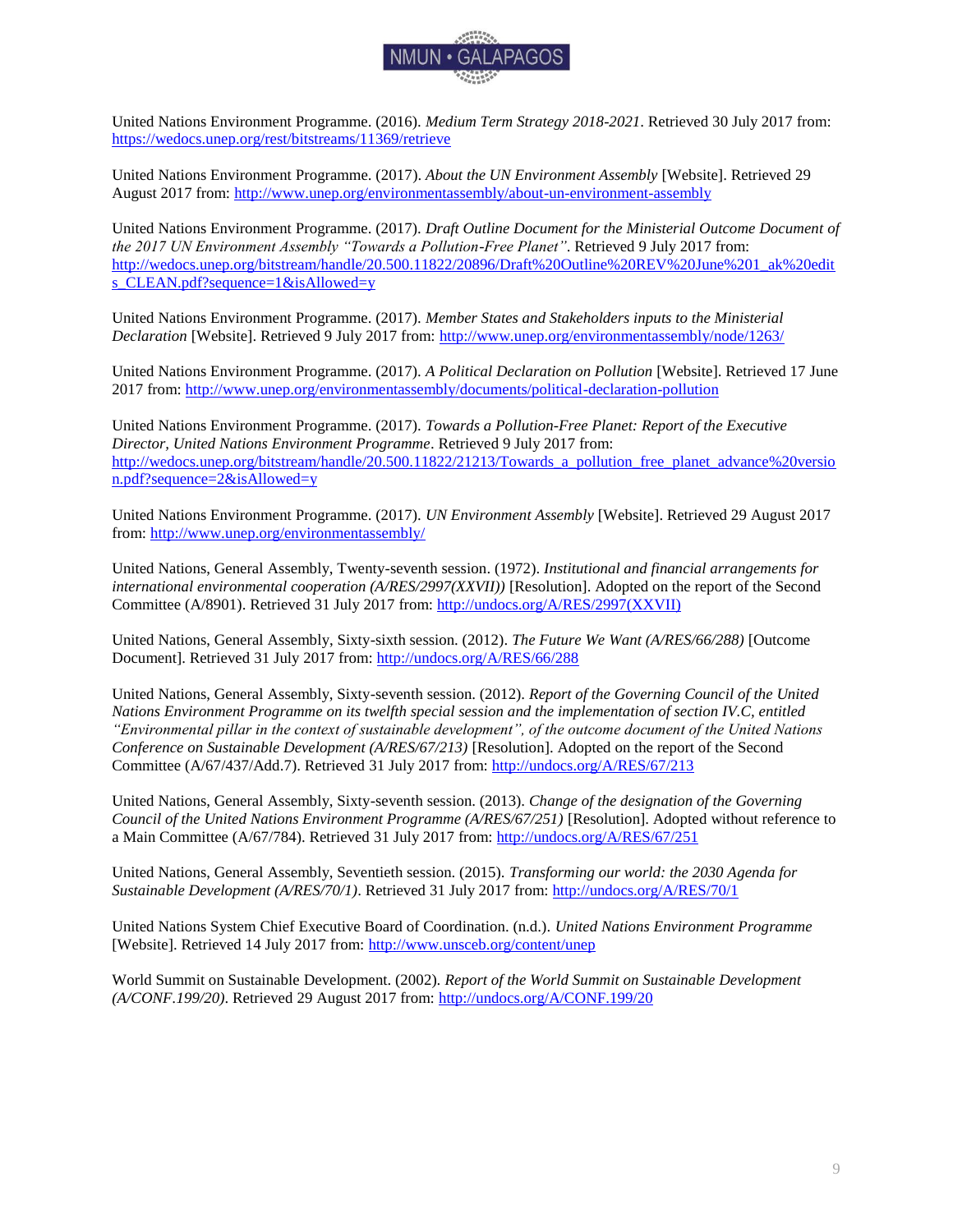

# **I. Management and Reduction of Waste in Urban Areas**

<span id="page-9-0"></span>*"Sustainable development is the pathway to the future we want for all. It offers a framework to generate economic growth, achieve social justice, exercise environmental stewardship and strengthen governance."*<sup>57</sup>

#### <span id="page-9-1"></span>*Introduction*

The protection of the environment represents one of the biggest concerns for the United Nations (UN).<sup>58</sup> To achieve the global environmental agenda and sustainable development, international cooperation is required.<sup>59</sup> Cities are essential stakeholders in efforts to protect the environment due to the impact of their large populations: in 2016, approximately 54.5% of the world's population lived in cities, and this figure is expected to rise to 60% by 2030.<sup>60</sup> The role and responsibilities of cities with respect to the protection of the environment have been discussed at several UN conferences.<sup>61</sup> The 1992 UN Conference on Environment and Development (UNCED) resulted in *Agenda 21*, which affirmed that cities need to be aligned to the global environment agenda due to the high amount of resources used in urban areas.<sup>62</sup> At the UN Conference on Sustainable Development in 2012, Member States adopted *The Future We Want*, which included important statements on urban areas and how they affect the environment.<sup>63</sup> The *2030 Agenda for Sustainable Development* (2015), adopted at the UN Sustainable Development Summit, describes cities as spaces of action for sustainable development, and the third UN Conference on Housing and Sustainable Urban Development (2016) focused on cities as "drivers of sustainable development" and critical actors in generating and achieving sustainable practices.<sup>64</sup>

For cities, effective waste management and reduction constitute significant challenges to ensuring sustainable urban development that is compatible with environmental protection. <sup>65</sup> Cities are crucial to waste management and reduction efforts as they are centers of production of a variety of waste, which can be defined as "materials that are not prime products (that is, products produced for the market) for which the generator has no further use in terms of his/her own purposes of production, transformation or consumption, and of which he/she wants to dispose."<sup>66</sup> Waste is generally divided into two broad categories – hazardous and non-hazardous – depending on the treatment and attention that is required.<sup>67</sup> Improperly managed waste can cause economic, social, and environmental damages.<sup>68</sup> For example, unsustainable production and consumption processes cause economic and social damages as "natural resources are being consumed to the point of exhaustion, generating impacts on a planetary scale, imposing huge impacts on human health and the environment and creating massive social disruption."<sup>69</sup> These social and environmental damages are even more severe "for those living near disposal sites."<sup>70</sup> Practices such as dumping and uncontrolled open burning of hazardous wastes are "common" and "even increasing in some parts of the world," leading to higher chances of negative impacts on human health.<sup>71</sup>

As waste management is one of its most important priorities, the UN Environment Programme (UNEP) has taken several actions to address this theme.<sup>72</sup> These actions involve partnerships, conventions, treaties, plans, and provision of technical assistance.<sup>73</sup> Cities are essential to the initiatives planned to foster adequate waste management practices; accordingly, local authorities and civil society are working to analyze demands and address

<sup>57</sup> UN Secretary-General, *Secretary-General's remarks at a G20 working dinner on "Sustainable Development for All"*, 2013. <sup>58</sup> UNEP, *Overview.*

<sup>59</sup> UNCED, *Agenda 21*, 1992.

<sup>60</sup> Ibid.; UN General Assembly, *New Urban Agenda (A/71/256)*, 2016; UN DESA, *The World's Cities in 2016*, 2016.

<sup>61</sup> UNEP, *Overview.*

<sup>62</sup> UNCED, *Agenda 21*, 1992.

<sup>63</sup> UN General Assembly, *The Future We Want (A/RES/66/288)*, 2012.

<sup>64</sup> UN General Assembly, *Transforming our world: the 2030 Agenda for Sustainable Development (A/RES/70/1)*, 2015; UN General Assembly, *New Urban Agenda (A/71/256),* 2016; UN DESA, *Habitat III*.

<sup>65</sup> Vilella, Zero Waste Cities: At the Forefront of the Sustainable Development Goals Agenda, *The World Post*, 2016.

<sup>66</sup> OECD, *Waste*, 2003; UNEP & UNITAR, *Guidelines for National Waste Management Strategies*, 2013, p. 17.

<sup>67</sup> Ibid., p. 15.

<sup>68</sup> Ibid., p. 8.

<sup>69</sup> Ibid., p. 12.

<sup>70</sup> Ibid., p. 8.

<sup>71</sup> UNEP, *Global Environment Outlook (GEO-5)*, 2012, p. 170.

<sup>72</sup> UNEP, *Background.*

<sup>73</sup> UNEP, *Background.*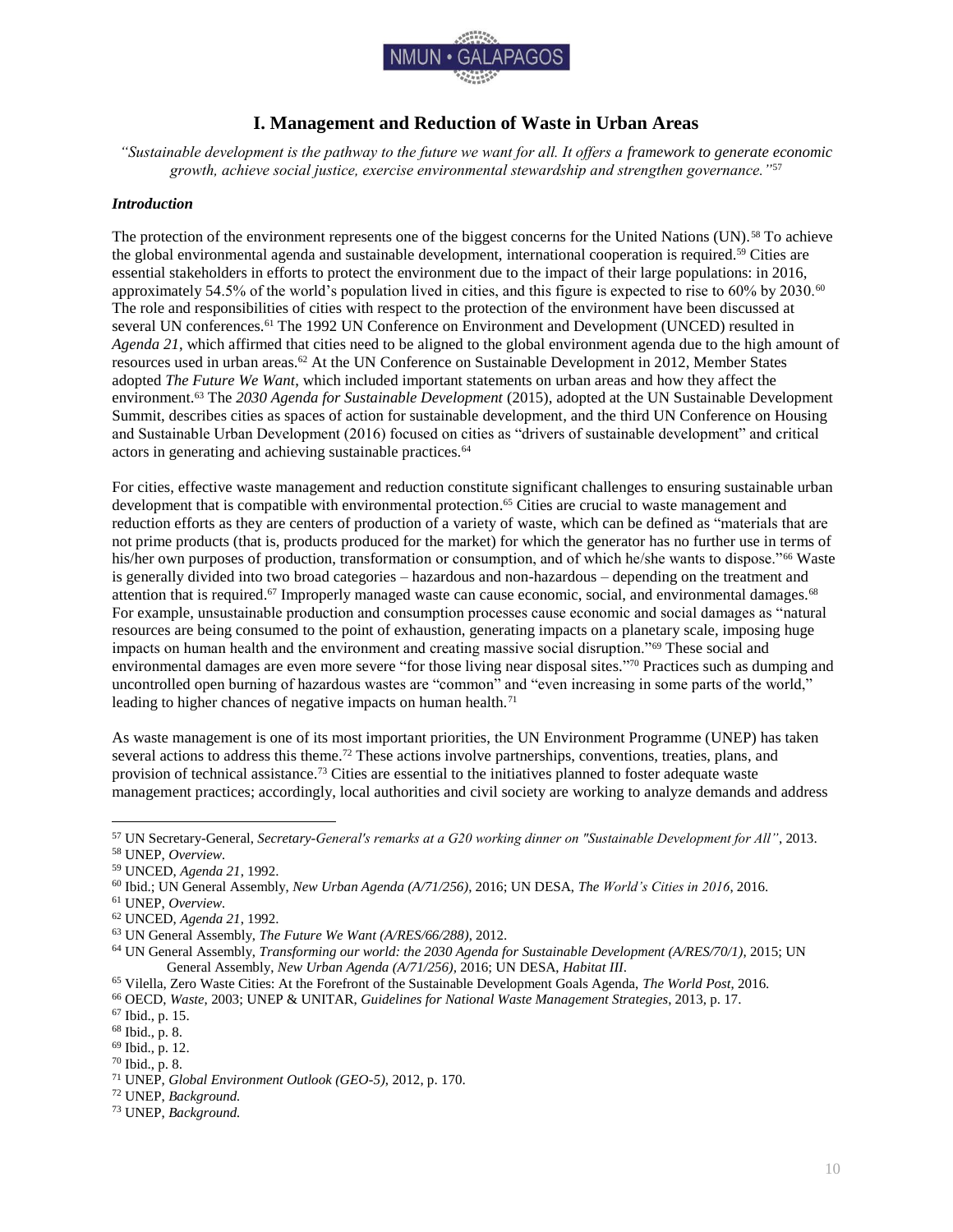

issues concerning waste.<sup>74</sup> Through multilateral effort, urban areas can become properly equipped with the tools to manage waste and to promote sustainable use of resources.<sup>75</sup>

#### <span id="page-10-0"></span>*International and Regional Framework*

The international community has documented its pledge to achieve sustainable development in numerous framework documents that refer to the effects of urban areas on the environment and stress the responsibilities generated around them regarding the management and reduction of waste.<sup>76</sup> The commitment of Member States to the protection of the environment is clearly stated in *Agenda 21* (1992), which highlights that the well-being of humanity relies on the conservation of the environment.<sup>77</sup> *Agenda 21* also remarks that "integration of environment with development concerns and greater attention to them will lead to the fulfilment of basic needs, improved living standards for all, better protected and managed ecosystems and a safer, more prosperous future."<sup>78</sup> This can be achieved only through a joint effort of Member States: "a global partnership for sustainable development" that can be fulfilled by a conscious approach to environment and development issues.<sup>79</sup> In this vein, urban areas have started to be a crucial part of the international debate on the grounds of sustainable development and the protection of the environment.<sup>80</sup> *Agenda 21* points out that this is because cities have a large impact on the environment due to the amount of resources that they use to meet economic and social needs.<sup>81</sup> Environmental impact is even more significant in developing cities as they consume more resources to reach a developed status.<sup>82</sup> *Agenda 21* also includes several chapters on the management of different types of wastes, including toxic chemicals, hazardous wastes, solid wastes, and radioactive wastes.<sup>83</sup> It further highlights that the sustainability of urban settlements can be achieved through the adoption of practices such as waste management.<sup>84</sup>

Member States further confirmed their commitment to the protection of the environment in *The Future We Want*, which was adopted at Rio+20 in 2012.<sup>85</sup> *The Future We Want* states that sustainable development possesses three dimensions, "economic, social and environmental," and all of them must be achieved.<sup>86</sup> *The Future We Want* also observes that cities are crucial to the achievement of sustainable development as they will contain over "9 billion people by 2050."<sup>87</sup> Given this fact, the partnerships built between cities constitute a core tool to foster sustainable development; cities should thus join efforts in order to overcome the challenges posed by waste. <sup>88</sup> Member States voiced their commitment to building sustainable cities and urban settlements, as well as their support for "the sustainable management of waste through the application of the 3Rs (reduce, reuse and recycle)."<sup>89</sup>

Through the 2030 Agenda and the Sustainable Development Goals (SDGs), which succeeded the Millennium Development Goals that expired at the end of 2015, Member States renewed their commitment to the protection of the environment and the fulfillment of sustainable development. <sup>90</sup> SDG 11 establishes the ambition of "making cities and human settlements inclusive, safe, resilient and sustainable."<sup>91</sup> Target 6 of Goal 11 commits the international community to reducing, by 2030, "the adverse per capita environmental impact of cities, including by paying special

<sup>74</sup> UNEP, *Chemicals and Waste*; Kosovar Civil Society Foundation, *Calls for proposals on waste management.*

<sup>75</sup> UNEP & UNITAR, *Guidelines for National Waste Management Strategies*, 2013.

<sup>76</sup> UNCED, *Agenda 21*, 1992; UN General Assembly, *The Future We Want (A/RES/66/288)*, 2012; UN General Assembly, *Transforming our world: the 2030 Agenda for Sustainable Development (A/RES/70/1)*, 2015; UN General Assembly, *New Urban Agenda (A/71/256)*, 2016.

<sup>77</sup> UNCED, *Agenda 21*, 1992.

<sup>78</sup> Ibid.

<sup>79</sup> Ibid.

 $\rm ^{80}$  Ibid.

<sup>81</sup> Ibid.

<sup>82</sup> Ibid.

<sup>83</sup> Ibid., chs. 19-22.

<sup>84</sup> Ibid.

<sup>85</sup> UN General Assembly, *The Future We Want (A/RES/66/288)*, 2012.

<sup>86</sup> Ibid.

<sup>87</sup> Ibid.

<sup>88</sup> Ibid.

<sup>89</sup> Ibid., p. 26.

<sup>90</sup> UN General Assembly, *Transforming our world: the 2030 Agenda for Sustainable Development (A/RES/70/1)*, 2015.

<sup>91</sup> Ibid.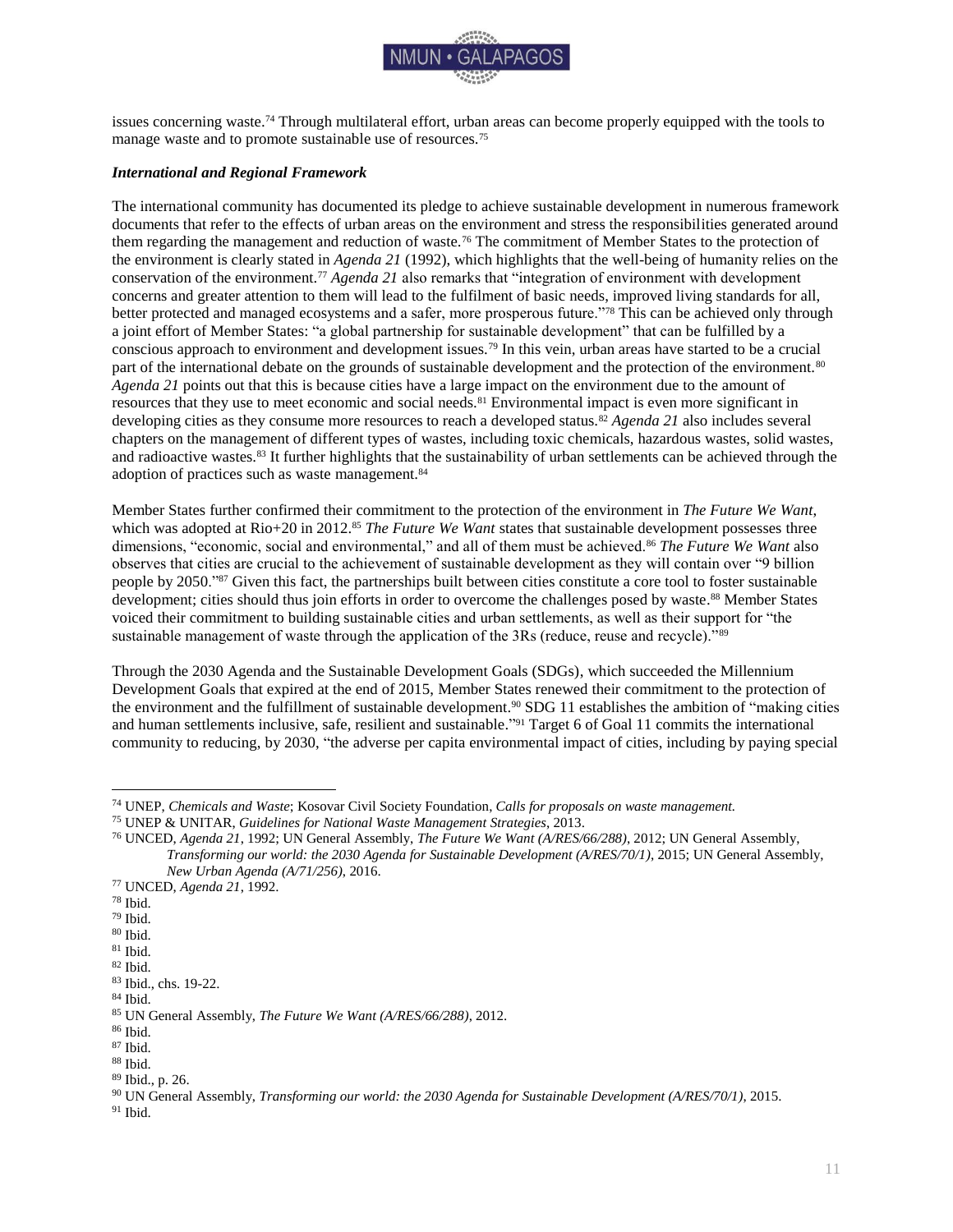

attention to air quality and municipal and other waste management." <sup>92</sup> Waste management represents a core step for the cities to reach sustainability.<sup>93</sup> One of the indicators associated with target 11.6 guides urban areas to evaluate their waste management based on "the proportion of urban solid waste regularly collected and with adequate final discharge out of total urban solid waste generated."<sup>94</sup>

Adopted at the third UN Conference on Housing and Sustainable Development (Habitat III), and later endorsed by the General Assembly, the *New Urban Agenda* (2016) recognizes the relevance of the urban areas in the implementation of environmental sustainability. <sup>95</sup> This document gathers commitments from representatives of Member States and other stakeholders to achieve a shared vision of "cities for all," or "just, safe, healthy, accessible, affordable, resilient and sustainable cities and human settlements [that will] foster prosperity and quality of life for all."<sup>96</sup> The *New Urban Agenda* includes a commitment "to promoting environmentally sound waste management and to substantially reducing waste generation by reducing, reusing and recycling waste, minimizing landfills and converting waste to energy when waste cannot be recycled or when this choice delivers the best environmental outcome."<sup>97</sup> Additional commitments include fostering the development of adequate infrastructure for the management of waste in urban areas, as well as promoting "universal access to sustainable waste management systems" through "decentralized decision-making."<sup>98</sup>

Other important international frameworks relate specifically to waste management, control, and disposal.<sup>99</sup> The *Basel Convention on the Control of Transboundary Movements of Hazardous Wastes and Their Disposal* (1989) is an important agreement on hazardous waste management that aims to "reduce hazardous waste generation and promote environmentally sound management of hazardous wastes, wherever the place of disposal," and to restrict and regulate the movement of these type of wastes.<sup>100</sup> In 1998, the *Rotterdam Convention on the Prior Informed Consent Procedure for Certain Hazardous Chemicals and Pesticides in International Trade* was adopted at a Conference of Plenipotentiaries.<sup>101</sup> This convention recognizes that "trade and environmental policies should be mutually supportive with a view to achieving sustainable development."<sup>102</sup> The *Stockholm Convention on Persistent Organic Pollutants*, adopted in 2001, focuses on restricting production and ensuring safe disposal of certain toxic organic compounds that resist degradation, accumulate in ecosystems, and cause harm to human health and the environment.<sup>103</sup> The Basel, Rotterdam, and Stockholm Conventions share a joint secretariat that is hosted by UNEP.<sup>104</sup>

# <span id="page-11-0"></span>*Role of the International System*

Since its creation in 1972, UNEP has led efforts to achieve the global environmental agenda in its role as the "environmental conscience of the UN system."<sup>105</sup> UNEP works to ensure the fulfillment of the environmental dimension of sustainable development and to protect the environment, including through promoting effective waste management and reduction.<sup>106</sup> UNEP manages the International Environment Technology Centre, "which works with governments around the world to help them reduce waste and manage it effectively"; UNEP also has a leading role in the Global Partnership on Waste Management, which focuses on raising awareness, fostering international

<sup>100</sup> *Basel Convention on the Control of Transboundary Movements of Hazardous Wastes and Their Disposal*, 1989.

<sup>101</sup> *Rotterdam Convention on the Prior Informed Consent Procedure for Certain Hazardous Chemicals and Pesticides in International Trade,* 1998.

 $\overline{a}$ <sup>92</sup> UN DESA, *Sustainable Development Goal 11*.

<sup>93</sup> Ibid.

<sup>94</sup> Ibid.

<sup>95</sup> UN General Assembly, *New Urban Agenda (A/71/256)*, 2016.

<sup>96</sup> Ibid.

<sup>97</sup> Ibid., p. 14.

<sup>98</sup> Ibid.

<sup>99</sup> UN General Assembly, *The Future We Want (A/RES/66/288)*, 2012, p. 18.

<sup>102</sup> Ibid., p. 8.

<sup>103</sup> *Stockholm Convention on Persistent Organic Pollutants*, 2001.

<sup>104</sup> UNEP, *Dimensions of Pollution: Waste*, 2017.

<sup>105</sup> UNEP, *Background*; UNEP, *Overview.* 

<sup>106</sup> UNEP, *Overview.*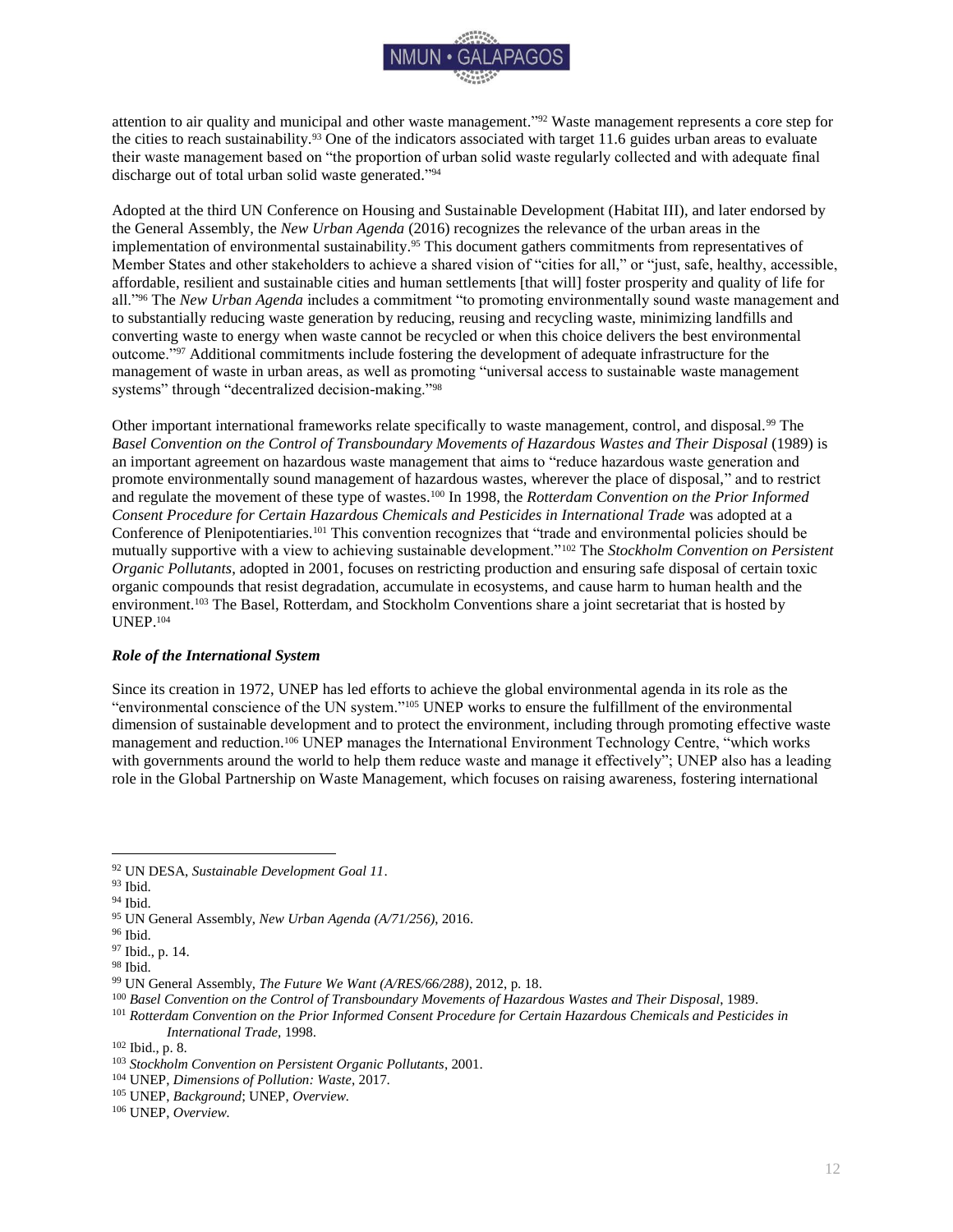

cooperation, and capacity-building.<sup>107</sup> UNEA is the main governing body of UNEP and it therefore guides UNEP's work.<sup>108</sup> In December 2017, the third session of UNEA will focus on pollution, of which one dimension is waste.<sup>109</sup>

UNEP created the Subprogramme on Chemicals and Waste in order to support countries in the management of waste.<sup>110</sup> In order to accomplish its aims, the subprogramme receives the support of the Global Environment Facility (GEF), which is a coalition of "governments, industries, and civil society organizations."<sup>111</sup> The subprogramme and GEF are guided by the target set at the World Summit on Sustainable Development (WSSD), which is to reduce the hazards and negative outcomes of waste against human well-being and the conservation of the environment by 2020.<sup>112</sup> Guided by this target, governments, private sector, and civil society organizations (CSOs) are trained to respond to waste-related issues.<sup>113</sup> Through its Chemicals and Waste Branch*,* UNEP assists governments as they implement solutions to waste problems. <sup>114</sup> The work of the branch is focused on participating with governments on "clean production, use and disposal of chemicals" and on safe waste management practices.<sup>115</sup>

UNEP has established partnerships with programs, funds, and related organizations.<sup>116</sup> Some of the organizations actively working with UNEP are the UN Development Programme (UNDP), the UN Industrial Development Organization (UNIDO), the UN Institute for Training and Research (UNITAR), the International Labour Organization (ILO), the Food and Agriculture Organization of the UN (FAO), the World Health Organization (WHO), and the World Bank.<sup>117</sup> For example, UNITAR has collaborated with UNEP's International Environmental Technology Centre (IETC) to create the *Guidelines for National Waste Management Strategies: Moving from Challenges to Opportunities* (2013). <sup>118</sup> This set of strategies fulfil requests made of UNEP at Rio+20 and through *The Future We Want* to promote resource recovery, build national capacity, and develop adequate infrastructure for the management of waste.<sup>119</sup>

Aside from UNEP, other organizations undertake similar projects to address waste issues. UNITAR promotes wasterelated policies through its Chemicals and Waste Management Programme (CWM).<sup>120</sup> It also provides training on sound management of waste and has ensured that "over 60 countries have participated in skills-building workshops for sound action plan development."<sup>121</sup> The efforts of UNDP, through its Chemicals and Waste Area, are designed to identify and eradicate unsustainable waste management procedures, as they deepen poverty and health risks.<sup>122</sup> UNDP also provides support to countries on waste management, waste prevention, and green economy projects.<sup>123</sup> Likewise, the FAO Food for the Cities initiative incorporates aspects of solid waste management in urban areas, such as composting and sewage treatment, that can contribute to sustainable agriculture.<sup>124</sup> The ILO has contributed to tackling waste related-challenges from a labor perspective, including through a 2013 investigation into decent work in waste management in Windhoek, Namibia.<sup>125</sup> In this investigation, the ILO works to identify the employment opportunities and benefits created around waste management.<sup>126</sup> ILO work is thus focused on encouraging decent work conditions and employment in waste management sectors.<sup>127</sup>

 $\overline{a}$ 

<sup>121</sup> Ibid*.*

<sup>107</sup> UNEP, *Dimensions of Pollution: Waste*, 2017.

<sup>108</sup> UNEP, *About the UN Environment Assembly*, 2017*.*

<sup>109</sup> UNEP, *Dimensions of Pollution: Waste*, 2017.

<sup>110</sup> UNEP, *Chemicals and Waste.*

<sup>111</sup> UNEP, *Scope of the Chemicals and Waste Subprogramme.* 

<sup>112</sup> Ibid*.*

<sup>113</sup> Ibid*.*

<sup>114</sup> UNEP, *Chemicals and Waste*.

<sup>115</sup> Ibid*.*

<sup>116</sup> Ibid.

<sup>117</sup> Ibid.

<sup>118</sup> UNITAR, *Waste Management.*

<sup>119</sup> Ibid*.*

<sup>120</sup> UN Institute for Training and Research, *Chemicals and Waste Management.*

<sup>122</sup> UNDP, *Chemicals and Waste Management.*

<sup>123</sup> Ibid*.*

<sup>124</sup> FAO, *Food for the Cities,* 2017.

<sup>125</sup> ILO, *Decent work in waste management*, 2013.

<sup>126</sup> Ibid., p. 5.

<sup>127</sup> Ibid., p. 5.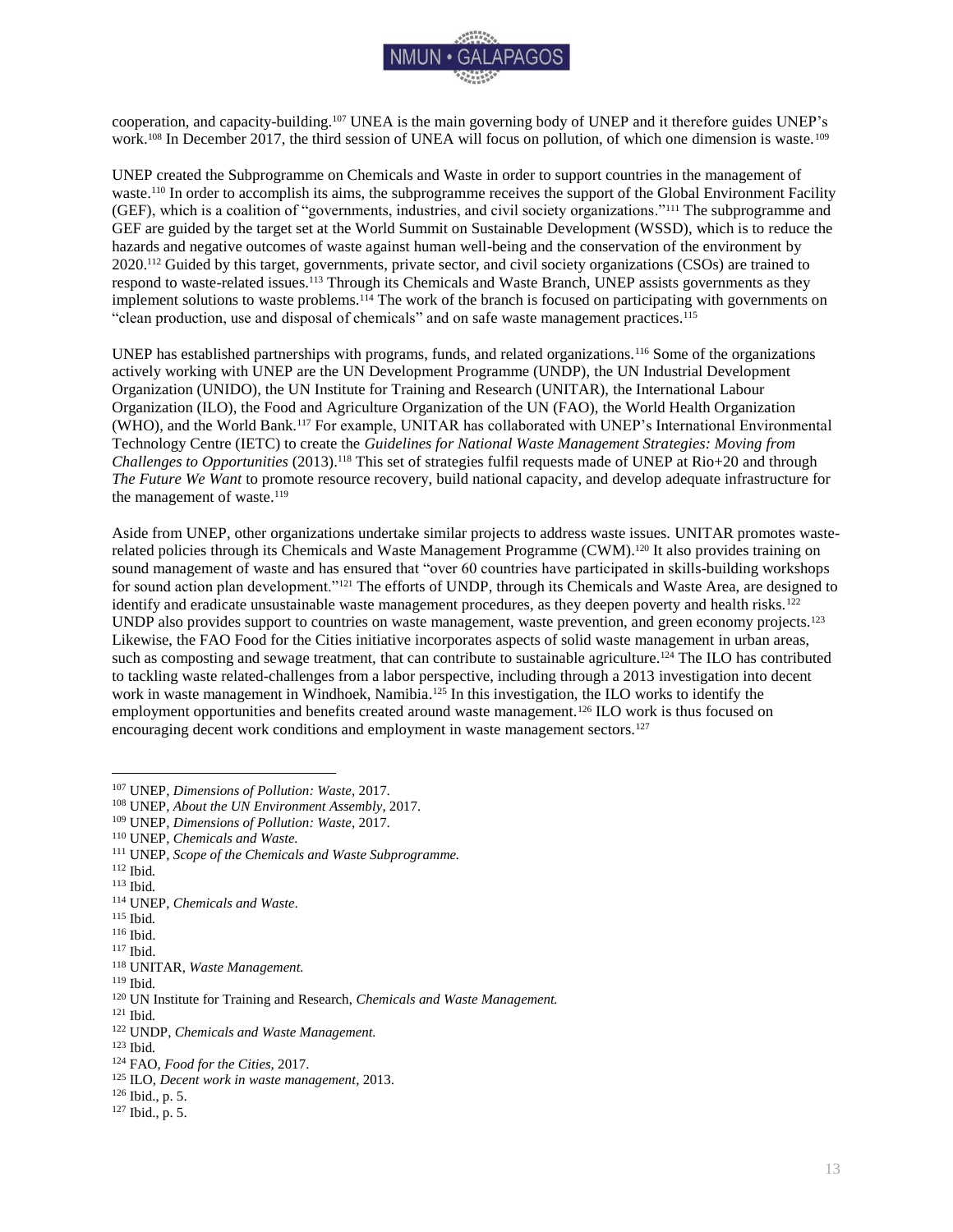

Some organizations outside the UN are also implementing actions to enhance the waste management sector.<sup>128</sup> The European Union (EU) is committed to achieving goals related to waste management and reduction as established by the European Commission.<sup>129</sup> Similarly, the Organisation for Economic Co-operation and Development (OECD) has created the *Guidance Manual on Environmentally Sound Management of Waste* (2007), which "aims at facilitating the implementation of an environmentally sound waste management policy" by both governments and waste treatment facilities. 130

CSOs have played an important role in promoting efficient waste management and reduction. <sup>131</sup> CSOs are crucial to bring solutions to waste issues as they represent the requests of citizens and local needs.<sup>132</sup> As an example, the Kosovar Civil Society Foundation is one of the CSOs focused on waste management.<sup>133</sup> This CSO raises awareness of the need to protect the environment, calling for citizens and institutions to present projects to improve waste management in Kosovo.<sup>134</sup>

#### <span id="page-13-0"></span>*Principles of Waste Management*

As set out in the *Guidelines for National Waste Management Strategies: Moving from Challenges to Opportunities*, UNEP and UNITAR identify three major principles of waste management: "waste hierarchy, life-cycle of products and the concept of waste as a resource."<sup>135</sup> These principles constitute the foundation for effective waste management strategy development. 136

The waste management hierarchy describes a group of actions that can be used for waste management and reduction.<sup>137</sup> From most to least preferred, the actions are:

- Prevention: "that the range, composition and design of products be changed in order to reduce waste through reduced resource demand and/or improved quality, i.e. improved manageability or reduced use of hazardous materials."<sup>138</sup>
- Reduction: to minimize "the production of waste at society and individual level." <sup>139</sup> This "helps conserve resources for future generations and contributes to a cleaner environment." 140
- Recycling: "processing and use of wastes in production and consumption processes, for example, melting of scrap iron so that it can be converted into new iron products."<sup>141</sup>
- Recovery: "any operation the principal result of which is waste serving a useful purpose by replacing other materials which would otherwise have been used to fulfil a particular function, or waste being prepared to fulfil that function, in the plant or in the wider economy."<sup>142</sup>
- Disposal: "waste elimination techniques comprising landfills, containment, underground disposal, dumping at sea and all other disposal methods."<sup>143</sup> It is considered the last mechanism to manage waste as it is a "last resort for waste which has not been able to be prevented, diverted, or recovered in the preceding steps."<sup>144</sup>

The waste management hierarchy reflects the end stages of the path of any given material or product.<sup>145</sup> However, the life cycle of a material or product begins with design, manufacture, distribution, and use, before then proceeding

<sup>129</sup> Ibid.

<sup>128</sup> European Environment Agency*, Municipal waste management across European countries,* 2017.

<sup>&</sup>lt;sup>130</sup> OECD, *Guidance Manual on Environmentally Sound Management of Waste*, 2007.

<sup>131</sup> UNDP, *Community-based Chemicals and Waste Management: Experiences from the GEF Small Grants Programme*, 2017.

<sup>132</sup> Ibid.

<sup>133</sup> Kosovar Civil Society Foundation, *Profile*, 2014.

<sup>134</sup> Kosovar Civil Society Foundation, *Calls for proposals on waste management.*

<sup>135</sup> UNEP & UNITAR, *Guidelines for National Waste Management Strategies*, 2013, p. 19.

<sup>136</sup> Ibid.

<sup>137</sup> Ibid., p. 18.

<sup>138</sup> UNEP & UNITAR, *Guidelines for National Waste Management Strategies*, 2013, p. 48.

<sup>139</sup> Waste Management Resources, *Waste Minimization*, 2009.

<sup>140</sup> California Department of Resources Recycling and Recovery, *Waste Reduction*, 2017.

<sup>141</sup> OECD, *Recycling*, 2005.

<sup>142</sup> Eurostat, *Recovery (excluding energy recovery)*.

<sup>143</sup> OECD, *Disposal of Waste*, 2001.

<sup>144</sup> UNEP & UNITAR, *Guidelines for National Waste Management Strategies*, 2013, p. 18.

<sup>145</sup> UNEP & UNITAR, *Guidelines for National Waste Management Strategies*, 2013, p. 19.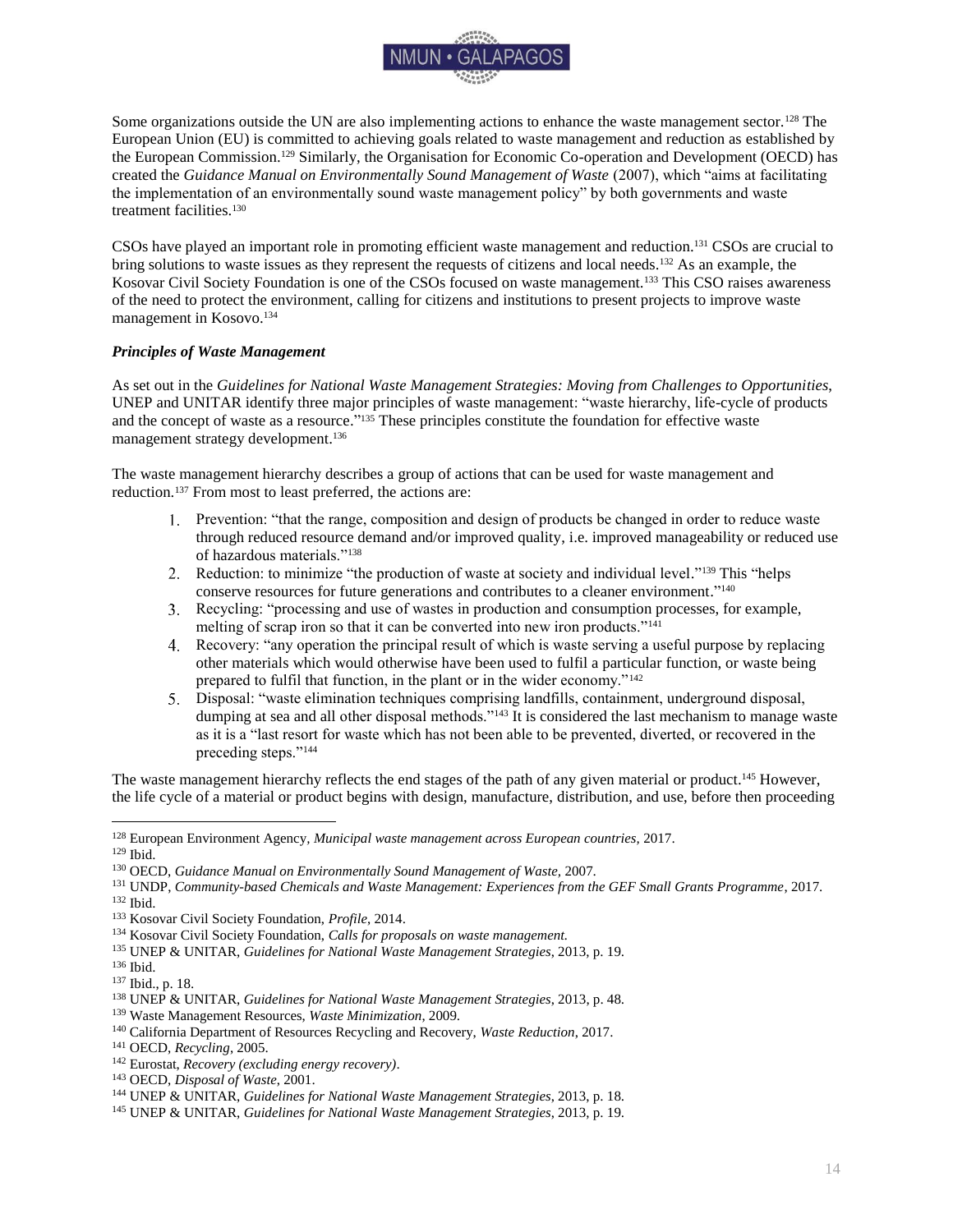

to the waste management hierarchy.<sup>146</sup> Understanding the life cycles of materials and products is important to the design of effective waste management and reduction policies as each stage of the life cycle presents an opportunity for action: "to rethink the need for the product, to redesign it, to minimize its waste potential, to modify or extend its use so as to reduce its waste potential and to recover the resources embodied in it." $147$  Ideally, waste management and reduction strategies should therefore consider the entire life cycle, beginning with waste minimization, "including through eco-efficient product design."<sup>148</sup>

Finally, the principle of addressing waste as a resource looks beyond improving waste management to actual reduction of waste.<sup>149</sup> The goal of waste management and reduction strategies must be to "optimize the use of the world's limited material resources by avoiding the generation of waste and, where waste is nevertheless generated, by treating waste as a resource waiting to be recovered and used."<sup>150</sup> As stated in *Agenda 21*, "environmentally sound waste management must go beyond the mere safe disposal or recovery of wastes that are generated and seek to address the root cause of the problem by attempting to change unsustainable patterns of production and consumption."<sup>151</sup>

#### <span id="page-14-0"></span>*Challenges and Benefits of Managing and Reducing Waste*

Proper waste management and reduction require adequate resources and can therefore prove challenging for cities to implement.<sup>152</sup> Cities tend to generate a wide range of diverse types of waste, each with specific requirements for safe processing and disposal.<sup>153</sup> Economic resources are needed to build infrastructure, train personnel, and ensure compliance in the workplace. <sup>154</sup> Often, "50% of a city's budget is spent on waste management." <sup>155</sup> Coordination among different actors can be difficult to achieve: effective waste management requires all levels of government and other stakeholders to be involved in order to execute an overarching plan that prioritizes environmental protection. 156 As urbanization continues, cities must handle the prospect of increased waste generation associated with population growth. <sup>157</sup> Economic growth and "increased affluence" also tend to contribute to higher levels of waste generation per person in cities.<sup>158</sup> Challenges are more significant for cities in developing countries, which frequently lack "waste management infrastructure and awareness," leading to unsustainable methods of production and consumption.<sup>159</sup> Further, developing countries are subject to the movement of hazardous wastes across borders from developed countries, which look to take advantage of locations "where compliance, monitoring and enforcement of regulations tend to be weak, and the financial and technical capacity to implement improved waste management practices is limited."<sup>160</sup>

In spite of the relevant costs and challenges, proper waste management and reduction result in profits and benefits to governments and local authorities.<sup>161</sup> For example, implementing adequate waste management practices, such as reutilization of materials, can prevent unnecessary economic spending on new materials. <sup>162</sup> Likewise, local authorities can benefit from understanding waste as a resource, rather than an element to be discarded.<sup>163</sup> Proper

<sup>149</sup> UNEP & UNITAR, *Guidelines for National Waste Management Strategies*, 2013, p. 19.

 $\overline{a}$ <sup>146</sup> Ibid.

<sup>147</sup> Ibid.

<sup>148</sup> UN Commission on Sustainable Development, *Policy options and actions for expediting progress in implementation: waste management – Report of the Secretary-General (E/CN.17/2011/6)*, 2011, p. 3.

<sup>150</sup> Ibid.

<sup>151</sup> UNCED, *Agenda 21*, 1992, para. 21.4.

<sup>152</sup> UNEP & UNITAR, *Guidelines for National Waste Management Strategies*, 2013, p. 12.

<sup>153</sup> UNEP, *Global Environment Outlook (GEO-5)*, 2012, p. 175.

<sup>154</sup> UNEP & UNITAR, *Guidelines for National Waste Management Strategies*, 2013, p. 30.

<sup>155</sup> Ibid., p. 8.

<sup>156</sup> Ibid., p. 30.

<sup>157</sup> Ibid.

<sup>158</sup> UNEP, *Global Environment Outlook (GEO-5)*, 2012, p. 175.

<sup>159</sup> UNEP & UNITAR, *Guidelines for National Waste Management Strategies*, 2013, p. 12; UNDP, *Community-based Chemicals and Waste Management: Experiences from the GEF Small Grants Programme*, 2017, p. 2.

<sup>160</sup> UNEP, *Global Environment Outlook (GEO-5)*, 2012, p. 170.

<sup>161</sup> UNEP & UNITAR, *Guidelines for National Waste Management Strategies*, 2013, p. 12.

<sup>162</sup> UNEP & UNITAR, *Guidelines for National Waste Management Strategies*, 2013, p. 12.

<sup>163</sup> Ibid.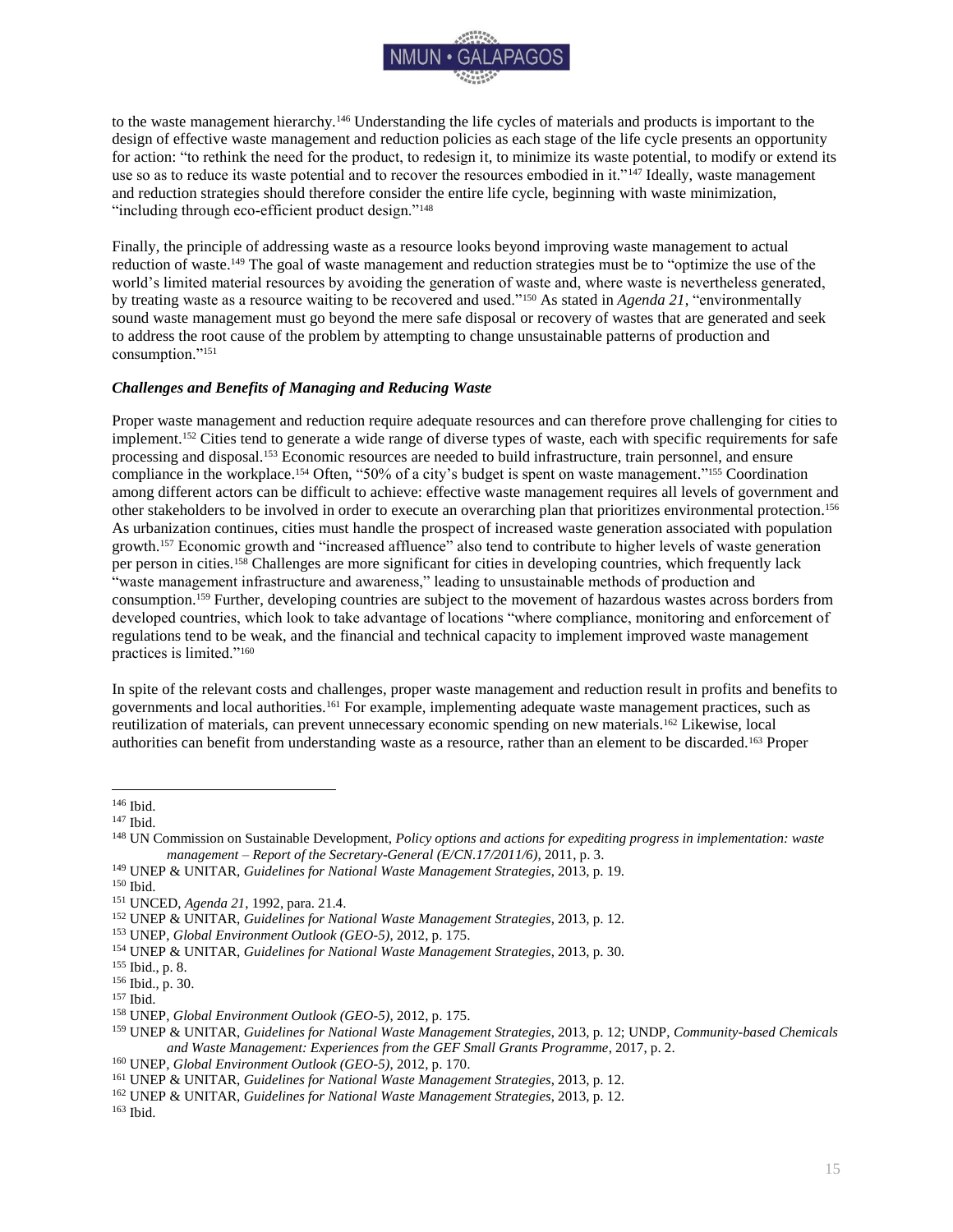

waste management can result in economic, social, and environmental benefits for urban areas.<sup>164</sup> An economic benefit can be recognized when waste management activities can lead to improve production and consumption in an efficient a sustainable way.<sup>165</sup> Another economic benefit from waste management comes when the sector creates business and employment opportunities.<sup>166</sup> Some social benefits are reduction of poverty and improvement of human health.<sup>167</sup> The environmental benefits are the protection of the environment through the reduction of pollution.<sup>168</sup>

# <span id="page-15-0"></span>*The Importance of Information and Reporting*

According to the UN Secretary-General's Independent Expert Advisory Group on a Data Revolution for Sustainable Development, "data are the lifeblood of decision-making and the raw material for accountability. Without highquality data providing the right information on the right things at the right time, designing, monitoring and evaluating effective policies becomes almost impossible."<sup>169</sup> Similarly, *The Future We Want* states that information is crucial for achieving sustainable development.<sup>170</sup> The *2030 Agenda for Sustainable Development* recognizes the power of information as a mechanism to promote "human progress" and "knowledge societies."<sup>171</sup> Therefore, in this context, information is crucial for raising awareness around waste, for understanding why waste must be managed properly and reduced where possible, and for providing the foundation for effective strategies and policies to support waste management and reduction. 172

For example, to foster commitment to and investment in waste management and reduction, it is important for cities and other stakeholders to understand the true impact of waste and the enormity of the challenge that it presents for sustainable development.<sup>173</sup> According to UNEP, "every year, an estimated 1.3 billion tonnes of solid waste is collected worldwide. This figure is expected to increase to 2.2 billion tonnes by 2025, with almost all of the increase from developing countries."<sup>174</sup> Another figure brought to view that "decay of the organic fraction of solid waste contributes about 5% of global greenhouse gases." <sup>175</sup> Likewise, "globally, about one-third of food produced for human consumption is lost or wasted, amounting to about 1.3 billion tonnes per year."<sup>176</sup> Proper data collection and reporting can also help to identify opportunities related to waste management.<sup>177</sup> For example, "the global waste market, from collection to recycling, is estimated at US\$410 billion a year, not including the sizable informal segment in developing countries."<sup>178</sup> Another fact points out the profits that can be gained from waste management: "one tonne of electrical and electronic waste (e-waste) contains as much gold as 5-15 tonnes of typical gold ore, and amounts of copper, aluminum and rare metals that exceed by many times the levels found in typical ores."<sup>179</sup>

Information is a crucial element for organizing strategies and plans of action directed to manage waste.<sup>180</sup> In recognition of the importance of information, the knowledge platform Know Waste was developed by the Global Partnership on Waste Management to help "identify and fill information gaps, share information, and strengthen awareness, political will, and capacity to promote resource conservation and resource efficiency."<sup>181</sup> Know Waste specifically "aims to promote, share and exchange information on solid waste-related issues." <sup>182</sup> A similar effort was the development of the *Global Waste Management Outlook* (2015) by UNEP's International Environmental

<sup>180</sup> Ibid., p. 14.

 $\overline{a}$ <sup>164</sup> Ibid.

<sup>165</sup> Ibid.

<sup>166</sup> Ibid.

<sup>167</sup> Ibid.

<sup>168</sup> Ibid.

<sup>169</sup> UN Secretary-General's Independent Expert Advisory Group on a Data Revolution for Sustainable Development, *A World that Counts - Mobilising the Data Revolution for Sustainable Development*, 2014, p. 2.

<sup>170</sup> UN General Assembly, *The Future We Want (A/RES/66/288)*, 2012.

<sup>171</sup> UN General Assembly, *Transforming our world: the 2030 Agenda for Sustainable Development (A/RES/70/1)*, 2015.

<sup>172</sup> UNEP, *Global Environment Outlook (GEO-5)*, 2012, p. 168.

<sup>173</sup> Ibid.

<sup>174</sup> UNEP & UNITAR, *Guidelines for National Waste Management Strategies*, 2013, p. 19.

<sup>175</sup> Ibid., p. 13.

<sup>176</sup> Ibid.

<sup>177</sup> Ibid.

<sup>178</sup> Ibid.

<sup>179</sup> Ibid.

<sup>181</sup> UNEP, *Global Partnership on Waste Management.* 

<sup>182</sup> Ibid.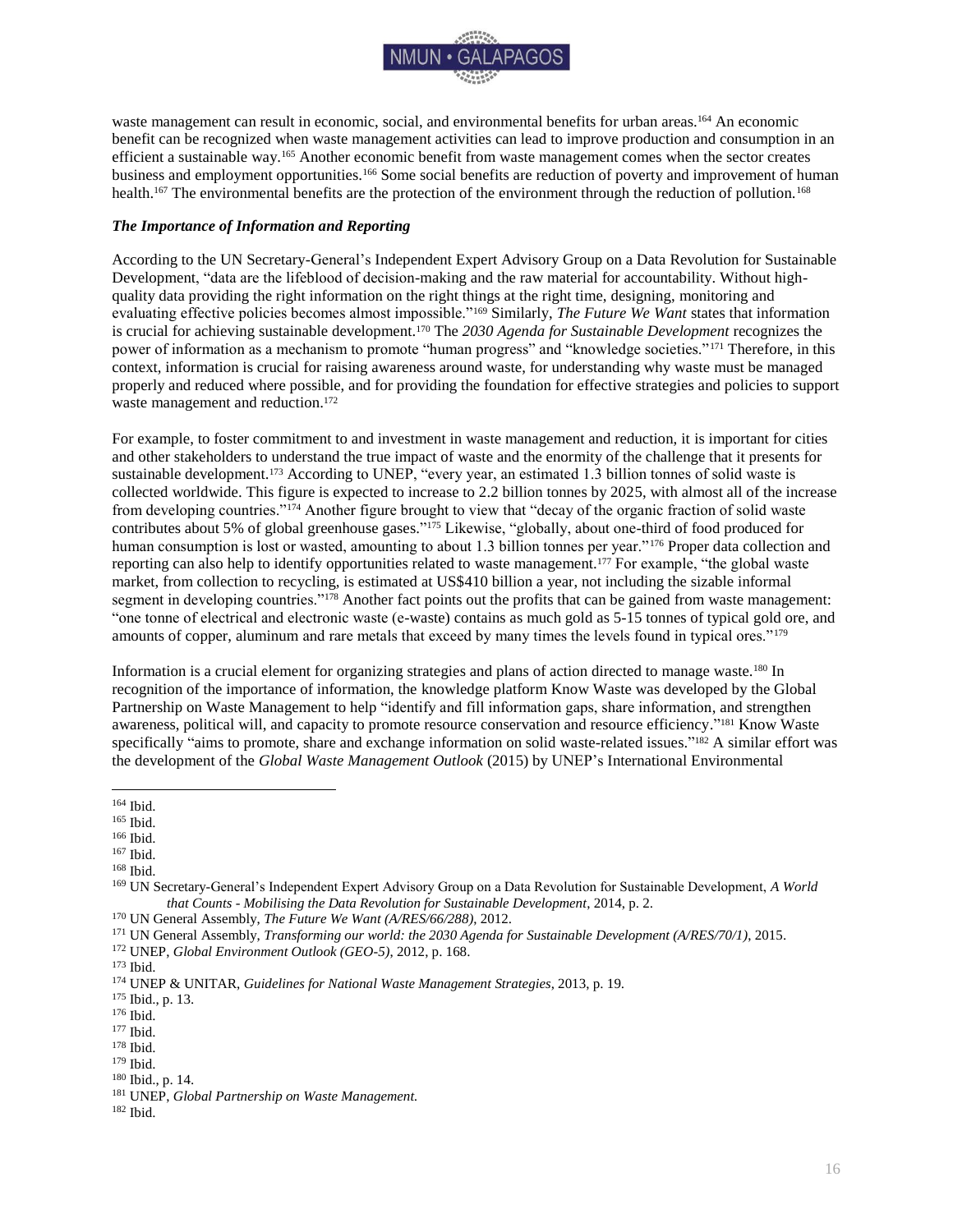

Technology Centre (IETC) and the International Solid Waste Association (ISWA).<sup>183</sup> The *Global Waste Management Outlook* is a comprehensive report that provides "an authoritative overview, analysis and recommendations for action of policy instruments and financing models for waste management."<sup>184</sup> It points out that one of the components of the good governance of a city is having a "sound solid waste management (SWM)," which can be achieved by "instituting management information systems." 185

Unfortunately, misunderstandings, misconceptions, and lack of information have contributed to the failure of cities to manage and reduce waste properly and effectively.<sup>186</sup> In 2011, the UN Secretary-General reported to the Commission on Sustainable Development that barriers to waste management and reduction "include lack of data, information, and knowledge on waste scenarios."<sup>187</sup> Given the importance of waste-related data, it is important to address underlying problems that affect its reliability.<sup>188</sup> These problems include lack of standard definitions, absence of measurement, and lack of standard reporting systems.<sup>189</sup> Adequate reporting is also crucial to enhance services and reduce damages.<sup>190</sup> Underreporting causes difficulties in addressing critical issues.<sup>191</sup> Therefore, it is ideal, for example, for the "media [to] fairly report on the statistical and scientific evidence available on relevant dimensions of sustainable development and foster an evidence-based public discourse using advanced visualization technologies to better communicate key data to people."<sup>192</sup>

Education plays an important role in waste management, particularly as "certain audiences are particularly susceptible to educational programs or delivery of targeted information." <sup>193</sup> According to the *Guidelines for National Waste Management*, "Educating children early and building an awareness of the importance of managing waste properly at an individual and family level, then reinforcing that message throughout the course of schooling, will yield returns over many years contributing to responsible waste behavior."<sup>194</sup> For example, one factor that encourages unsustainable waste management practices is an ongoing conception that waste has no value.<sup>195</sup> Education, alongside public awareness campaigns, could contribute to reversing this conception by demonstrating how waste management and reduction can save costs and enhance efficiency.<sup>196</sup> UNEP has stressed its commitment to environmental education via its Environmental Education and Training (EET) activities, which have the aim to "promote attitudes and value systems that influence environmentally ethical behavior by developing understanding, skills and values that will enable people participate as active and informed citizens in the development of an ecologically sustainable and socially just society."<sup>197</sup>

#### <span id="page-16-0"></span>*Enhancing the Role of Civil Society*

Civil society is crucial to achieving sustainable development: as noted in *Agenda 21*, to enhance global cooperation for the protection of the environment, it is necessary that governments implement integral and inclusive policies that facilitate the "broadest public participation and the active involvement of the non-governmental organizations and other groups."<sup>198</sup> *The Future We Want* also identifies civil society as a core actor in the fulfillment of the three dimensions of sustainable development.<sup>199</sup>

<sup>183</sup> UNEP, *Global Waste Management Outlook*, 2015.

<sup>184</sup> Ibid.

<sup>185</sup> Ibid., p. 8.

<sup>186</sup> UNEP & UNITAR, *Guidelines for National Waste Management Strategies*, 2013, p. 13.

<sup>187</sup> UN Commission on Sustainable Development, *Policy options and actions for expediting progress in implementation: waste management – Report of the Secretary-General (E/CN.17/2011/6)*, 2011, p. 3.

<sup>188</sup> UNEP, *Global Waste Management Outlook*, 2015, p. 32.

<sup>189</sup> Ibid.

<sup>190</sup> UN Secretary-General's Independent Expert Advisory Group on a Data Revolution for Sustainable Development, *A World that Counts - Mobilising the Data Revolution for Sustainable Development,* 2014, p. 9.

<sup>191</sup> Ibid., p. 14.

<sup>192</sup> Ibid., p. 19.

<sup>193</sup> UNEP & UNITAR, *Guidelines for National Waste Management Strategies*, 2013, p. 62.

<sup>194</sup> Ibid.

<sup>195</sup> UN Commission on Sustainable Development, *Policy options and actions for expediting progress in implementation: waste management – Report of the Secretary-General (E/CN.17/2011/6)*, 2011, p. 10.

<sup>196</sup> Ibid., p. 11.

<sup>197</sup> UNEP, *About Environmental Education and Training.* 

<sup>198</sup> UNCED, *Agenda 21*, 1992.

<sup>199</sup> UN General Assembly, *The Future We Want (A/RES/66/288),* 2012.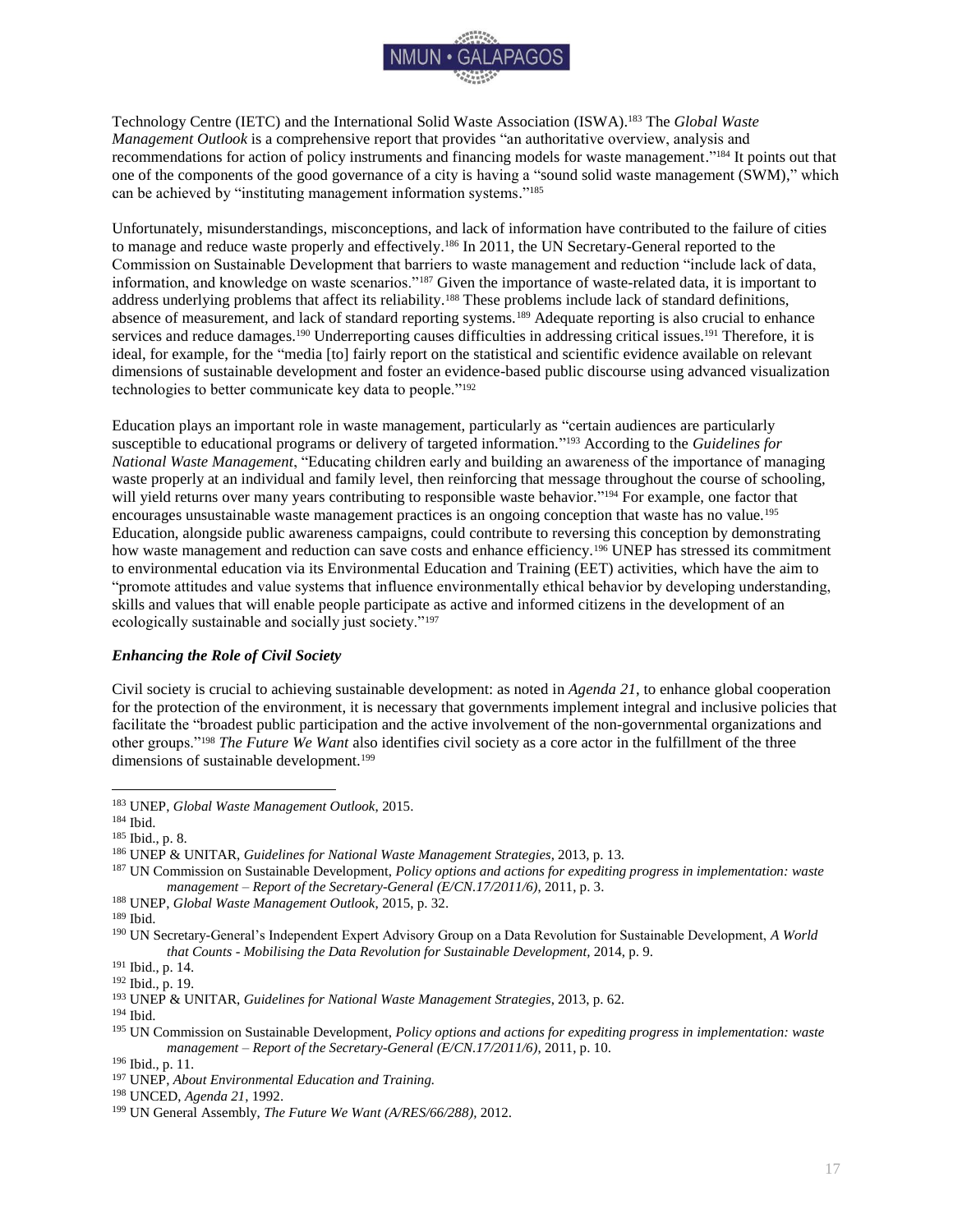

Civil society is playing an important role in waste management.<sup>200</sup> For example, CSOs are working with UN agencies and state actors "to prevent food waste through awareness raising campaigns, regulatory interventions, community action events and exchanges of ideas and experiences around the world." <sup>201</sup> CSOs are of particular assistance in large cities, where local authorities may not have the capacity to handle waste management independently.<sup>202</sup> Local non-governmental organizations and community-based organizations (CBOs) have proven particularly effective in actual implementation of effective waste management and reduction strategies in urban areas.<sup>203</sup> One example is in Kampala, Uganda, where "domestic local NGOs and CBOs are involved in physical operations such as waste recycling, drainage cleaning and waste collection, especially in poorer neighbourhoods." 204 Another example is the success associated with the Global Environment Facility Small Grants Programme, administered by UNDP, in providing funding and technical support to community-based projects that support waste management.<sup>205</sup> These diverse projects range from improving medical waste management in Nepal to engaging youth in urban waste management in Macedonia.<sup>206</sup>

However, there are numerous barriers that hamper the full participation and effectiveness of NGOs and CBOs, including "a lack of resources, donor dependency, central policies that favour large private companies and a lack of government recognition, as well as their lack of trust and confidence in partnerships or collaboration." 207 Additionally, active support, expansion, and scaling-up are required to ensure that local initiatives are able to generate results beyond the limited area of their communities.<sup>208</sup>

#### <span id="page-17-0"></span>*Conclusion*

The international community has committed to protecting the environment through sustainable initiatives, as shown through numerous agreements and conventions. The environmental dimension of sustainable development is the base of UNEP's efforts to execute practices and plans to protect the environment, including through effective waste management and reduction.<sup>209</sup>Cities are crucial to sustainable development: the 2030 Agenda notes that the management and sustainable development of urban areas are essential to assure good quality of life to the people.<sup>210</sup> Cities therefore have the responsibility to implement processes of waste management and to promote responsible, sustainable consumption that prevent the generation of waste where possible.<sup>211</sup> While there has been some progress in waste minimization, all stakeholders "need to achieve much greater progress if there is to be any possibility of realizing the ultimate objective of 'zero waste' economies and societies."<sup>212</sup>

#### <span id="page-17-1"></span>*Further Research*

Waste management and reduction have been established as important responsibilities for cities.<sup>213</sup> What are the barriers to effective waste management and reduction in cities, and how can UNEP address these barriers? How can the contribution of civil society to waste management and reduction be enhanced? Which other means can be applied to raise awareness about the dangers of mismanagement of waste? How can UNEP ensure the participation of local governments to reduce the production of waste? Which partnerships can UNEP build to promote waste management and reduction? What types of incentives could contribute to mobilizing private sector initiatives?

 $\overline{a}$ 

<sup>204</sup> UNEP, *Global Waste Management Outlook*, 2015, p. 175.

<sup>200</sup> UNEP, *Global Waste Management Outlook,* 2015, p. 115.

<sup>201</sup> Ibid.

<sup>202</sup> Ibid., p. 174.

<sup>203</sup> UNDP, *Community-based Chemicals and Waste Management: Experiences from the GEF Small Grants Programme*, 2017.

<sup>205</sup> UNDP, *Community-based Chemicals and Waste Management: Experiences from the GEF Small Grants Programme*, 2017. <sup>206</sup> Ibid.

<sup>207</sup> UNEP, *Global Waste Management Outlook*, 2015, p. 175.

<sup>208</sup> UNDP, *Community-based Chemicals and Waste Management: Experiences from the GEF Small Grants Programme*, 2017.

<sup>209</sup> UNEP, *Scope of Chemicals and Waste Subprogramme.*

<sup>210</sup> UN General Assembly, *Transforming our world: the 2030 Agenda for Sustainable Development (A/RES/70/1)*, 2015.

<sup>211</sup> Ibid.; UN General Assembly, *New Urban Agenda (A/71/256)*, 2016.

<sup>212</sup> UN Commission on Sustainable Development, *Policy options and actions for expediting progress in implementation: waste management – Report of the Secretary-General (E/CN.17/2011/6)*, 2011, p. 4.

<sup>213</sup> UN General Assembly, *New Urban Agenda (A/71/256),* 2016.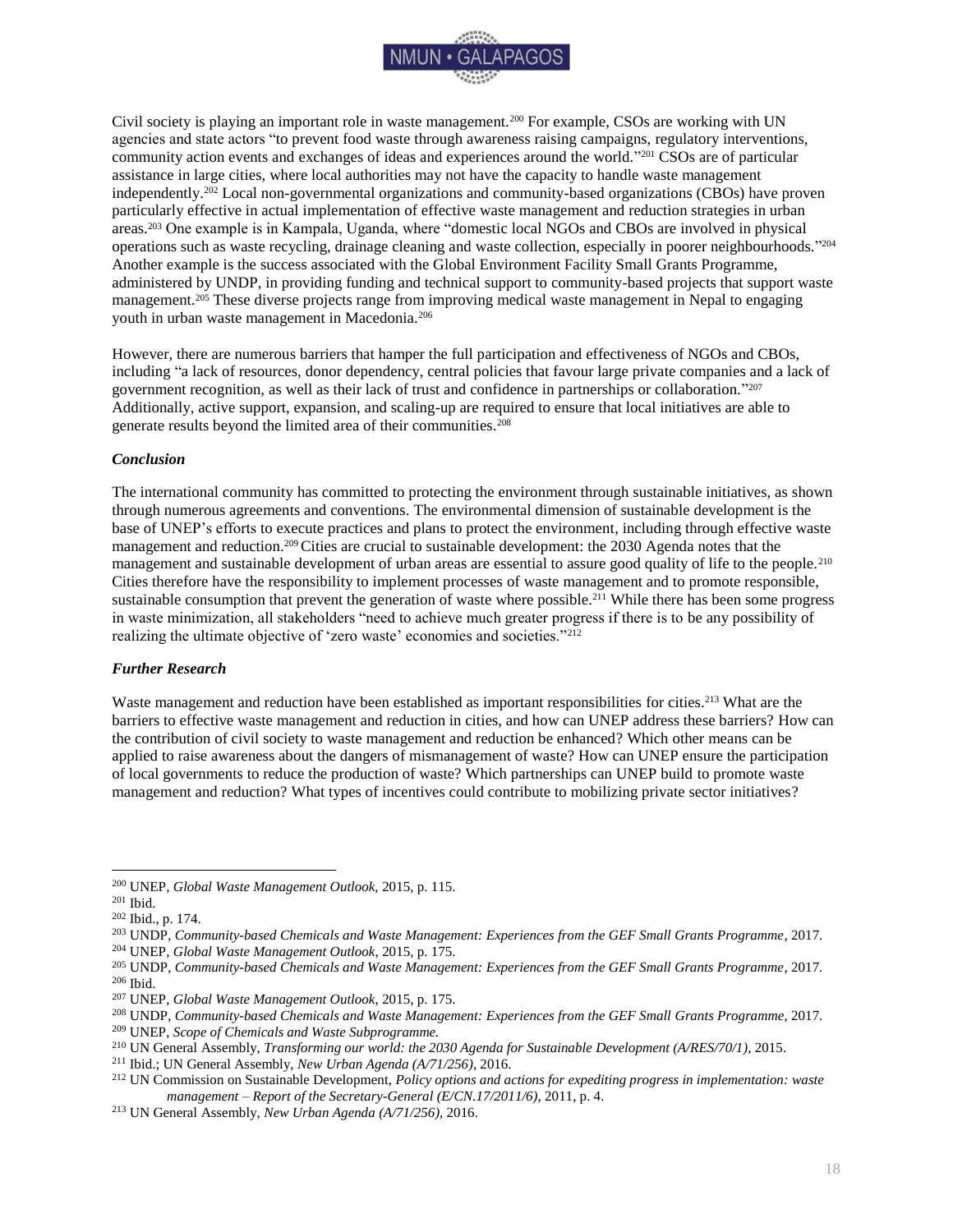

# **Annotated Bibliography**

<span id="page-18-0"></span>Cohen, S., et al. (2015). *Waste Management Practices in New York City, Hong Kong and Beijing.* Retrieved 5 June 2017 from:<http://www.columbia.edu/~sc32/documents/ALEP%20Waste%20Managent%20FINAL.pdf>

*This article describes the challenges and difficulties that waste brings to urban areas. The authors use New York, Hong Kong, and Beijing as case studies to determine the evolution of the management and reduction of waste. These three cities are examined in relation to factors such as the history of waste management, sustainability, recycling, food waste, and further challenges. The article uses data, graphics, and tables to simplify the compiled information. The article is a brief view of the way in which urban areas deal with waste, and it helpfully illustrates the various problems and challenges associated with waste management.*

European Environment Agency. (2016). *Waste, recycling* [Website]. Retrieved 6 June 2017 from: <https://www.eea.europa.eu/data-and-maps/indicators/waste-recycling-1/assessment>

*This work of the European Environment Agency provides substantial data on the actions taken to manage waste in Europe. The article provides clear graphics and figures that are easy to interpret. The article also presents the main targets that should be fulfilled for the European Union members on the issue. It will be useful for delegates to compare how different countries apply waste management practices. Also provided is a list of important policy documents related with waste management.* 

United Nations Environment Programme & United Nations Institute for Training and Research. (2013). *Guidelines for National Waste Management Strategies: Moving from Challenges to Opportunities*. Retrieved 5 June 2017 from: [http://cwm.unitar.org/national-profiles/publications/cw/wm/UNEP\\_UNITAR\\_NWMS\\_English.pdf](http://cwm.unitar.org/national-profiles/publications/cw/wm/UNEP_UNITAR_NWMS_English.pdf)

*UNEP and UNITAR collaborated to produce these guidelines to assist in the formation of national waste management strategies. The document presents a comprehensive overview of the main concepts and principles related to waste, including waste management and its reduction. Other topics include the responsibilities and duties of different stakeholders, as well as the strategies, challenges, and benefits associated with the management and reduction of waste. The document explains waste-related concepts in a clear way. It will be useful for delegates in understanding the importance of waste and its relation with sustainable development.*

United Nations Statistics Division. (2016). *UNSD Environmental Indicators, Waste* [Website]*.* Retrieved 6 June 2017 from:<https://unstats.un.org/unsd/environment/Time%20series.htm#Waste>

*This UN Statistics Division group of documents collects the main environmental indicators related to waste. These documents register information of the generation, collection, recycling, and treatment of waste in urban areas. Each document provides wide data that can serve as a tool to understand the compromise of local governments to manage and reduce waste. The website present official data that can be used to understand national contexts.*

World Urban Campaign. (2016). *The City We Need*. Retrieved 3 June 2017 from: <http://www.worldurbancampaign.org/sites/default/files/documents/tcwn2en.pdf>

> *This document of the World Urban Campaign outlines some of the requirements that cities need to implement to improve. The article presents 10 principles that any city should present in order to become a better space of living. In this work, the term "drivers of change" is used to label and address factors such as governance, finance, education, and technology that are meant to influence the development of the cities. This resource was important to the development of the* New Urban Agenda*. With this document, it is easy to understand the role of cities to achieve sustainable development.*

# **Bibliography**

<span id="page-18-1"></span>*Basel Convention on the Control of Transboundary Movements of Hazardous Wastes and Their Disposal.* (1989). Retrieved 6 July 2017 from: [http://www.basel.int/Portals/4/Basel%20Convention/docs/text/BaselConventionText](http://www.basel.int/Portals/4/Basel%20Convention/docs/text/BaselConventionText-e.pdf)[e.pdf](http://www.basel.int/Portals/4/Basel%20Convention/docs/text/BaselConventionText-e.pdf)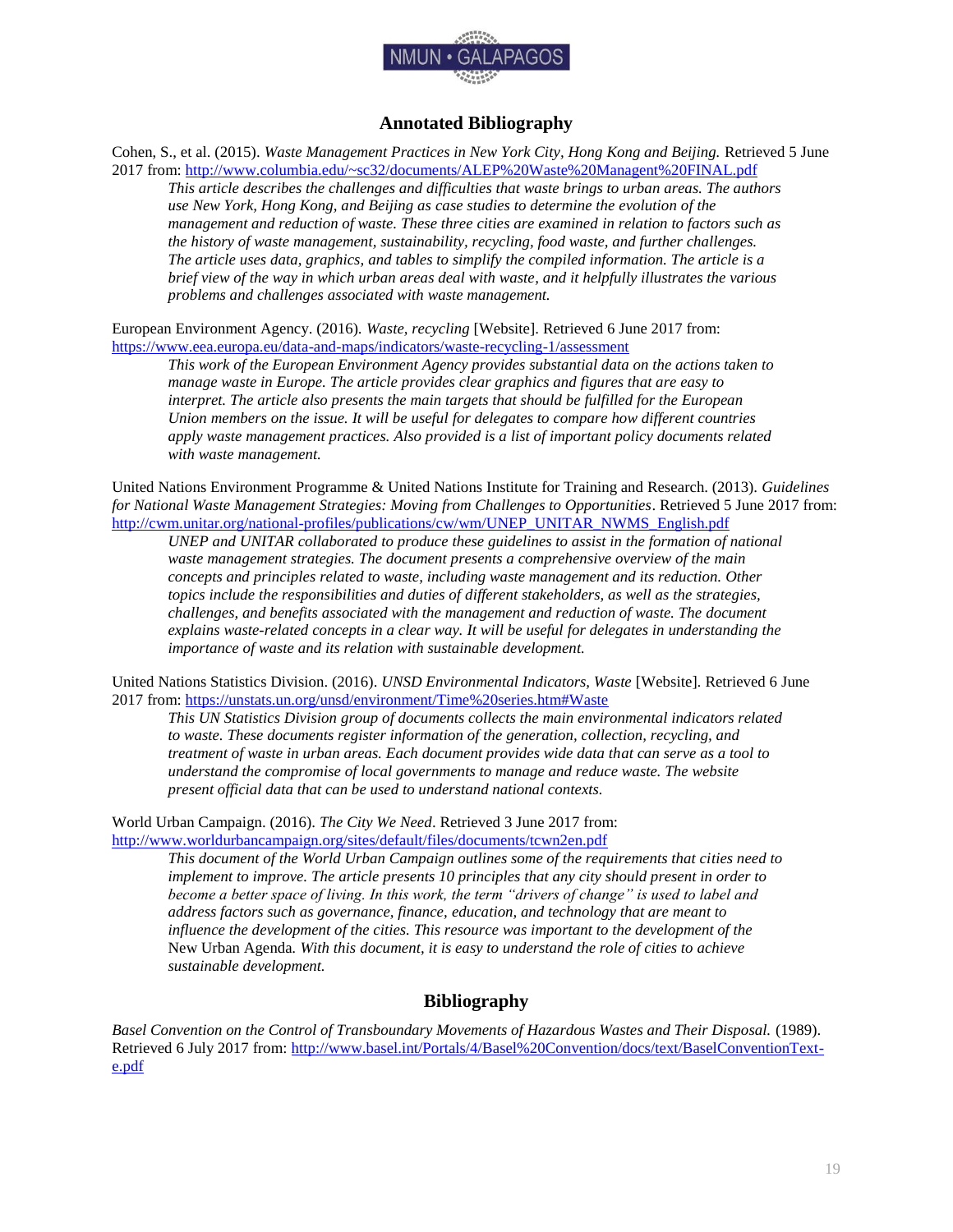

California Department of Resources Recycling and Recovery. (2017). *Waste Reduction* [Website]. Retrieved 25 August 2017 from:<http://www.calrecycle.ca.gov/reducewaste/>

Cohen, S., et al. (2015). *Waste Management Practices in New York City, Hong Kong and Beijing.* Retrieved 5 June 2017 from:<http://www.columbia.edu/~sc32/documents/ALEP%20Waste%20Managent%20FINAL.pdf>

European Environment Agency. (2016). *Waste, recycling* [Website]. Retrieved 6 June 2017 from: <https://www.eea.europa.eu/data-and-maps/indicators/waste-recycling-1/assessment>

European Environment Agency. (2017). *Municipal waste management across European countries* [Website]. Retrieved 9 July 2017 from: [https://www.eea.europa.eu/themes/waste/municipal-waste/municipal-waste](https://www.eea.europa.eu/themes/waste/municipal-waste/municipal-waste-management-across-european-countries)[management-across-european-countries](https://www.eea.europa.eu/themes/waste/municipal-waste/municipal-waste-management-across-european-countries)

Eurostat. (n.d.). *Recovery (excluding energy recovery)* [Website]. Retrieved 30 August 2017 from: [http://ec.europa.eu/eurostat/web/waste/waste-generation-and-management/management/recovery-excluding-energy](http://ec.europa.eu/eurostat/web/waste/waste-generation-and-management/management/recovery-excluding-energy-recovery)[recovery](http://ec.europa.eu/eurostat/web/waste/waste-generation-and-management/management/recovery-excluding-energy-recovery)

Food and Agriculture Organization of the United Nations. (2017). *Food for the Cities* [Website]. Retrieved 8 July 2017 from:<http://www.fao.org/fcit/environment-health/solid-waste/en/>

International Labour Organization. (2013). *Decent work in waste management*. Retrieved 9 July 2017 from: [http://www.ilo.org/wcmsp5/groups/public/---ed\\_emp/--](http://www.ilo.org/wcmsp5/groups/public/---ed_emp/---emp_ent/documents/publication/wcms_242573.pdf) emp\_ent/documents/publication/wcms\_242573.pdf

Kosovar Civil Society Foundation. (n.d.). *Calls for proposals on waste management* [Website]. Retrieved 9 July 2017 from:

[http://www.kcsfoundation.org/dsp/repository/docs/170524\\_Guidelines\\_for\\_application\\_Call\\_for\\_project\\_proposals](http://www.kcsfoundation.org/dsp/repository/docs/170524_Guidelines_for_application_Call_for_project_proposals_in_waste_management_DSP_Final.pdf) [\\_in\\_waste\\_management\\_DSP\\_Final.pdf](http://www.kcsfoundation.org/dsp/repository/docs/170524_Guidelines_for_application_Call_for_project_proposals_in_waste_management_DSP_Final.pdf)

Kosovar Civil Society Foundation. (2014). *Profile* [Website]. Retrieved 9 July 2017 from: [http://www.kcsfoundation.org/?page=2,2#.WWlrl8fw\\_PA](http://www.kcsfoundation.org/?page=2,2#.WWlrl8fw_PA)

National Institute of Urban Affairs. (2015). *Urban Solid Waste Management.* Retrieved 6 June 2017 from: [https://pearl.niua.org/sites/default/files/books/GP-GL3\\_SWM.pdf](https://pearl.niua.org/sites/default/files/books/GP-GL3_SWM.pdf)

Organisation for Economic Co-operation and Development. (2001). *Disposal of Waste* [Website]. Glossary of Statistical Terms. Retrieved 14 August 2017 from:<https://stats.oecd.org/glossary/detail.asp?ID=648>

Organisation for Economic Co-operation and Development. (2003). *Waste* [Website]. Glossary of Statistical Terms. Retrieved 29 August 2017 from:<https://stats.oecd.org/glossary/detail.asp?ID=2896>

Organisation for Economic Co-operation and Development. (2005). *Recycling* [Website]. Glossary of Statistical Terms. Retrieved 29 August 2017 from:<https://stats.oecd.org/glossary/detail.asp?ID=2260>

Organisation for Economic Co-operation and Development. (2007). *Guidance Manual for the Implementation of the OECD Recommendation on Environmentally Sound Management of Waste*. Retrieved 5 July 2017 from: <https://www.oecd.org/env/waste/39559085.pdf>

*Rotterdam Convention on the Prior Informed Consent Procedure for Certain Hazardous Chemicals and Pesticides in International Trade*. (1998)*.* Retrieved 6 July 2017 from: [http://www.pic.int/Portals/5/download.aspx?d=UNEP-](http://www.pic.int/Portals/5/download.aspx?d=UNEP-FAO-RC-CONVTEXT-2015.English.pdf)[FAO-RC-CONVTEXT-2015.English.pdf](http://www.pic.int/Portals/5/download.aspx?d=UNEP-FAO-RC-CONVTEXT-2015.English.pdf)

*Stockholm Convention on Persistent Organic Pollutants.* (2001). Retrieved 5 July 2017 from: [http://www.pops.int/documents/convtext/convtext\\_en.pdf](http://www.pops.int/documents/convtext/convtext_en.pdf)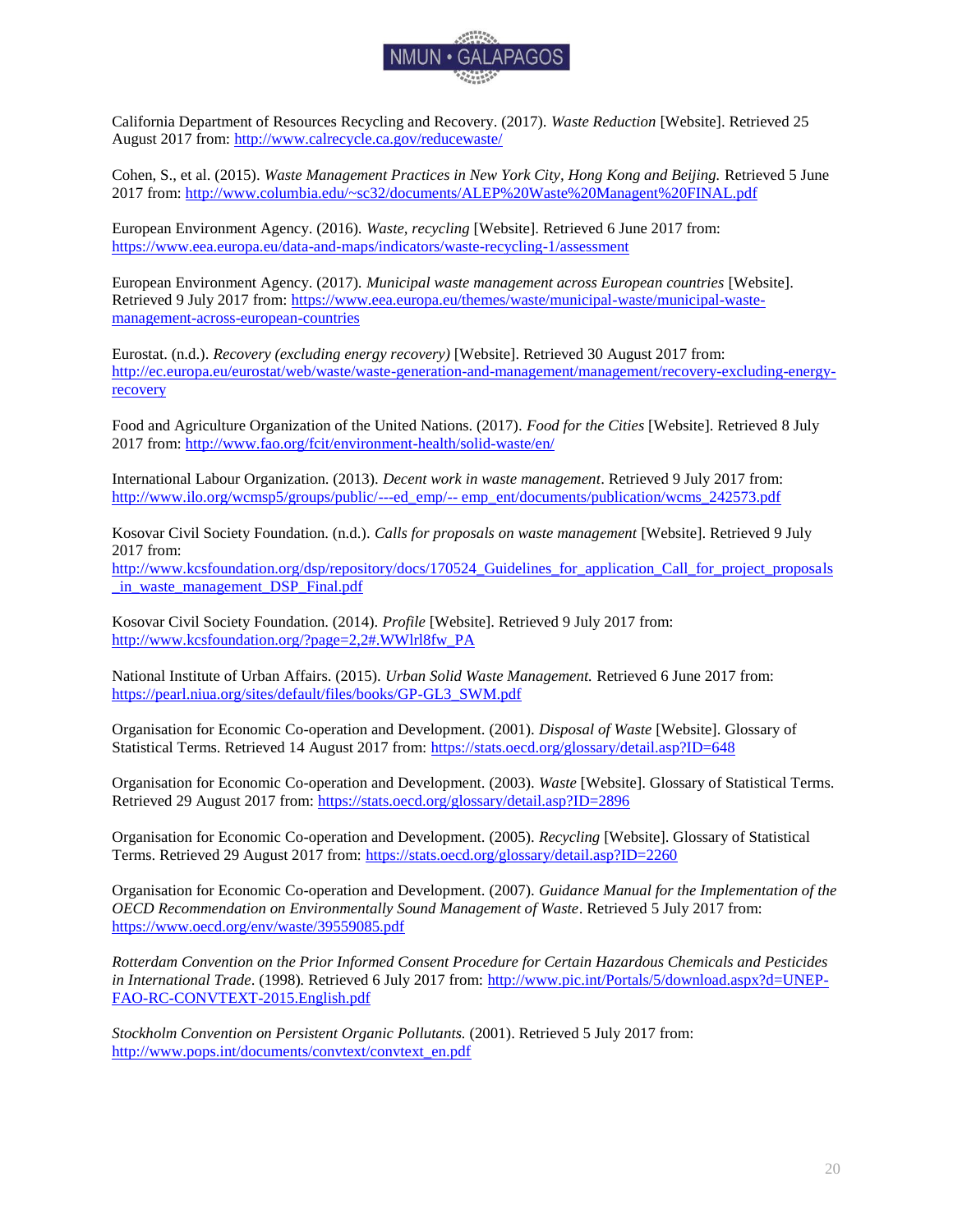

United Nations, Commission on Sustainable Development. (2010). *Policy options and actions for expediting progress in implementation: waste management – Report of the Secretary-General (E/CN.17/2011/6)*. Retrieved 30 August 2017 from:<http://undocs.org/E/CN.17/2011/6>

United Nations Conference on Environment and Development. (1992). *Agenda 21* [Outcome Document]*.* Retrieved 5 June 2017 from:<https://sustainabledevelopment.un.org/content/documents/Agenda21.pdf>

United Nations, Department of Economic and Social Affairs. (n.d.). *Habitat III* [Website]. Retrieved 29 August 2017 from:<https://sustainabledevelopment.un.org/index.php?page=view&type=13&nr=796&menu=35>

United Nations, Department of Economic and Social Affairs. (n.d.). *Sustainable Development Goal 11* [Website]*.* Retrieved 16 August 2017 from:<https://sustainabledevelopment.un.org/sdg11>

United Nations, Department of Economic and Social Affairs. (n.d.). *United Nations Conference on Environment and Development* [Website]. Retrieved 3 June 2017 from:<https://sustainabledevelopment.un.org/milestones/unced>

United Nations, Department of Economic and Social Affairs. (n.d.). *United Nations Conference on Sustainable Development, Rio+20* [Website]*.* Retrieved 2 June 2017 from:<https://sustainabledevelopment.un.org/rio20>

United Nations, Department of Economic and Social Affairs. (n.d.). *United Nations Sustainable Development Summit 2015* [Website]*.* Retrieved 7 July 2017 from:<https://sustainabledevelopment.un.org/post2015/summit>

United Nations, Department of Economic and Social Affairs. (2016). *Environmental Glossary* [Website]*.* Retrieved 6 June 2017 from:<https://unstats.un.org/unsd/environmentgl/gesform.asp?getitem=1178>

United Nations, Department of Economic and Social Affairs. (2016). *UNSD Environmental Indicators, Waste*  [Website]*.* Retrieved 6 June 2017 from:<https://unstats.un.org/unsd/environment/Time%20series.htm#Waste>

United Nations, Department of Economic and Social Affairs. (2016). *The World's Cities in 2016* [Data Booklet]. Retrieved 29 August 2017 from:

[http://www.un.org/en/development/desa/population/publications/pdf/urbanization/the\\_worlds\\_cities\\_in\\_2016\\_data\\_](http://www.un.org/en/development/desa/population/publications/pdf/urbanization/the_worlds_cities_in_2016_data_booklet.pdf) [booklet.pdf](http://www.un.org/en/development/desa/population/publications/pdf/urbanization/the_worlds_cities_in_2016_data_booklet.pdf)

United Nations Development Programme. (2016). *Chemicals and Waste Management* [Website]*.* Retrieved 28 August 2017 from: [http://www.undp.org/content/undp/en/home/ourwork/sustainable-development/natural-capital](http://www.undp.org/content/undp/en/home/ourwork/sustainable-development/natural-capital-and-the-environment/chemicals-and-waste-management.html)[and-the-environment/chemicals-and-waste-management.html](http://www.undp.org/content/undp/en/home/ourwork/sustainable-development/natural-capital-and-the-environment/chemicals-and-waste-management.html)

United Nations, Economic and Social Council, 2017 session. (2017). *Progress towards the Sustainable Development Goals: Report of the Secretary-General (E/2017/66)*. Retrieved 29 August 2017 from: <http://undocs.org/E/2017/66>

United Nations Environment Programme. (n.d.). *About Environmental Education and Training* [Website]. Retrieved 25 August 2017 from: <http://www.unep.org/training/who-we-are/about-environmental-education-and-training>

United Nations Environment Programme. (n.d.). *Background* [Website]. Retrieved 7 July 2017 from: <http://www.unepfi.org/about/background/>

United Nations Environment Programme. (n.d.). *Chemicals and Waste* [Website]. Retrieved 8 July 2017 from: <http://www.unep.org/chemicalsandwaste/who-we-are/overview>

United Nations Environment Programme. (n.d.). *The Global Partnership on Waste Management (GPWM)* [Website]. Retrieved 25 August 2017 from: [http://www.unep.org/ietc/what-we-do/global-partnership-waste](http://www.unep.org/ietc/what-we-do/global-partnership-waste-management-gpwm)[management-gpwm](http://www.unep.org/ietc/what-we-do/global-partnership-waste-management-gpwm)

United Nations Environment Programme. (n.d.). *Overview* [Website]. Retrieved 7 July 2017 from: <http://www.unep.org/about/who-we-are/overview>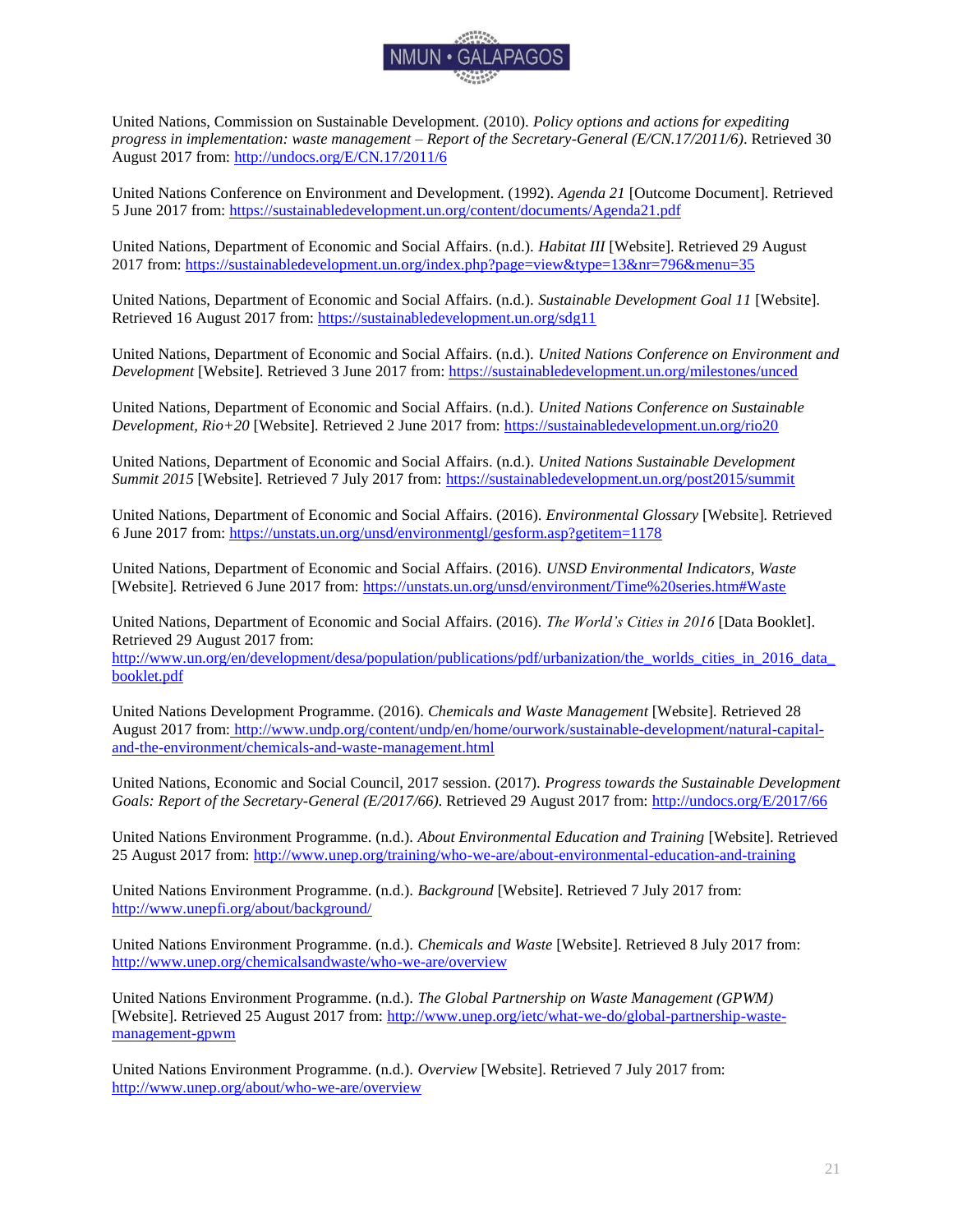

United Nations Environment Programme. (n.d.). *Scope of the Chemicals and Waste Subprogramme* [Website]. Retrieved 7 July 2017 from: [http://www.unep.org/chemicalsandwaste/who-we-are/scope-chemicals-and-waste](http://www.unep.org/chemicalsandwaste/who-we-are/scope-chemicals-and-waste-subprogramme)[subprogramme](http://www.unep.org/chemicalsandwaste/who-we-are/scope-chemicals-and-waste-subprogramme)

United Nations Environment Programme. (2012). *Global Environment Outlook (GEO-5)* [Report]. Retrieved 29 August 2017 from: [http://www.unep.org/geo/sites/unep.org.geo/files/documents/geo5\\_report\\_full\\_en\\_0.pdf](http://www.unep.org/geo/sites/unep.org.geo/files/documents/geo5_report_full_en_0.pdf)

United Nations Environment Programme. (2015). *Global Waste Management Outlook* [Report]. Retrieved 26 August 2017 from: <http://www.unep.org/ietc/what-we-do/global-waste-management-outlook-gwmo>

United Nations Environment Programme. (2017). *About the UN Environment Assembly* [Website]. Retrieved 29 August 2017 from:<http://www.unep.org/environmentassembly/about-un-environment-assembly>

United Nations Environment Programme. (2017). *Dimensions of Pollution: Waste* [Website]. Retrieved 29 August 2017 from:<http://www.unep.org/environmentassembly/waste>

United Nations Environment Programme. (2017). *Know Waste* [Website]. Retrieved 26 August 2017 from: [http://knowwaste.net](http://knowwaste.net/)

United Nations Environment Programme & United Nations Institute for Training and Research. (2013). *Guidelines for National Waste Management Strategies: Moving from Challenges to Opportunities*. Retrieved 5 June 2017 from: [http://cwm.unitar.org/national-profiles/publications/cw/wm/UNEP\\_UNITAR\\_NWMS\\_English.pdf](http://cwm.unitar.org/national-profiles/publications/cw/wm/UNEP_UNITAR_NWMS_English.pdf)

United Nations, General Assembly, Sixty-sixth session. (2012). *The future we want (A/RES/66/288)* [Outcome Document]. Retrieved 4 June 2017 from:<http://undocs.org/A/RES/66/288>

United Nations, General Assembly, Seventieth session. (2015). *Transforming our world: the 2030 Agenda for Sustainable Development (A/RES/70/1)*. Retrieved 4 June 2017 from:<http://undocs.org/A/RES/70/1>

United Nations, General Assembly, Seventy-first session. (2017). *New Urban Agenda (A/RES/71/256).* Retrieved 5 July 2017 from:<http://undocs.org/A/RES/71/256>

United Nations Institute for Training and Research. (n.d.). *Chemicals and Waste Management* [Website]. Retrieved 8 July 2017 from: <http://unitar.org/cwm/overview>

United Nations Institute for Training and Research. (n.d.). *Waste Management* [Website]. Retrieved 8 July 2017 from: [http://www.unitar.org/thematic-areas/advance-environmental-sustainability-and-green-development/waste](http://www.unitar.org/thematic-areas/advance-environmental-sustainability-and-green-development/waste-management)[management](http://www.unitar.org/thematic-areas/advance-environmental-sustainability-and-green-development/waste-management)

United Nations Secretary-General. (2013, September 5). *Secretary-General's remarks at a G20 working dinner on "Sustainable Development for All*. Retrieved 9 July 2017 from[: https://www.un.org/sg/en/content/sg/statement/2013-](https://www.un.org/sg/en/content/sg/statement/2013-09-05/secretary-generals-remarks-g20-working-dinner-sustainable) [09-05/secretary-generals-remarks-g20-working-dinner-sustainable](https://www.un.org/sg/en/content/sg/statement/2013-09-05/secretary-generals-remarks-g20-working-dinner-sustainable)

United Nations Secretary-General's Independent Expert Advisory Group on a Data Revolution for Sustainable Development. (2014). *A World that Counts - Mobilising the Data Revolution for Sustainable Development* [Report]. Retrieved 26 August 2017 from: [http://www.undatarevolution.org/wp-content/uploads/2014/11/A-World-That-](http://www.undatarevolution.org/wp-content/uploads/2014/11/A-World-That-Counts.pdf)[Counts.pdf](http://www.undatarevolution.org/wp-content/uploads/2014/11/A-World-That-Counts.pdf)

United Nations, Department of Economic and Social Affairs. (2015)*. Sustainable Development Goal 11* [Website ]. Retrieved 15 August 2017 from:<https://sustainabledevelopment.un.org/sdg11>

United Nations Development Programme. (2017). *Community-based Chemicals and Waste Management: Experiences from the GEF Small Grants Programme* [Report]. Retrieved 29 August 2017 from: <http://www.thegef.org/sites/default/files/publications/SGP-Chemicals-and-WasteManagement-DigitalFinal.pdf>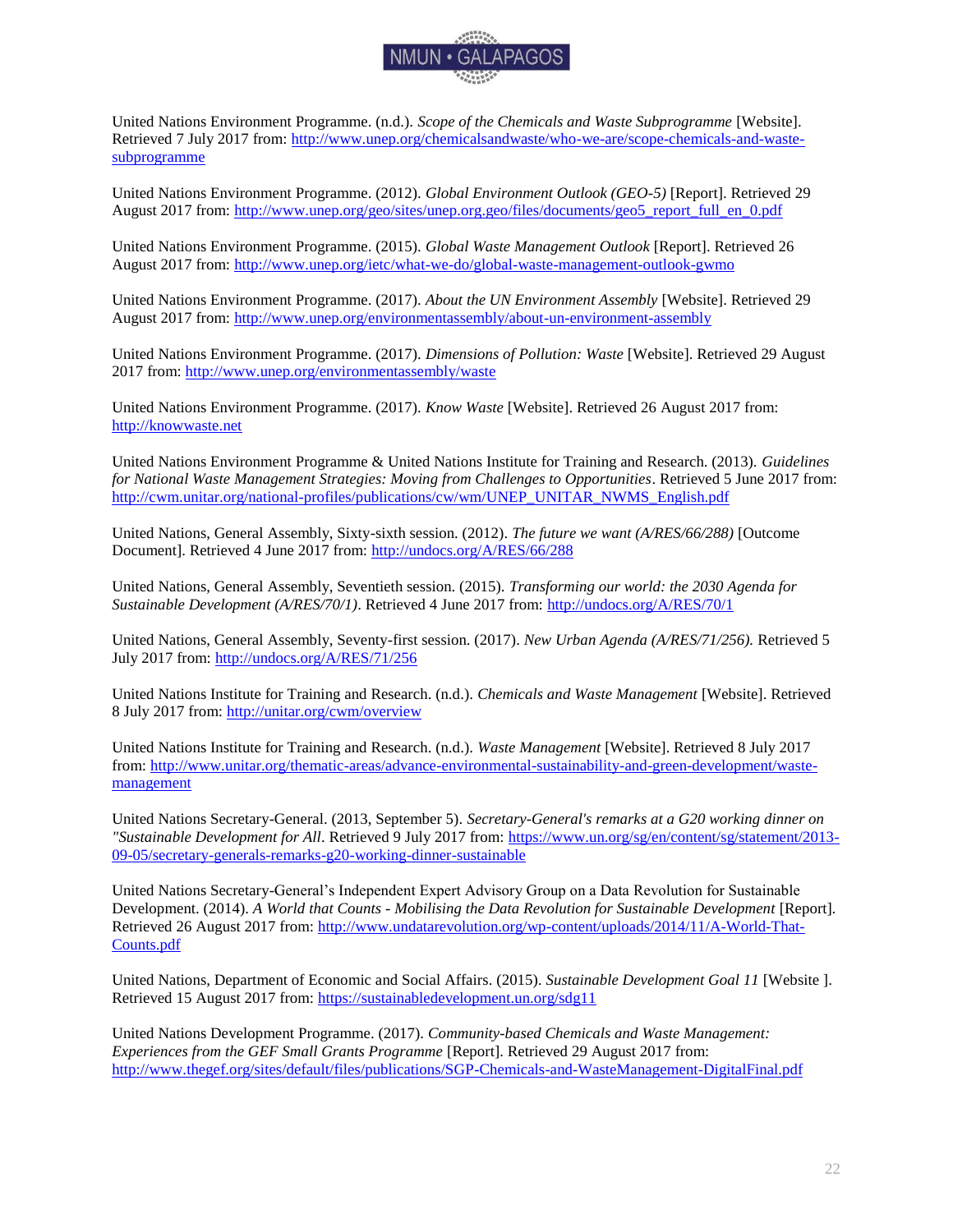

Vilella, M. (2016). Zero Waste Cities: At the Forefront of the Sustainable Development Goals Agenda. *The World Post*. Retrieved 29 August 2017 from: [http://www.huffingtonpost.com/mariel-vilella/zero-waste-cities-at](http://www.huffingtonpost.com/mariel-vilella/zero-waste-cities-at-the_b_12029704.html)the  $b$  12029704.html

Waste Management Resources. (2009). *Waste Minimization* [Website]. Retrieved 25 August 2017 from: <http://www.wrfound.org.uk/articles/waste-minimization.html>

World Urban Campaign. (2016). *The City We Need*. Retrieved 3 June 2017 from: <http://www.worldurbancampaign.org/sites/default/files/documents/tcwn2en.pdf>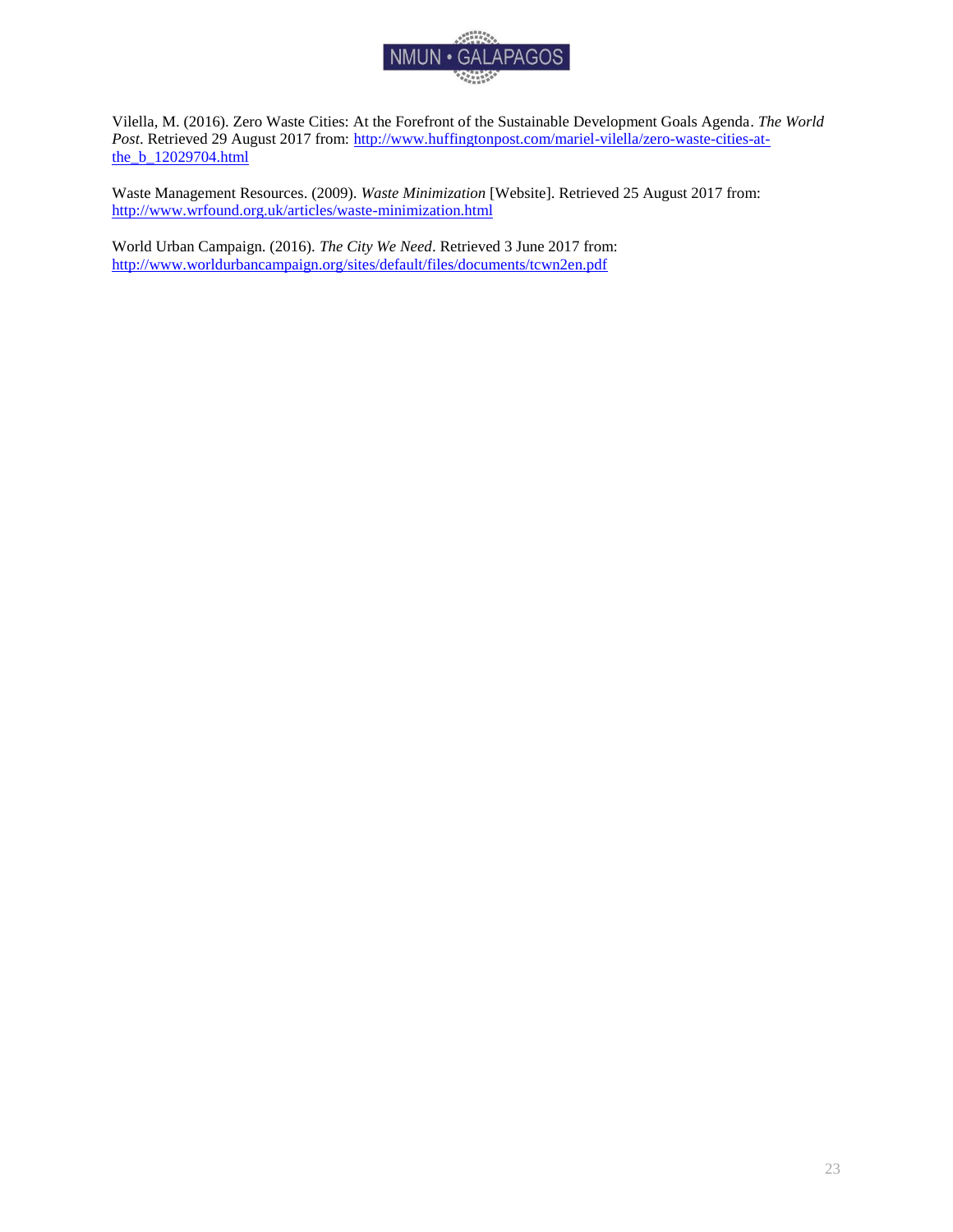

# **II. Development of Eco-friendly Technology for the Protection of Oceans and Seas**

<span id="page-23-0"></span>*"Oceans provide food, energy, water, jobs and economic benefits for people in every country – even those that are landlocked. They are a crucial buffer against climate change and a massive resource for sustainable development. The health of our oceans and seas is inextricably linked with the health of our planet and all life on earth. … The truth is, the sea has a special relationship with all of us. It keeps us alive. But that relationship is now under threat as never before."*<sup>214</sup>

# <span id="page-23-1"></span>*Introduction*

Oceans and seas "drive global systems that make the Earth habitable for humankind."<sup>215</sup> Covering three quarters of the Earth's surface, oceans and seas are essential to sustainable development, poverty eradication, food security, and trade and transportation.<sup>216</sup> Over three billion people depend directly on marine biodiversity for their livelihoods.<sup>217</sup> As they supply oxygen and absorb carbon dioxide, oceans and seas are essential to mitigating the effects of climate change.<sup>218</sup> Accordingly, the issue of preservation of our oceans and seas has achieved great prominence on the international community's agenda, particularly after the adoption of the Sustainable Development Goals (SDGs), as SDG 14 is specifically on conservation and sustainable use of the oceans, seas, and marine resources.<sup>219</sup> Organizations within the United Nations (UN) system, including the UN Environment Programme (UNEP), have therefore launched initiatives and projects designed to protect the oceans and seas, including by encouraging the development of technologies that will help with the protection and conversation of the oceans and seas.<sup>220</sup> As defined in *Agenda 21* (1992), eco-friendly or "environmentally sound" technologies "protect the environment, are less polluting, use all resources in a more sustainable manner, recycle more of their wastes and products, and handle residual wastes in a more acceptable manner than the technologies for which they were substitutes."<sup>221</sup> *Agenda 21*  further acknowledges that the availability, access, and transfer of technology "are essential requirements for sustainable development."<sup>222</sup> Advances in eco-friendly technology will be especially crucial for international efforts to protect the oceans and seas, which are subject to greater threats than ever before from both marine- and landbased human activities.<sup>223</sup>

## <span id="page-23-2"></span>*International and Regional Framework*

The protection and preservation of marine environments is acknowledged in the *United Nations Convention on the*  Law of the Sea (UNCLOS) (1982), which has been ratified by 168 States Parties.<sup>224</sup> Article 192 expressly establishes that "states have the obligation to protect and preserve the marine environment."<sup>225</sup> UNCLOS can therefore be considered as one of the first international attempts to develop a control mechanism to protect and conserve oceans and seas.<sup>226</sup> UNCLOS also addresses the development and transfer of marine technology.<sup>227</sup> Article 266 provides that "states, directly or through competent international organizations, shall cooperate in accordance with their capabilities to promote actively the development and transfer of marine science and marine technology on fair and reasonable terms and conditions."<sup>228</sup>

 $\overline{a}$ <sup>214</sup> UN Secretary-General, *Secretary-General's opening remarks to the Ocean Conference [as delivered]*, 2017.

<sup>215</sup> UNDP, *Goal 14: Life below Water*, 2017.

<sup>216</sup> UN Ocean Conference, *Our ocean, our future: call for action (A/CONF.230/11)*, 2017, p. 2.

<sup>217</sup> UNDP, *Goal 14: Life below Water*, 2017.

<sup>218</sup> UN Ocean Conference, *Our ocean, our future: call for action (A/CONF.230/11)*, 2017, p. 2.

<sup>219</sup> Ibid.

<sup>220</sup> UNEA, *Oceans and seas (2/10)*, 2016; UNEA, *Marine plastic litter and microplastics (2/11)*, 2016; UNEA, *Delivering on the 2030 Agenda for Sustainable Development (2/5)*, 2016.

<sup>221</sup> UNCED, *Agenda 21*, 1992, para. 34.1.

<sup>222</sup> Ibid., para. 34.7.

<sup>223</sup> UN General Assembly, *Preparatory process of the United Nations Conference to Support the Implementation of Sustainable Development Goal 14: Conserve and sustainably use the oceans, seas and marine resources for sustainable development: Note by the Secretary-General (A/71/733)*, 2017, p. 2.

<sup>224</sup> *United Nations Convention on the Law of the Sea*, 1982.

<sup>225</sup> Ibid., art. 192.

<sup>226</sup> UN Division for Ocean Affairs and the Law of the Sea, *The United Nations Convention on the Law of the Sea: A historical perspective*, 1998.

<sup>227</sup> *United Nations Convention on the Law of the Sea*, 1982, part XIV.

<sup>228</sup> Ibid., art. 266.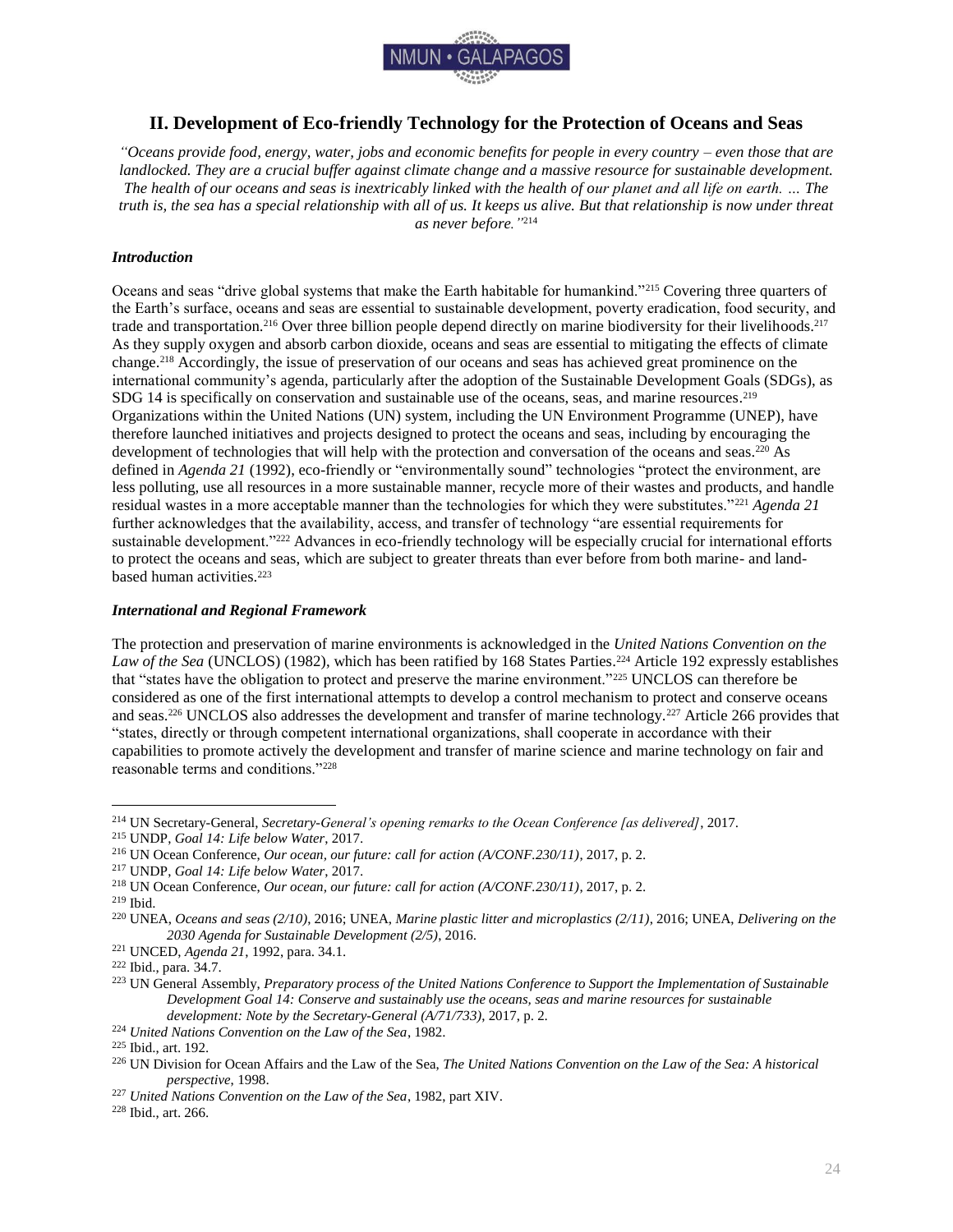

The international community reaffirmed its commitment to the protection and preservation of oceans and seas through *Agenda 21*, which was adopted at the UN Conference on Environment and Development in 1992. <sup>229</sup> *Agenda 21* is a plan of action to which Member States committed to guide their activities towards sustainable development.<sup>230</sup> Chapter 17 of *Agenda 21* stresses the importance of the oceans and seas to sustainable development, as well as human dependence on oceans and seas: over half of the world's population lives in coastal areas.<sup>231</sup> *Agenda 21* also highlights the "need for favourable access to and transfer of environmentally sound technologies, in particular to developing countries, through supportive measures that promote technology cooperation and that should enable transfer of necessary technological know-how as well as building up of economic, technical, and managerial capabilities for the efficient use and further development of transferred technology."<sup>232</sup> At the UN Conference on Sustainable Development in 2012, Member States adopted *The Future We Want*, in which they reiterated their commitment to oceans and marine ecosystems, while also emphasizing "the need for cooperation in marine scientific research" and for "the transfer of technology" to assist developing countries.<sup>233</sup>

Other international agreements point to the significance of the oceans and seas, as well as to the importance of technology for their protection. The *Convention on Biological Diversity* (1992) aims to protect all biological diversity, or biodiversity, defined as the "variability among living organisms from all sources including, *inter alia*, terrestrial, marine and other aquatic ecosystems and the ecological complexes of which they are part."<sup>234</sup> It acknowledges that technology is essential to the protection of biodiversity, and it contains provisions on access to and transfer of technology (art. 16), exchange of information (art. 17), and technical and scientific cooperation (art. 18).<sup>235</sup> Article 25 of the Convention establishes the Subsidiary Body on Scientific, Technical and Technological Advice to assist States Parties with implementation.<sup>236</sup> The *United Nations Framework Convention on Climate Change* (UNFCCC) (1992) contains a commitment by States Parties to promote sustainable management, conservation, and enhancement of "sinks and reservoirs of all greenhouse gases," including oceans, thus recognizing the important role that oceans and seas have in mitigating climate change.<sup>237</sup> The *Paris Agreement*, adopted by the Conference of the Parties to the UNFCCC in 2015, reaffirms the need to protect oceans specifically and underlines "the importance of fully realizing technology development" to support efforts against climate change.<sup>238</sup>

In September 2015, the UN General Assembly adopted the *2030 Agenda for Sustainable Development*, which includes the 17 SDGs and 169 targets.<sup>239</sup> SDG 14 is to "conserve and sustainably use the oceans, seas and marine resources for sustainable development"; target 14.a is to "increase scientific knowledge, develop research capacity and transfer marine technology … in order to improve ocean health and to enhance the contribution of marine biodiversity to the development of developing countries."<sup>240</sup> SDG 17, which addresses implementation and the global partnership for sustainable development, includes targets on enhancing "regional and international cooperation on and access to science, technology and innovation" and on promoting the "development, transfer, dissemination and diffusion of environmentally sound technologies to developing countries on favourable terms."<sup>241</sup>

#### <span id="page-24-0"></span>*Role of the International System*

Ever since its creation, UNEP has served as a global leader in environmental protection and conservation, including with respect to the oceans and seas.<sup>242</sup> One of the oldest and most effective initiatives from UNEP regarding the conservation of oceans and seas is the Regional Seas Programme (RSP).<sup>243</sup> Launched in 1974, the RSP aims to

<sup>229</sup> UNCED, *Agenda 21*, 1992.

<sup>230</sup> Ibid.

<sup>231</sup> Ibid, ch. 17.

<sup>232</sup> Ibid., para. 34.4.

<sup>233</sup> UN General Assembly, *The Future We Want (A/RES/66/288)*, 2012, pp. 30-31.

<sup>234</sup> *Convention on Biological Diversity*, 1992, art. 2.

<sup>235</sup> Ibid., arts. 16-18.

<sup>236</sup> Ibid., art. 25.

<sup>237</sup> *United Nations Framework Convention on Climate Change*, 1992, art. 4.

<sup>238</sup> Conference of the Parties to the UNFCCC, *Paris Agreement*, 2015, Preamble, art. 10.

<sup>239</sup> UN General Assembly, *Transforming our world: the 2030 Agenda for Sustainable Development (A/RES/70/1)*, 2015.

<sup>240</sup> UN DESA, *Sustainable Development Goal 14*, 2017.

<sup>241</sup> UN DESA, *Sustainable Development Goal 17*, 2017.

<sup>242</sup> New Zealand, *United Nations Handbook 2016-2017*, 2016, pp. 260-61.

<sup>243</sup> UNEP, *Regional Seas Programme: Overview.*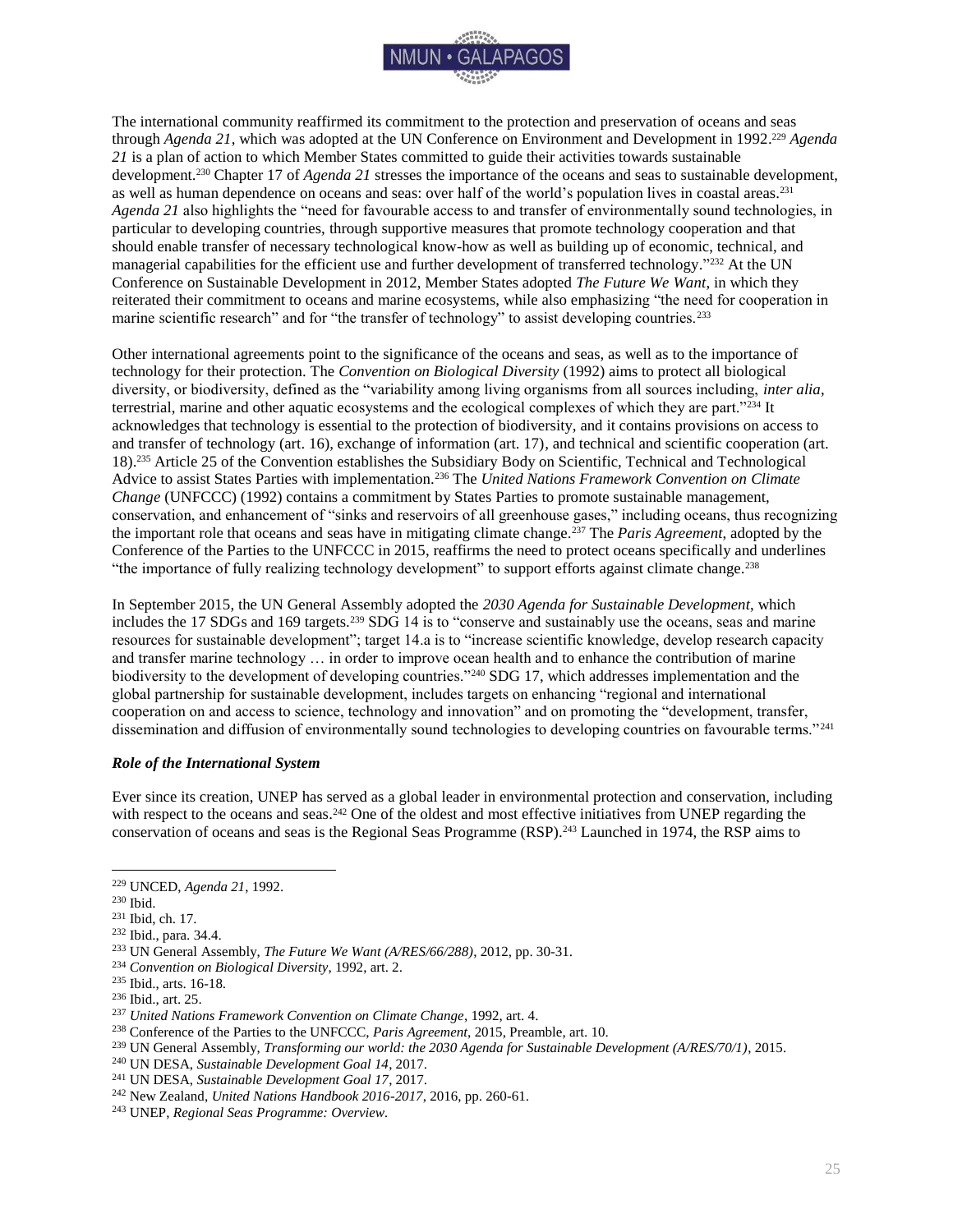

address threats to the world's oceans and coastal areas through the "shared seas" approach.<sup>244</sup> This approach refers to plans of action and practices, supported by regional conventions, that are being collectively implemented by groups of countries in regions around the world.<sup>245</sup> Other relevant UNEP programs include the Global Programme of Action for the Protection of the Marine Environment from Land-based Activities and the International Coral Reef Action Network.<sup>246</sup> UNEP participates in UN-Oceans, an inter-agency mechanism that coordinates UN system activities related to oceans and seas.<sup>247</sup> It also serves as co-coordinator of the Interagency Task Team on Science, Technology and Innovation for the SDGs, which forms part of the Technology Facilitation Mechanism that supports the implementation of the 2030 Agenda.<sup>248</sup>

As the governing body of UNEP, the UN Environment Assembly (UNEA) regularly addresses the oceans and seas at its sessions.<sup>249</sup> At its second session in 2016, UNEA adopted resolution 2/10 on "Oceans and seas," which calls for "continued cooperation and coordination on marine issues among all relevant global and regional forums and organizations" for the achievement of SDG 14, as well as encouraging UNEP "to provide scientific support" to enhance understanding of "abrupt, accelerating or irreversible environmental changes," including "thawing of the permafrost of the seabed and melting of sea ice and glaciers."<sup>250</sup> UNEA resolution 2/11 on "Marine plastic litter and microplastics" recognizes the role of "cost-effective technologies" and "automated and remote sensing technology" in efforts to reduce plastic debris in the marine environment.<sup>251</sup>

UNEP collaborates with the Intergovernmental Oceanographic Commission of the UN Educational, Scientific and Cultural Organization (IOC-UNESCO), which specializes in marine science.<sup>252</sup> In 2003, IOC-UNESCO adopted the *IOC Criteria and Guidelines on Transfer of Marine Technology* as a tool to assist States Parties with applying the provisions of UNCLOS related to the development and transfer of marine technology.<sup>253</sup> Other UN system entities and related organizations involved in addressing oceans and seas include the UN Development Programme (UNDP), which provides country-specific assistance in managing marine resources through the Water and Ocean Governance Programme; the Food and Agriculture Organization of the UN (FAO), which promotes sustainable use of marine resources; and the International Maritime Organization (IMO), a specialized agency of the UN in charge of maritime safety and prevention of pollution from ships.<sup>254</sup>

The UN Conference to Support the Implementation of Sustainable Development Goal 14, also known as the Ocean Conference, took place from 5-9 June 2017 at UN Headquarters in New York. <sup>255</sup> Throughout the conference, stakeholders discussed methods, techniques, and technologies that could lead humanity towards a sustainable usage of oceans and seas.<sup>256</sup> The conference included seven partnership dialogues, one of which was focused on "increasing scientific knowledge, and developing research capacity and transfer of marine technology" in line with SDG target 14.a; participants included representatives from Member States, intergovernmental organizations, and non-governmental organizations (NGOs).<sup>257</sup> The outcomes of the conference included a Call for Action, pursuant to which Member States committed "to act decisively and urgently" with the goal of "halting and reversing the decline in the health and productivity of our ocean and its ecosystems and to protecting and restoring its resilience and ecological integrity."<sup>258</sup> The Call for Action encouraged all stakeholders to take steps to implement SDG 14,

 $\overline{a}$ <sup>244</sup> Ibid*.*

<sup>245</sup> Ibid.

<sup>246</sup> UN-Oceans, *About UN-Oceans*, 2017.

<sup>247</sup> UN-Oceans, *About UN-Oceans*, 2017.

<sup>248</sup> UNEP, *Technology and 2030 Agenda*.

<sup>249</sup> UNEP, *About the UN Environment Assembly*, 2017.

<sup>250</sup> UNEA, *Oceans and seas (2/10)*, 2016.

<sup>251</sup> UNEA, *Marine plastic litter and microplastics (2/11)*, 2016.

<sup>252</sup> UNESCO, *Intergovernmental Oceanographic Commission*, 2017.

<sup>253</sup> IOC-UNESCO, *IOC Criteria and Guidelines on the Transfer of Marine Technology*, 2005.

<sup>254</sup> UN-Oceans, *About UN-Oceans*, 2017.

<sup>255</sup> UN Environment Programme, *The Ocean Conference.*

<sup>256</sup> UN Environment Programme, *The Ocean Conference.*

<sup>257</sup> UN Ocean Conference, *Partnership dialogue 6: Increasing scientific knowledge, and developing research capacity and transfer of marine technology*, 2017.

<sup>258</sup> UN Ocean Conference, *Our ocean, our future: call for action (A/CONF.230/11)*, 2017, p. 2.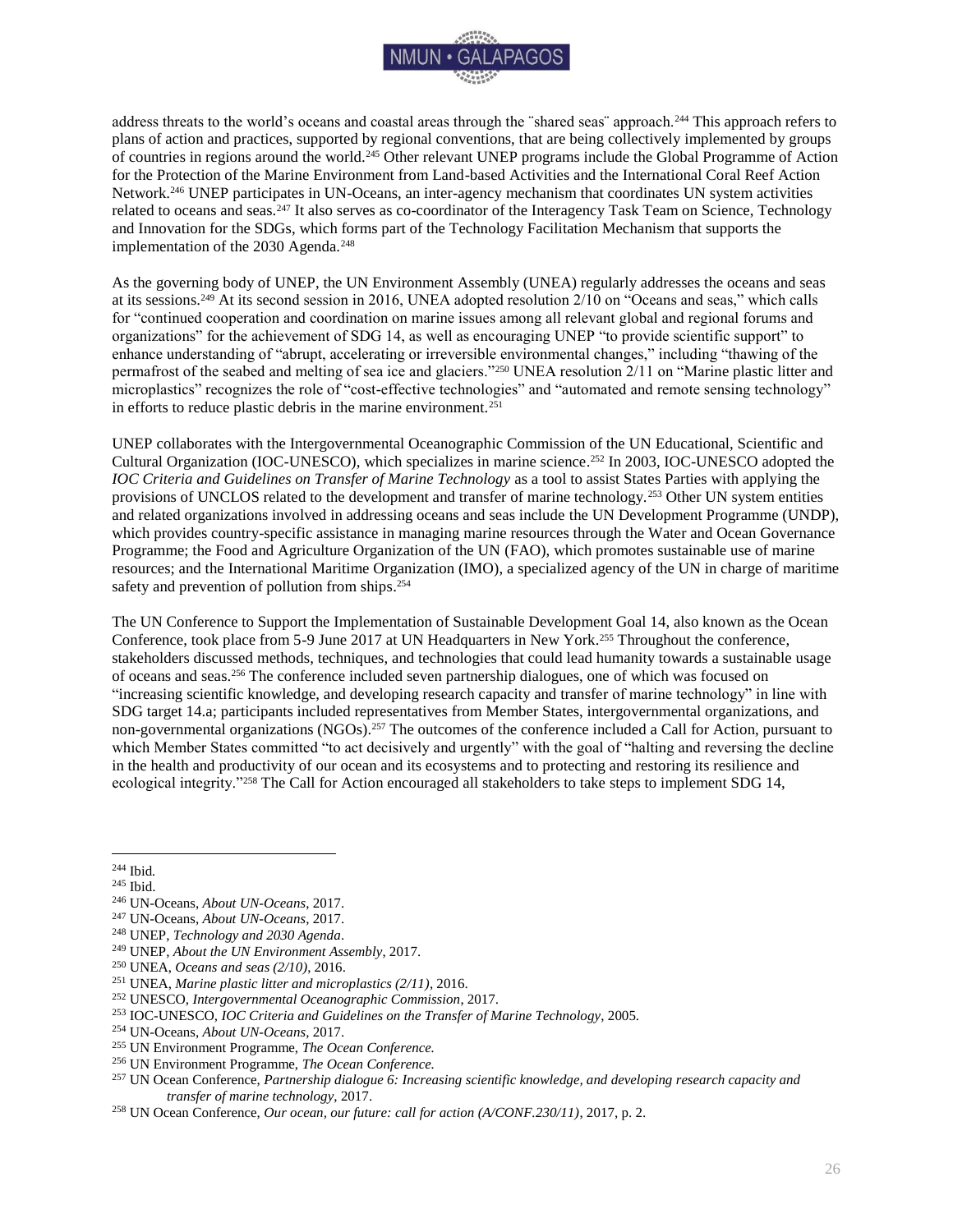

including by investing in marine scientific research, ocean and coastal observation, and scientific and technological innovation."<sup>259</sup>

As demonstrated by the diverse participants at the Ocean Conference, the protection of oceans and seas is the responsibility not only of Member States, but also of non-governmental actors. The participation of civil society and the private sector is essential to the protection of oceans and seas, as well as to sustainable development overall.<sup>260</sup> Examples include the work of the International Union for Conservation of Nature (IUCN), which includes both government and civil society organizations, is "the world's largest and most diverse environmental network."<sup>261</sup> IUCN maintains a Global Marine and Polar Programme focused on protecting marine and polar ecosystems, promoting sustainable use of marine and polar resources, and building an international framework to conserve marine biodiversity.<sup>262</sup> In December 2016, following a "keystone dialogue" between scientists and business representatives, eight of the world's largest seafood companies decided to create the Seafood Business for Ocean Stewardship initiative.<sup>263</sup> The companies intend to fulfil commitments to responsible ocean stewardship, including eliminating certain fishing practices that jeopardize endangered species, engaging in science-based efforts to improve aquaculture, and investing in emerging approaches and technologies that support sustainable fisheries and aquaculture.<sup>264</sup> Clean Seas, a UNEP-led campaign inaugurated in February 2017, aims to eliminate plastic debris in oceans and seas through a partnership between national governments; the private sector, especially companies that produce plastic litter; and civil society.<sup>265</sup>

# <span id="page-26-0"></span>*The Role of Technology in Protecting the Oceans and Seas*

Oceans, seas, and marine resources are in jeopardy as a result of impacts from human activities.<sup>266</sup> Climate change has proven particularly harmful: as oceans and seas absorb carbon dioxide, adverse consequences have included rising ocean temperatures, "ocean and coastal acidification, deoxygenation, sea-level rise, the decrease in polar ice coverage, coastal erosion and extreme weather events."<sup>267</sup> The declining health of oceans and seas is alarmingly visible in coral reefs, which are highly diverse ecosystems that are particularly vulnerable to changes in the environment.<sup>268</sup> Many coral reefs have been subject to bleaching: as ocean temperatures and acidification increase, corals expel a type of algae on which they rely for energy and lose their bright colors in the process.<sup>269</sup> If ocean conditions prevent the algae from returning, the corals eventually die.<sup>270</sup> Other significant threats include marine pollution; marine litter; the introduction of non-native species; destructive fishing practices; overfishing; and illegal, unreported, and unregulated fishing.<sup>271</sup>

The multitude of threats evinces the need for innovative approaches to protecting oceans and seas; correspondingly, there is a wide variety of technology that may have useful applications.<sup>272</sup> The *IOC Criteria and Guidelines on the Transfer of Marine Technology* notes that "marine technology refers to instruments, equipment, vessels, processes and methodologies required to produce and use knowledge to improve the study and understanding of the nature and resources of the ocean and coastal areas," including:

- a) Information and data, in a user-friendly format, on marine sciences and related marine operations and services;
- b) Manuals, guidelines, criteria, standards, references materials;

<sup>267</sup> Ibid.

 $\overline{a}$ <sup>259</sup> Ibid., p. 4.

<sup>260</sup> UN General Assembly, *Transforming our world: the 2030 Agenda for Sustainable Development (A/RES/70/1)*, 2015.

<sup>261</sup> IUCN, *About*, 2017.

<sup>262</sup> IUCN, *About the IUCN Global Marine and Polar Programme*, 2017.

<sup>263</sup> *"Keystone dialogue" creates breakthrough in ocean stewardship*, Marine Stewardship Council, 2016.

<sup>264</sup> Seafood Business for Ocean Stewardship, *Joint Statement from the 1st Keystone Dialogue*, 2016.

<sup>265</sup> UNEP, *UN Declares War on Ocean Plastic*, 2017.

<sup>266</sup> UN Ocean Conference, *Our ocean, our future: call for action (A/CONF.230/11)*, 2017, p. 2.

<sup>268</sup> UN General Assembly, *The Future We Want (A/RES/66/288)*, 2012, p. 34.

<sup>269</sup> UNEP, *Urgent Need for Sustainable Management of Coral Reefs.*

<sup>270</sup> Ibid.

<sup>271</sup> UN General Assembly, *Preparatory process of the United Nations Conference to Support the Implementation of Sustainable Development Goal 14: Conserve and sustainably use the oceans, seas and marine resources for sustainable development: Note by the Secretary-General (A/71/733)*, 2017, pp. 2-3.

<sup>272</sup> IOC-UNESCO, *IOC Criteria and Guidelines on the Transfer of Marine Technology*, 2005, p. 9.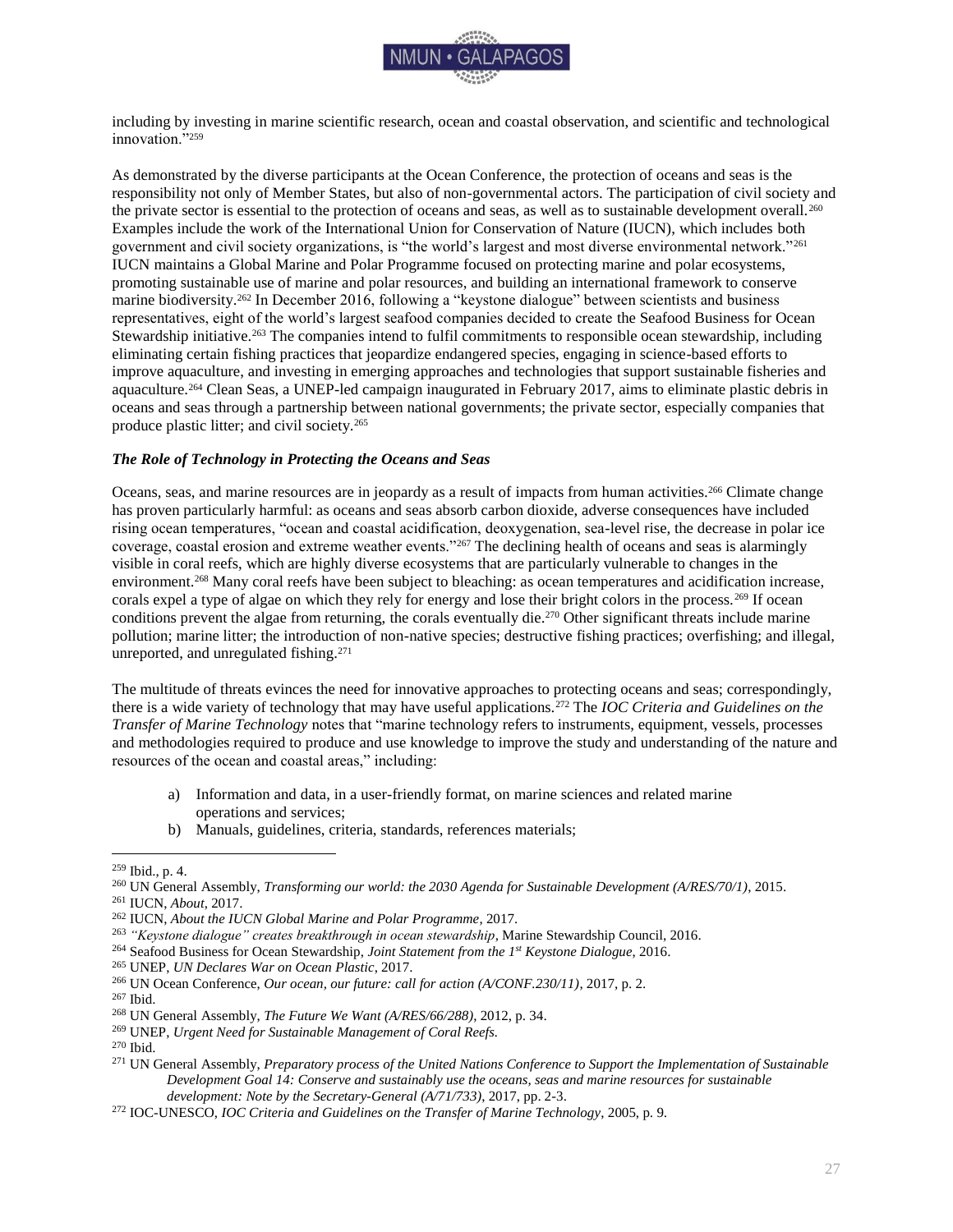

- c) Sampling and methodology equipment (e.g. for water, geological, biological, chemical samples);
- d) Observation facilities and equipment (e.g. remote sensing equipment, buoys, tide gauges, shipboard and other means of ocean observation);
- e) Equipment for in situ and laboratory observations, analysis and experimentation;
- f) Computer and computer software, including models and modeling techniques; and
- g) Expertise, knowledge, skills, technical/scientific/legal know-how and analytical methods related to marine scientific research and observation.<sup>273</sup>

Technology development therefore presents countless possibilities for furthering marine conservation, and in recent years, innovative breakthroughs in marine technology have resulted in new ways to protect oceans and seas.<sup>274</sup> For example, advances in "satellite-interfacing sensors and data processing tools" are providing, for the first time, accurate information on ongoing activities in the world's oceans and seas, thereby facilitating monitoring that could contribute to enforcement of international treaties and safeguarding of marine protected areas.<sup>275</sup> Scientists and fishing companies are working together on high-tech nets that can target specific species of fish and cause less damage to sea beds.<sup>276</sup> Numerous projects are focusing on marine pollution, including new technology designed to extract plastic debris from oceans via "an array of solid floating barriers and platforms anchored to the seabed" and operating solely on the strength of ocean currents.<sup>277</sup>

#### <span id="page-27-0"></span>*Challenges and Opportunities for Technology Development*

#### *Knowledge and Data*

To protect oceans and seas, "policymakers and resource managers need to know about all of the ways it is used by both people and marine life."<sup>278</sup> Accurate information is also required to ensure the development of technology that effectively addresses threats to oceans and seas.<sup>279</sup> However, "the ocean is still one of the least known areas of the world."<sup>280</sup> There are many gaps in knowledge and data about oceans and seas, especially with respect to "ecosystem" processes and functions and their implications for ecosystem conservation and restoration, ecological limits, tipping points, socioecological resilience and ecosystem services," as well as the impacts on biodiversity and ocean productivity.<sup>281</sup> Knowledge and data that already exists is not always effectively disseminated: data systems are not always universally accessible, and data collection lacks standardization across regions.<sup>282</sup>

#### *Capacity-building*

Relative gaps in capacity exist between developed countries and developing countries, particularly small island developing countries (SIDS) and least-developed countries.<sup>283</sup> These gaps prevent developing countries from "taking advantage of what the ocean can offer them, as well as reduce their capability to address the factors that degrade the ocean."<sup>284</sup> Many international agreements stress the importance of providing assistance to developing countries with respect to technology, including by establishing favorable conditions for the transfer of technology; in the specific context of oceans and seas, UNCLOS mandates States Parties to "promote the development of the marine scientific

 $\overline{a}$ 

<sup>275</sup> McCauley, *How Satellites and Big Data Can Help to Save the Oceans*, 2016.

<sup>273</sup> Ibid.

<sup>274</sup> Mulrennan, 8 Breakthrough Innovations Saving Our Ocean, *Ocean Views*, 2016.

<sup>276</sup> Gilpin, *4 technologies that will help save the oceans*, 2015.

<sup>277</sup> Nagappan, *5 Technologies That Are Helping Save the Oceans*, 2015.

<sup>278</sup> Tripp, Point 97: New Technology to Manage and Protect the Oceans, *Marine Science Today*, 2013.

<sup>279</sup>

<sup>280</sup> UN Ocean Conference, *Partnership dialogue 6: Increasing scientific knowledge, and developing research capacity and transfer of marine technology*, 2017.

<sup>281</sup> UN General Assembly, *Preparatory process of the United Nations Conference to Support the Implementation of Sustainable Development Goal 14: Conserve and sustainably use the oceans, seas and marine resources for sustainable development: Note by the Secretary-General (A/71/733)*, 2017, p. 12.

<sup>282</sup> UN Ocean Conference, *Report of the UN Conference to Support the Implementation of Sustainable Development Goal 14: Conserve and sustainably use the oceans, seas and marine resources for sustainable development*, 2017, p. 50.

<sup>283</sup> UN General Assembly, *Preparatory process of the United Nations Conference to Support the Implementation of Sustainable Development Goal 14: Conserve and sustainably use the oceans, seas and marine resources for sustainable development: Note by the Secretary-General (A/71/733)*, 2017, p. 13.

<sup>284</sup> UN Ocean Conference, *Partnership dialogue 6: Increasing scientific knowledge, and developing research capacity and transfer of marine technology*, 2017, p. 7.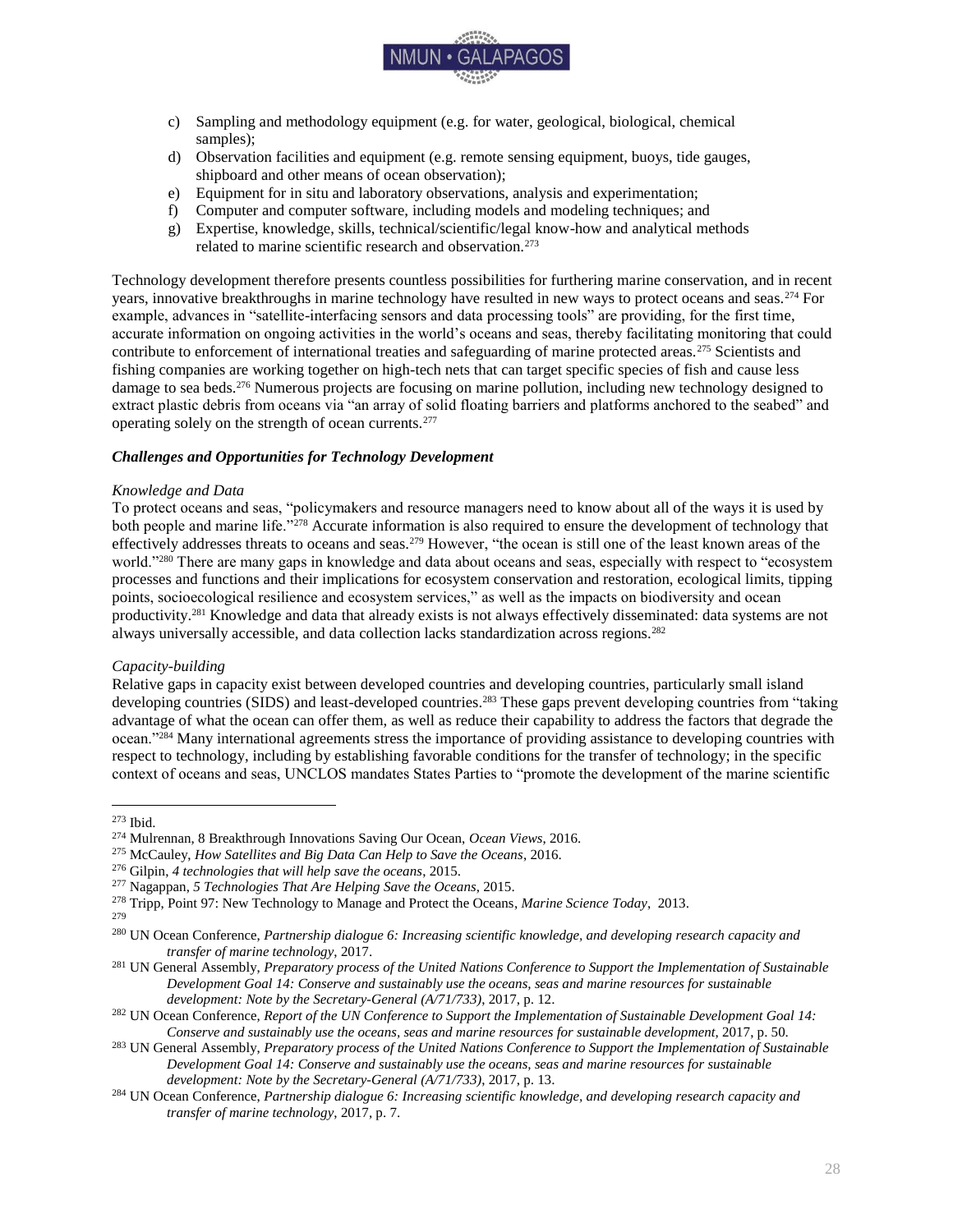

and technological capacity of states which may need and request technical assistance in this field, particularly developing states."<sup>285</sup> Approaches to capacity-building include provision of targeted technical support, strengthening institutional capacity for research and development, creating accessible training centers for human resource development, and enhancing coordination through both North-South and South-South cooperation.<sup>286</sup>

#### *Partnerships*

Although there are many partnerships focusing on technology related to oceans and seas, they may suffer from "limited effectiveness, lack of resources, fragmentation or duplication" and would benefit from review.<sup>287</sup> Some partnership opportunities have not been fully explored: in particular, many stakeholders anticipate a greater role for the private sector, including through "partnerships with marine industries, including shipping, fishing, energy and other sectors," which have access to data and platforms for further development of technology.<sup>288</sup> Youth and entrepreneurs have made significant contributions to technology development that could have an enormous impact if made accessible to a wider audience through, for example, "governance structures [that] could help promote the open exchange of knowledge and technology."<sup>289</sup> There is also potential for new partnerships between "UN organizations and universities and research institutes."<sup>290</sup> Enhancing stakeholder engagement is crucial for the formation of effective partnerships; possible approaches could involve focusing on "ocean education and literacy" to raise "awareness of the issues facing the oceans through knowledge and innovation hubs and institutes."<sup>291</sup>

#### <span id="page-28-0"></span>*Conclusion*

Oceans and seas are crucial to "human well-being and livelihoods"; yet, they face threats so severe that "delays in implementing solutions to the problems that have already been identified will lead to incurring greater environmental, social and economic costs."<sup>292</sup> Recent advances in technology have created opportunities for the international community to protect the oceans and seas, as well as to reverse damage that has already been done, but more work is required to fully realize the potential of technology for sustainable development. Achieving SDG 14 will require stakeholders to work together to foster development of eco-friendly technology that could help ensure the protection and conservation of oceans and seas for the benefit of current and future generations.

#### <span id="page-28-1"></span>*Further Research*

How can UNEA help to create an environment that encourages the development of eco-friendly technology? In what ways can technology and innovation support both new and existing initiatives and programs to protect the oceans and seas? What barriers exist to technology development and how can UNEA address them? How can UNEA contribute to building partnerships for technology development? How can the international community advance the implementation of UNCLOS provisions related to development and transfer of marine technology? How can data collection and research capacity be improved? How can UNEA foster greater engagement and investment from civil society and the private sector in technology development?

# **Annotated Bibliography**

<span id="page-28-2"></span>Deep Sea Conservation Coalition. (2016). *How Much Longer Will It Take?*. Retrieved 6 June 2017 from: [http://www.savethehighseas.org/publicdocs/DSCC-Review-2016\\_Launch-29-July.pdf](http://www.savethehighseas.org/publicdocs/DSCC-Review-2016_Launch-29-July.pdf)

*In 2002, the General Assembly started a period in which it approved several measures towards the conservation of oceans and sea life. General Assembly resolution 61/105, among others,* 

<sup>285</sup> *United Nations Convention on the Law of the Sea*, 1982, art. 266.

<sup>286</sup> UNCED, *Agenda 21*, 1992, para. 34.14; UN Ocean Conference, *Partnership dialogue 6: Increasing scientific knowledge, and developing research capacity and transfer of marine technology*, 2017, p. 8.

<sup>287</sup> Ibid., p. 9.

<sup>288</sup> UN Ocean Conference, *Report of the UN Conference to Support the Implementation of Sustainable Development Goal 14: Conserve and sustainably use the oceans, seas and marine resources for sustainable development*, 2017, p. 49.

<sup>289</sup> Ibid., pp. 49-50.

<sup>290</sup> UN Ocean Conference, *Partnership dialogue 6: Increasing scientific knowledge, and developing research capacity and transfer of marine technology*, 2017, p. 10.

<sup>291</sup> Ibid., p. 50.

<sup>292</sup> UN General Assembly, *Preparatory process of the United Nations Conference to Support the Implementation of Sustainable Development Goal 14: Conserve and sustainably use the oceans, seas and marine resources for sustainable development: Note by the Secretary-General (A/71/733)*, 2017, p. 3.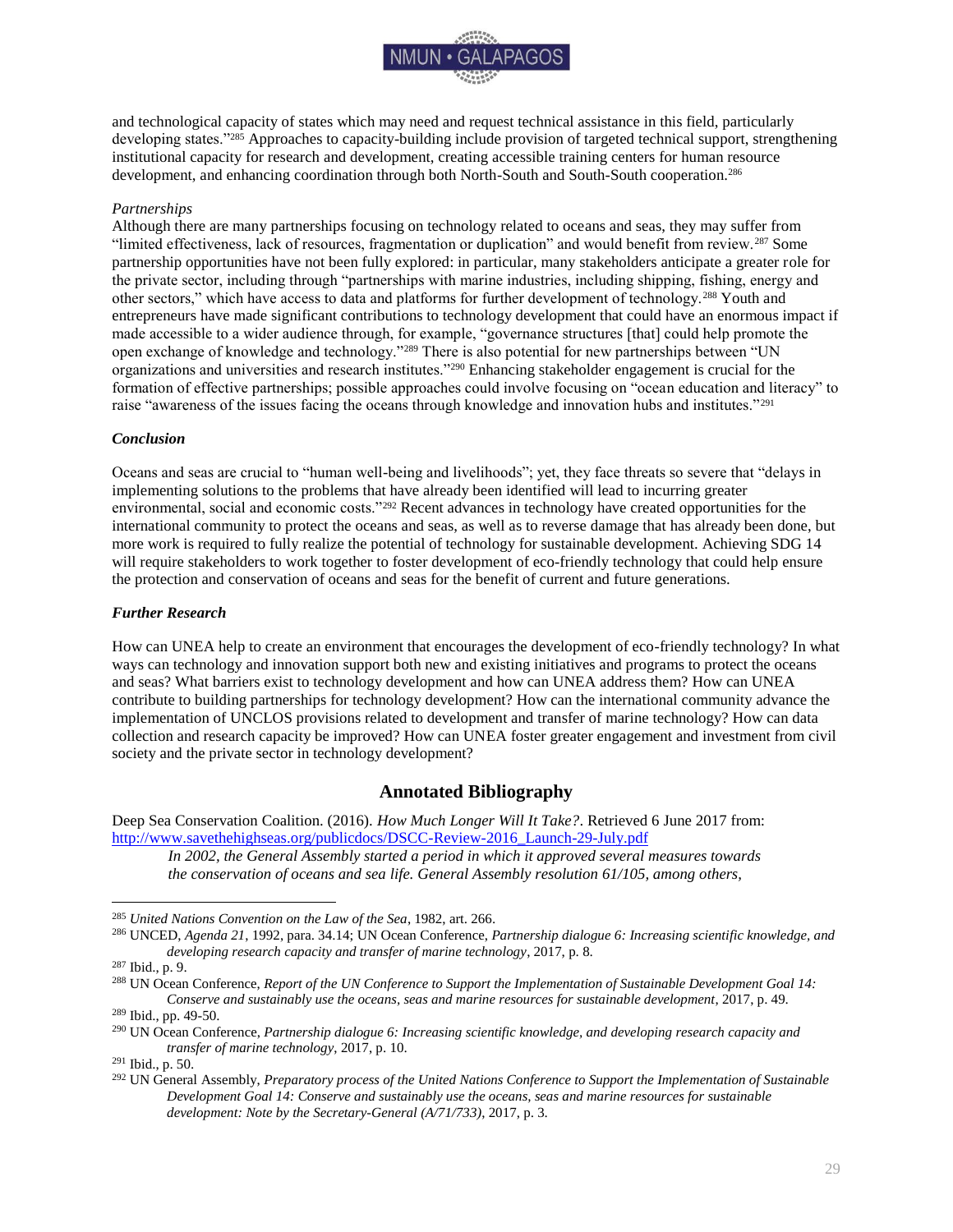

*called upon states to take actions regarding certain fishing techniques in waters beyond national jurisdiction in order to protect biodiversity and marine ecosystems. This is a report of the Deep Sea Conservation Coalition about the fulfilling of these actions.* 

Gilpin, L. (2015). *4 Technologies that will help save the oceans*. Retrieved 6 June 2017 from: <http://www.techrepublic.com/article/4-technologies-that-will-help-save-the-oceans/>

*In 2010 alone, more than 8 million tons of plastic were dumped into the ocean. Each year, the amount of plastic dumped into the ocean increases significantly. This article describes four technological advances that could contribute to cleaning the oceans and seas. Moreover, some of these methods are currently being used by some countries in joint efforts to conserve marine biodiversity.*

United Nations Environment Programme. (n.d.). *Global Programme of Action for the Protection of the Marine Environment from Land-based Activities: Overview* [Website]. Retrieved 6 June 2017 from <http://www.unep.org/gpa/who-we-are/overview>

*According to UNEP, 80% of total pollution in the oceans and seas originates from land-based activities, and almost all of that is human-caused. The Global Programme of Action for the Protection of the Marine Environment from Land-based Activities mainly focuses its efforts on minimizing marine pollution caused by land-based activities by developing projects to stop the use of organic and radioactive pollutants, oils, and sewage. It is an important example of ongoing UNEP initiatives to protect the oceans and seas.*

United Nations, General Assembly, Seventieth session. (2015). *Transforming our world: the 2030 Agenda for Sustainable Development (A/RES/70/1)*. Retrieved 31 August 2017 from:<http://undocs.org/A/RES/70/1> *Following the expiration of the Millennium Development Goals (MDGs), the UN moved its course of action towards sustainability regarding all forms of human activity, aiming to end hunger and poverty as well as to conserve the planet for future generations. In September 2015, the General Assembly adopted the 2030 Agenda and its 17 SDGs, all with their own targets and indicators. SDG 14 focuses specifically on oceans, seas, and marine resources.*

United Nations, Economic and Social Council. (2017). *Progress towards the Sustainable Development Goals (E/2017/66)*. Retrieved 31 August 2017 from:<http://undocs.org/E/2017/66>

*This report of the Secretary-General of the UN focuses on providing information concerning the implementation of the 2030 Agenda. Progress towards each SDG is reviewed in detail. It is important for delegates to remain up to date on the current status of efforts to achieve the SDGs, particularly SDG 14.*

# **Bibliography**

<span id="page-29-0"></span>Conference of the Parties to the United Nations Framework Convention on Climate Change, Twenty-first session. (2015). *Paris Agreement*. Retrieved 30 August 2017 from: [https://unfccc.int/files/essential\\_background/convention/application/pdf/english\\_paris\\_agreement.pdf](https://unfccc.int/files/essential_background/convention/application/pdf/english_paris_agreement.pdf)

*Convention on Biological Diversity*. (1992). Retrieved 30 August 2017 from: [https://www.cbd.int/doc/legal/cbd](https://www.cbd.int/doc/legal/cbd-en.pdf)[en.pdf](https://www.cbd.int/doc/legal/cbd-en.pdf)

Deep Sea Conservation Coalition. (2016). *How Much Longer Will It Take?*. Retrieved 6 June 2017 from: [http://www.savethehighseas.org/publicdocs/DSCC-Review-2016\\_Launch-29-July.pdf](http://www.savethehighseas.org/publicdocs/DSCC-Review-2016_Launch-29-July.pdf)

Gilpin, L. (2015). *4 Technologies that will help save the oceans*. Retrieved 6 June 2017 from: <http://www.techrepublic.com/article/4-technologies-that-will-help-save-the-oceans/>

Intergovernmental Oceanographic Commission of the United Nations Educational, Scientific and Cultural Organization. (2005). *IOC Criteria and Guidelines on the Transfer of Marine Technology.* Retrieved 31 August 2017 from:<http://unesdoc.unesco.org/images/0013/001391/139193m.pdf>

International Union for Conservation of Nature. (2017). *About* [Website]. Retrieved 30 August 2017 from: <https://www.iucn.org/about>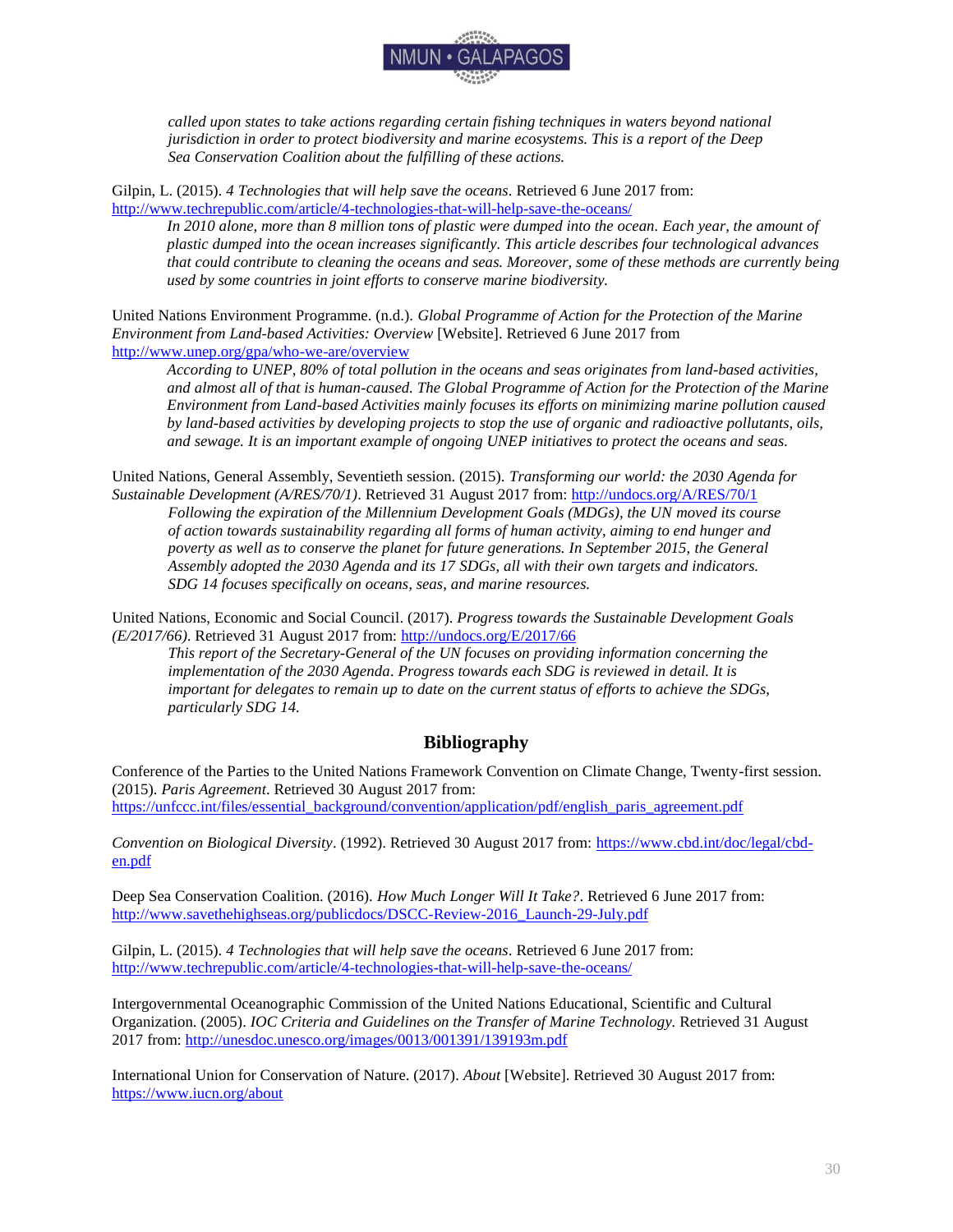

International Union for Conservation of Nature. (2017). *About the IUCN Global Marine and Polar Programme*  [Website]. Retrieved 30 August 2017 from:<https://www.iucn.org/theme/marine-and-polar/about>

*"Keystone dialogue" creates breakthrough in ocean stewardship*. (2016, December 14). Marine Stewardship Council. Retrieved 30 August 2017 from: [https://www.msc.org/newsroom/news/keystone-dialogue-creates](https://www.msc.org/newsroom/news/keystone-dialogue-creates-breakthrough-in-ocean-stewardship)[breakthrough-in-ocean-stewardship](https://www.msc.org/newsroom/news/keystone-dialogue-creates-breakthrough-in-ocean-stewardship)

McCauley, D. (2016). *How Satellites and Big Data Can Help to Save the Oceans*. Retrieved 31 August 2017 from: [http://e360.yale.edu/features/how\\_satellites\\_and\\_big\\_data\\_can\\_help\\_to\\_save\\_the\\_oceans](http://e360.yale.edu/features/how_satellites_and_big_data_can_help_to_save_the_oceans)

Mulrennan, M. (2016, June 8). 8 Breakthrough Innovations Saving Our Ocean. *Ocean Views*. Retrieved 31 August 2017 from:<https://voices.nationalgeographic.org/2016/06/08/178045/>

Nagappan, P. (2015). *5 Technologies That Are Helping Save the Oceans*. Retrieved 31 August 2017 from: <http://www.takepart.com/photos/technologies-are-helping-save-oceans/vacuum-cleaner-ocean-plastic>

New Zealand, Ministry of Foreign Affairs and Trade. (2016). *United Nations Handbook 2016-17.* Retrieved 30 August 2017 from: [https://mfat.govt.nz/assets/\\_securedfiles/Handbooks/United\\_Nations\\_Handbook-2016-2017.pdf](https://mfat.govt.nz/assets/_securedfiles/Handbooks/United_Nations_Handbook-2016-2017.pdf)

Seafood Business for Ocean Stewardship. (2016). *Joint Statement from the 1st Keystone Dialogue*. Retrieved 30 August 2017 from:<http://keystonedialogues.earth/wp-content/uploads/2016/12/Statement-signed.pdf>

Tripp, E. (2013, November 15). Point 97: New Technology to Manage and Protect the Oceans. *Marine Science Today*. Retrieved 31 August 2017 from: [http://marinesciencetoday.com/2013/11/15/point-97-new-technology-to](http://marinesciencetoday.com/2013/11/15/point-97-new-technology-to-manage-and-protect-the-oceans/)[manage-and-protect-the-oceans/](http://marinesciencetoday.com/2013/11/15/point-97-new-technology-to-manage-and-protect-the-oceans/)

UN-Oceans. (2017). *About UN-Oceans* [Website]. Retrieved 30 August 2017 from: <http://www.unoceans.org/about/en/>

United Nations Conference on Environment and Development. (1992). *Agenda 21* [Outcome Document]. Retrieved 30 August 2017 from:<https://sustainabledevelopment.un.org/content/documents/Agenda21.pdf>

United Nations Conference to Support the Implementation of Sustainable Development Goal 14: Conserve and sustainably use the oceans, seas and marine resources for sustainable development. (2017). *Our ocean, our future: call for action (A/CONF.230/11)* [Outcome Document]. Retrieved 30 August 2017 from: <http://undocs.org/A/CONF.230/11>

United Nations Conference to Support the Implementation of Sustainable Development Goal 14: Conserve and sustainably use the oceans, seas and marine resources for sustainable development. (2017). *Partnership dialogue 6: Increasing scientific knowledge, and developing research capacity and transfer of marine technology* [Concept Paper]. Retrieved 30 August 2017 from:

<https://sustainabledevelopment.un.org/content/documents/14406Partnershipdialogue6.pdf>

*United Nations Convention on the Law of the Sea*. (1982). Retrieved 30 August 2017 from: [http://www.un.org/depts/los/convention\\_agreements/texts/unclos/unclos\\_e.pdf](http://www.un.org/depts/los/convention_agreements/texts/unclos/unclos_e.pdf)

United Nations, Department of Economic and Social Affairs. (2017). *Sustainable Development Goal 14* [Website]. Retrieved 30 August 2017 from:<https://sustainabledevelopment.un.org/sdg14>

United Nations, Department of Economic and Social Affairs. (2017). *Sustainable Development Goal 17* [Website]. Retrieved 30 August 2017 from:<https://sustainabledevelopment.un.org/sdg17>

United Nations Development Programme. (2017). *Goal 14: Life below Water* [Website]. Retrieved 30 August 2017 from[: http://www.undp.org/content/undp/en/home/sustainable-development-goals/goal-14-life-below-water.html](http://www.undp.org/content/undp/en/home/sustainable-development-goals/goal-14-life-below-water.html)